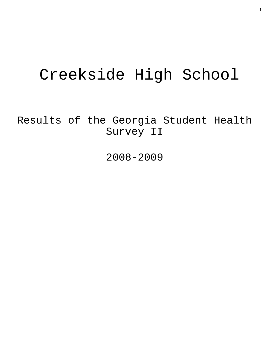# Creekside High School

Results of the Georgia Student Health Survey II

2008-2009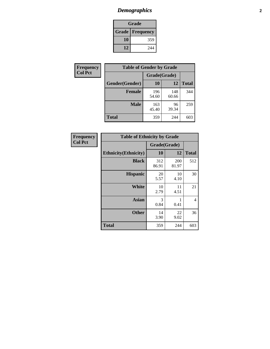# *Demographics* **2**

| Grade                    |     |  |  |  |
|--------------------------|-----|--|--|--|
| <b>Grade   Frequency</b> |     |  |  |  |
| 10                       | 359 |  |  |  |
| 12                       | 244 |  |  |  |

| Frequency      | <b>Table of Gender by Grade</b> |              |              |              |
|----------------|---------------------------------|--------------|--------------|--------------|
| <b>Col Pct</b> |                                 | Grade(Grade) |              |              |
|                | Gender(Gender)                  | 10           | 12           | <b>Total</b> |
|                | <b>Female</b>                   | 196<br>54.60 | 148<br>60.66 | 344          |
|                | <b>Male</b>                     | 163<br>45.40 | 96<br>39.34  | 259          |
|                | <b>Total</b>                    | 359          | 244          | 603          |

| Frequency<br>Col Pct |
|----------------------|
|                      |

| <b>Table of Ethnicity by Grade</b> |              |              |              |  |  |  |
|------------------------------------|--------------|--------------|--------------|--|--|--|
|                                    | Grade(Grade) |              |              |  |  |  |
| <b>Ethnicity</b> (Ethnicity)       | 10           | 12           | <b>Total</b> |  |  |  |
| <b>Black</b>                       | 312<br>86.91 | 200<br>81.97 | 512          |  |  |  |
| <b>Hispanic</b>                    | 20<br>5.57   | 10<br>4.10   | 30           |  |  |  |
| White                              | 10<br>2.79   | 11<br>4.51   | 21           |  |  |  |
| <b>Asian</b>                       | 3<br>0.84    | 1<br>0.41    | 4            |  |  |  |
| <b>Other</b>                       | 14<br>3.90   | 22<br>9.02   | 36           |  |  |  |
| <b>Total</b>                       | 359          | 244          | 603          |  |  |  |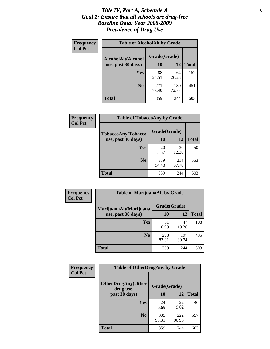#### *Title IV, Part A, Schedule A* **3** *Goal 1: Ensure that all schools are drug-free Baseline Data: Year 2008-2009 Prevalence of Drug Use*

| Frequency<br><b>Col Pct</b> | <b>Table of AlcoholAlt by Grade</b> |              |              |              |  |  |
|-----------------------------|-------------------------------------|--------------|--------------|--------------|--|--|
|                             | AlcoholAlt(Alcohol                  | Grade(Grade) |              |              |  |  |
|                             | use, past 30 days)                  | 10           | 12           | <b>Total</b> |  |  |
|                             | Yes                                 | 88<br>24.51  | 64<br>26.23  | 152          |  |  |
|                             | N <sub>0</sub>                      | 271<br>75.49 | 180<br>73.77 | 451          |  |  |
|                             | <b>Total</b>                        | 359          | 244          | 603          |  |  |

| Frequency<br><b>Col Pct</b> | <b>Table of TobaccoAny by Grade</b> |              |              |              |  |  |
|-----------------------------|-------------------------------------|--------------|--------------|--------------|--|--|
|                             | TobaccoAny(Tobacco                  | Grade(Grade) |              |              |  |  |
|                             | use, past 30 days)                  | 10           | 12           | <b>Total</b> |  |  |
|                             | Yes                                 | 20<br>5.57   | 30<br>12.30  | 50           |  |  |
|                             | N <sub>0</sub>                      | 339<br>94.43 | 214<br>87.70 | 553          |  |  |
|                             | <b>Total</b>                        | 359          | 244          | 603          |  |  |

| Frequency<br><b>Col Pct</b> | <b>Table of MarijuanaAlt by Grade</b> |              |              |              |  |
|-----------------------------|---------------------------------------|--------------|--------------|--------------|--|
|                             | MarijuanaAlt(Marijuana                | Grade(Grade) |              |              |  |
|                             | use, past 30 days)                    | 10           | 12           | <b>Total</b> |  |
|                             | <b>Yes</b>                            | 61<br>16.99  | 47<br>19.26  | 108          |  |
|                             | N <sub>0</sub>                        | 298<br>83.01 | 197<br>80.74 | 495          |  |
|                             | Total                                 | 359          | 244          | 603          |  |

| <b>Frequency</b> | <b>Table of OtherDrugAny by Grade</b>                  |              |              |              |  |  |
|------------------|--------------------------------------------------------|--------------|--------------|--------------|--|--|
| <b>Col Pct</b>   | <b>OtherDrugAny(Other</b><br>Grade(Grade)<br>drug use, |              |              |              |  |  |
|                  | past 30 days)                                          | 10           | 12           | <b>Total</b> |  |  |
|                  | Yes                                                    | 24<br>6.69   | 22<br>9.02   | 46           |  |  |
|                  | N <sub>0</sub>                                         | 335<br>93.31 | 222<br>90.98 | 557          |  |  |
|                  | <b>Total</b>                                           | 359          | 244          | 603          |  |  |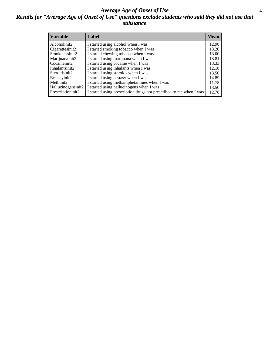#### *Average Age of Onset of Use* **4** *Results for "Average Age of Onset of Use" questions exclude students who said they did not use that substance*

| <b>Variable</b>       | Label                                                              | <b>Mean</b> |
|-----------------------|--------------------------------------------------------------------|-------------|
| Alcoholinit2          | I started using alcohol when I was                                 | 12.98       |
| Cigarettesinit2       | I started smoking tobacco when I was                               | 13.20       |
| Smokelessinit2        | I started chewing tobacco when I was                               | 13.00       |
| Marijuanainit2        | I started using marijuana when I was                               | 13.81       |
| Cocaineinit2          | I started using cocaine when I was                                 | 13.33       |
| Inhalantsinit2        | I started using inhalants when I was                               | 12.18       |
| Steroidsinit2         | I started using steroids when I was                                | 13.50       |
| Ecstasyinit2          | I started using ecstasy when I was                                 | 14.89       |
| Methinit <sub>2</sub> | I started using methamphetamines when I was                        | 11.75       |
| Hallucinogensinit2    | I started using hallucinogens when I was                           | 13.50       |
| Prescriptioninit2     | I started using prescription drugs not prescribed to me when I was | 12.78       |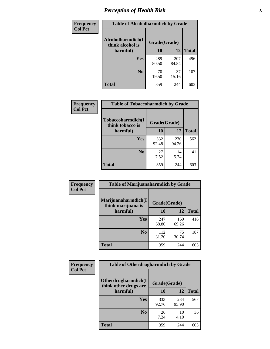# *Perception of Health Risk* **5**

| Frequency      | <b>Table of Alcoholharmdich by Grade</b> |              |              |              |  |
|----------------|------------------------------------------|--------------|--------------|--------------|--|
| <b>Col Pct</b> | Alcoholharmdich(I<br>think alcohol is    | Grade(Grade) |              |              |  |
|                | harmful)                                 | 10           | 12           | <b>Total</b> |  |
|                | Yes                                      | 289<br>80.50 | 207<br>84.84 | 496          |  |
|                | N <sub>0</sub>                           | 70<br>19.50  | 37<br>15.16  | 107          |  |
|                | <b>Total</b>                             | 359          | 244          | 603          |  |

| <b>Frequency</b> | <b>Table of Tobaccoharmdich by Grade</b> |              |              |              |
|------------------|------------------------------------------|--------------|--------------|--------------|
| <b>Col Pct</b>   | Tobaccoharmdich(I<br>think tobacco is    | Grade(Grade) |              |              |
|                  | harmful)                                 | 10           | 12           | <b>Total</b> |
|                  | Yes                                      | 332<br>92.48 | 230<br>94.26 | 562          |
|                  | N <sub>0</sub>                           | 27<br>7.52   | 14<br>5.74   | 41           |
|                  | Total                                    | 359          | 244          | 603          |

| <b>Frequency</b> | <b>Table of Marijuanaharmdich by Grade</b> |              |              |              |  |  |
|------------------|--------------------------------------------|--------------|--------------|--------------|--|--|
| <b>Col Pct</b>   | Marijuanaharmdich(I<br>think marijuana is  | Grade(Grade) |              |              |  |  |
|                  | harmful)                                   | 10           | 12           | <b>Total</b> |  |  |
|                  | Yes                                        | 247<br>68.80 | 169<br>69.26 | 416          |  |  |
|                  | N <sub>0</sub>                             | 112<br>31.20 | 75<br>30.74  | 187          |  |  |
|                  | <b>Total</b>                               | 359          | 244          | 603          |  |  |

| <b>Frequency</b> | <b>Table of Otherdrugharmdich by Grade</b>                   |              |              |              |  |
|------------------|--------------------------------------------------------------|--------------|--------------|--------------|--|
| <b>Col Pct</b>   | Otherdrugharmdich(I<br>Grade(Grade)<br>think other drugs are |              |              |              |  |
|                  | harmful)                                                     | <b>10</b>    | 12           | <b>Total</b> |  |
|                  | <b>Yes</b>                                                   | 333<br>92.76 | 234<br>95.90 | 567          |  |
|                  | N <sub>0</sub>                                               | 26<br>7.24   | 10<br>4.10   | 36           |  |
|                  | <b>Total</b>                                                 | 359          | 244          | 603          |  |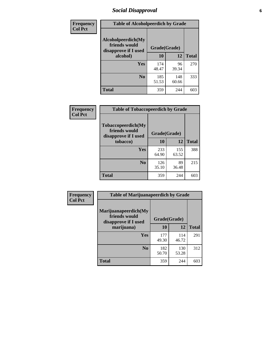# *Social Disapproval* **6**

| <b>Frequency</b> | <b>Table of Alcoholpeerdich by Grade</b>                    |              |              |              |
|------------------|-------------------------------------------------------------|--------------|--------------|--------------|
| <b>Col Pct</b>   | Alcoholpeerdich(My<br>friends would<br>disapprove if I used | Grade(Grade) |              |              |
|                  | alcohol)                                                    | 10           | 12           | <b>Total</b> |
|                  | <b>Yes</b>                                                  | 174<br>48.47 | 96<br>39.34  | 270          |
|                  | N <sub>0</sub>                                              | 185<br>51.53 | 148<br>60.66 | 333          |
|                  | <b>Total</b>                                                | 359          | 244          | 603          |

| <b>Frequency</b> |
|------------------|
| <b>Col Pct</b>   |

| <b>Table of Tobaccopeerdich by Grade</b>                    |              |              |              |  |
|-------------------------------------------------------------|--------------|--------------|--------------|--|
| Tobaccopeerdich(My<br>friends would<br>disapprove if I used | Grade(Grade) |              |              |  |
| tobacco)                                                    | 10           | 12           | <b>Total</b> |  |
| Yes                                                         | 233<br>64.90 | 155<br>63.52 | 388          |  |
| N <sub>0</sub>                                              | 126<br>35.10 | 89<br>36.48  | 215          |  |
| Total                                                       | 359          | 244          |              |  |

| <b>Frequency</b> | <b>Table of Marijuanapeerdich by Grade</b>                    |              |              |              |  |
|------------------|---------------------------------------------------------------|--------------|--------------|--------------|--|
| <b>Col Pct</b>   | Marijuanapeerdich(My<br>friends would<br>disapprove if I used | Grade(Grade) |              |              |  |
|                  | marijuana)                                                    | 10           | 12           | <b>Total</b> |  |
|                  | <b>Yes</b>                                                    | 177<br>49.30 | 114<br>46.72 | 291          |  |
|                  | N <sub>0</sub>                                                | 182<br>50.70 | 130<br>53.28 | 312          |  |
|                  | <b>Total</b>                                                  | 359          | 244          | 603          |  |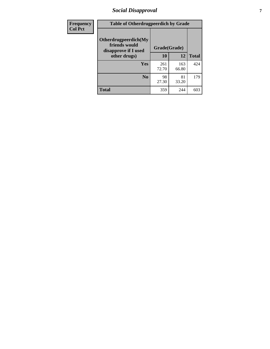# *Social Disapproval* **7**

| Frequency      | <b>Table of Otherdrugpeerdich by Grade</b>                    |              |              |              |  |
|----------------|---------------------------------------------------------------|--------------|--------------|--------------|--|
| <b>Col Pct</b> | Otherdrugpeerdich(My<br>friends would<br>disapprove if I used | Grade(Grade) |              |              |  |
|                | other drugs)                                                  | 10           | 12           | <b>Total</b> |  |
|                | Yes                                                           | 261<br>72.70 | 163<br>66.80 | 424          |  |
|                | N <sub>0</sub>                                                | 98<br>27.30  | 81<br>33.20  | 179          |  |
|                | <b>Total</b>                                                  | 359          | 244          | 603          |  |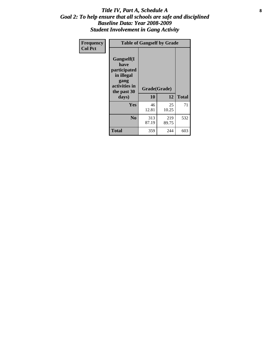#### Title IV, Part A, Schedule A **8** *Goal 2: To help ensure that all schools are safe and disciplined Baseline Data: Year 2008-2009 Student Involvement in Gang Activity*

| Frequency      | <b>Table of Gangself by Grade</b>                                                                 |                    |              |              |
|----------------|---------------------------------------------------------------------------------------------------|--------------------|--------------|--------------|
| <b>Col Pct</b> | Gangself(I<br>have<br>participated<br>in illegal<br>gang<br>activities in<br>the past 30<br>days) | Grade(Grade)<br>10 | 12           | <b>Total</b> |
|                | Yes                                                                                               | 46<br>12.81        | 25<br>10.25  | 71           |
|                | N <sub>0</sub>                                                                                    | 313<br>87.19       | 219<br>89.75 | 532          |
|                | <b>Total</b>                                                                                      | 359                | 244          | 603          |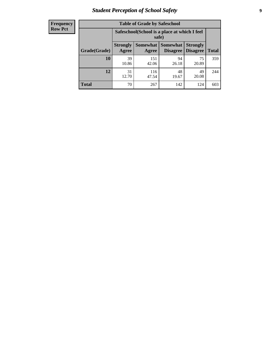# *Student Perception of School Safety* **9**

| <b>Frequency</b><br>Row Pct |
|-----------------------------|
|                             |

| <b>Table of Grade by Safeschool</b> |                                                                                                                                                  |                                                        |             |             |     |  |
|-------------------------------------|--------------------------------------------------------------------------------------------------------------------------------------------------|--------------------------------------------------------|-------------|-------------|-----|--|
|                                     |                                                                                                                                                  | Safeschool (School is a place at which I feel<br>safe) |             |             |     |  |
| Grade(Grade)                        | <b>Somewhat</b><br><b>Somewhat</b><br><b>Strongly</b><br><b>Strongly</b><br><b>Disagree</b><br><b>Disagree</b><br><b>Total</b><br>Agree<br>Agree |                                                        |             |             |     |  |
| 10                                  | 39<br>10.86                                                                                                                                      | 151<br>42.06                                           | 94<br>26.18 | 75<br>20.89 | 359 |  |
| 12                                  | 31<br>12.70                                                                                                                                      | 116<br>47.54                                           | 48<br>19.67 | 49<br>20.08 | 244 |  |
| <b>Total</b>                        | 70                                                                                                                                               | 267                                                    | 142         | 124         | 603 |  |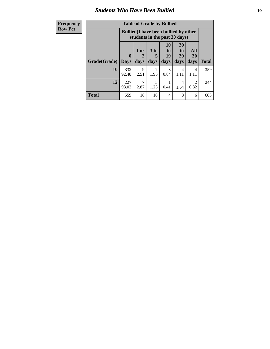### *Students Who Have Been Bullied* **10**

| <b>Frequency</b> | <b>Table of Grade by Bullied</b> |              |                                                                               |                       |                                                             |                        |           |              |
|------------------|----------------------------------|--------------|-------------------------------------------------------------------------------|-----------------------|-------------------------------------------------------------|------------------------|-----------|--------------|
| <b>Row Pct</b>   |                                  |              | <b>Bullied</b> (I have been bullied by other<br>students in the past 30 days) |                       |                                                             |                        |           |              |
|                  |                                  | $\mathbf{0}$ | 1 or<br>2                                                                     | 3 <sub>to</sub><br>5  | 10<br>$\mathbf{t}$ <sup><math>\mathbf{0}</math></sup><br>19 | <b>20</b><br>to<br>29  | All<br>30 |              |
|                  | Grade(Grade)                     | <b>Days</b>  | days                                                                          | days                  | days                                                        | days                   | days      | <b>Total</b> |
|                  | 10                               | 332<br>92.48 | 9<br>2.51                                                                     | 7<br>1.95             | 3<br>0.84                                                   | $\overline{4}$<br>1.11 | 4<br>1.11 | 359          |
|                  | 12                               | 227<br>93.03 | 7<br>2.87                                                                     | $\mathcal{F}$<br>1.23 | 0.41                                                        | 4<br>1.64              | 2<br>0.82 | 244          |
|                  | <b>Total</b>                     | 559          | 16                                                                            | 10                    | 4                                                           | 8                      | 6         | 603          |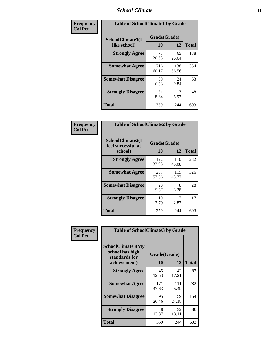### *School Climate* **11**

| <b>Frequency</b> | <b>Table of SchoolClimate1 by Grade</b> |                    |              |              |  |
|------------------|-----------------------------------------|--------------------|--------------|--------------|--|
| <b>Col Pct</b>   | SchoolClimate1(I<br>like school)        | Grade(Grade)<br>10 | 12           | <b>Total</b> |  |
|                  | <b>Strongly Agree</b>                   | 73<br>20.33        | 65<br>26.64  | 138          |  |
|                  | <b>Somewhat Agree</b>                   | 216<br>60.17       | 138<br>56.56 | 354          |  |
|                  | <b>Somewhat Disagree</b>                | 39<br>10.86        | 24<br>9.84   | 63           |  |
|                  | <b>Strongly Disagree</b>                | 31<br>8.64         | 17<br>6.97   | 48           |  |
|                  | <b>Total</b>                            | 359                | 244          | 603          |  |

| Frequency      | <b>Table of SchoolClimate2 by Grade</b>           |                    |              |              |  |  |
|----------------|---------------------------------------------------|--------------------|--------------|--------------|--|--|
| <b>Col Pct</b> | SchoolClimate2(I<br>feel successful at<br>school) | Grade(Grade)<br>10 | 12           | <b>Total</b> |  |  |
|                | <b>Strongly Agree</b>                             | 122<br>33.98       | 110<br>45.08 | 232          |  |  |
|                | <b>Somewhat Agree</b>                             | 207<br>57.66       | 119<br>48.77 | 326          |  |  |
|                | <b>Somewhat Disagree</b>                          | 20<br>5.57         | 8<br>3.28    | 28           |  |  |
|                | <b>Strongly Disagree</b>                          | 10<br>2.79         | 2.87         | 17           |  |  |
|                | <b>Total</b>                                      | 359                | 244          | 603          |  |  |

| Frequency      | <b>Table of SchoolClimate3 by Grade</b>               |              |              |              |
|----------------|-------------------------------------------------------|--------------|--------------|--------------|
| <b>Col Pct</b> | SchoolClimate3(My<br>school has high<br>standards for |              | Grade(Grade) |              |
|                | achievement)                                          | 10           | 12           | <b>Total</b> |
|                | <b>Strongly Agree</b>                                 | 45<br>12.53  | 42<br>17.21  | 87           |
|                | <b>Somewhat Agree</b>                                 | 171<br>47.63 | 111<br>45.49 | 282          |
|                | <b>Somewhat Disagree</b>                              | 95<br>26.46  | 59<br>24.18  | 154          |
|                | <b>Strongly Disagree</b>                              | 48<br>13.37  | 32<br>13.11  | 80           |
|                | Total                                                 | 359          | 244          | 603          |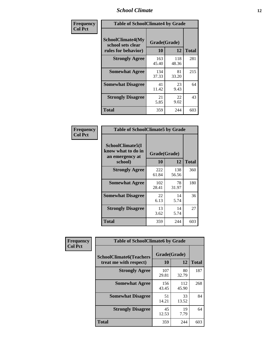### *School Climate* **12**

| Frequency      | <b>Table of SchoolClimate4 by Grade</b>                              |                    |              |              |
|----------------|----------------------------------------------------------------------|--------------------|--------------|--------------|
| <b>Col Pct</b> | <b>SchoolClimate4(My</b><br>school sets clear<br>rules for behavior) | Grade(Grade)<br>10 | 12           | <b>Total</b> |
|                | <b>Strongly Agree</b>                                                | 163<br>45.40       | 118<br>48.36 | 281          |
|                | <b>Somewhat Agree</b>                                                | 134<br>37.33       | 81<br>33.20  | 215          |
|                | <b>Somewhat Disagree</b>                                             | 41<br>11.42        | 23<br>9.43   | 64           |
|                | <b>Strongly Disagree</b>                                             | 21<br>5.85         | 22<br>9.02   | 43           |
|                | <b>Total</b>                                                         | 359                | 244          | 603          |

| <b>Table of SchoolClimate5 by Grade</b>                              |                    |              |     |  |
|----------------------------------------------------------------------|--------------------|--------------|-----|--|
| SchoolClimate5(I<br>know what to do in<br>an emergency at<br>school) | Grade(Grade)<br>10 | <b>Total</b> |     |  |
| <b>Strongly Agree</b>                                                | 222<br>61.84       | 138<br>56.56 | 360 |  |
| <b>Somewhat Agree</b>                                                | 102<br>28.41       | 78<br>31.97  | 180 |  |
| <b>Somewhat Disagree</b>                                             | 22<br>6.13         | 14<br>5.74   | 36  |  |
| <b>Strongly Disagree</b>                                             | 13<br>3.62         | 14<br>5.74   | 27  |  |
| Total                                                                | 359                | 244          | 603 |  |

| Frequency      | <b>Table of SchoolClimate6 by Grade</b>                  |                    |              |              |
|----------------|----------------------------------------------------------|--------------------|--------------|--------------|
| <b>Col Pct</b> | <b>SchoolClimate6(Teachers</b><br>treat me with respect) | Grade(Grade)<br>10 | 12           | <b>Total</b> |
|                | <b>Strongly Agree</b>                                    | 107<br>29.81       | 80<br>32.79  | 187          |
|                | <b>Somewhat Agree</b>                                    | 156<br>43.45       | 112<br>45.90 | 268          |
|                | <b>Somewhat Disagree</b>                                 | 51<br>14.21        | 33<br>13.52  | 84           |
|                | <b>Strongly Disagree</b>                                 | 45<br>12.53        | 19<br>7.79   | 64           |
|                | <b>Total</b>                                             | 359                | 244          | 603          |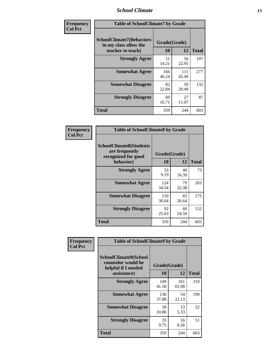### *School Climate* **13**

| Frequency      | <b>Table of SchoolClimate7 by Grade</b>                                       |                    |              |              |
|----------------|-------------------------------------------------------------------------------|--------------------|--------------|--------------|
| <b>Col Pct</b> | <b>SchoolClimate7(Behaviors</b><br>in my class allow the<br>teacher to teach) | Grade(Grade)<br>10 | 12           | <b>Total</b> |
|                | <b>Strongly Agree</b>                                                         | 51<br>14.21        | 56<br>22.95  | 107          |
|                | <b>Somewhat Agree</b>                                                         | 166<br>46.24       | 111<br>45.49 | 277          |
|                | <b>Somewhat Disagree</b>                                                      | 82<br>22.84        | 50<br>20.49  | 132          |
|                | <b>Strongly Disagree</b>                                                      | 60<br>16.71        | 27<br>11.07  | 87           |
|                | <b>Total</b>                                                                  | 359                | 244          | 603          |

| Frequency      | <b>Table of SchoolClimate8 by Grade</b>                                              |                    |             |              |
|----------------|--------------------------------------------------------------------------------------|--------------------|-------------|--------------|
| <b>Col Pct</b> | <b>SchoolClimate8(Students</b><br>are frequently<br>recognized for good<br>behavior) | Grade(Grade)<br>10 | 12          | <b>Total</b> |
|                | <b>Strongly Agree</b>                                                                | 33<br>9.19         | 40<br>16.39 | 73           |
|                | <b>Somewhat Agree</b>                                                                | 124<br>34.54       | 79<br>32.38 | 203          |
|                | <b>Somewhat Disagree</b>                                                             | 110<br>30.64       | 65<br>26.64 | 175          |
|                | <b>Strongly Disagree</b>                                                             | 92<br>25.63        | 60<br>24.59 | 152          |
|                | <b>Total</b>                                                                         | 359                | 244         | 603          |

| Frequency<br><b>Col Pct</b> | <b>Table of SchoolClimate9 by Grade</b>                                                  |                    |              |              |
|-----------------------------|------------------------------------------------------------------------------------------|--------------------|--------------|--------------|
|                             | <b>SchoolClimate9(School</b><br>counselor would be<br>helpful if I needed<br>assistance) | Grade(Grade)<br>10 | 12           | <b>Total</b> |
|                             | <b>Strongly Agree</b>                                                                    | 149<br>41.50       | 161<br>65.98 | 310          |
|                             | <b>Somewhat Agree</b>                                                                    | 136<br>37.88       | 54<br>22.13  | 190          |
|                             | <b>Somewhat Disagree</b>                                                                 | 39<br>10.86        | 13<br>5.33   | 52           |
|                             | <b>Strongly Disagree</b>                                                                 | 35<br>9.75         | 16<br>6.56   | 51           |
|                             | Total                                                                                    | 359                | 244          | 603          |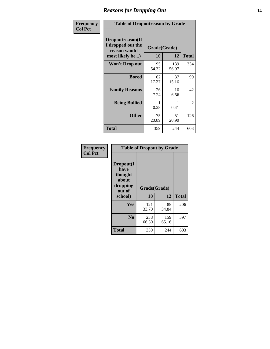### *Reasons for Dropping Out* **14**

| Frequency      | <b>Table of Dropoutreason by Grade</b>                                   |              |                    |              |
|----------------|--------------------------------------------------------------------------|--------------|--------------------|--------------|
| <b>Col Pct</b> | Dropoutreason(If<br>I dropped out the<br>reason would<br>most likely be) | <b>10</b>    | Grade(Grade)<br>12 | <b>Total</b> |
|                | <b>Won't Drop out</b>                                                    | 195<br>54.32 | 139<br>56.97       | 334          |
|                | <b>Bored</b>                                                             | 62<br>17.27  | 37<br>15.16        | 99           |
|                | <b>Family Reasons</b>                                                    | 26<br>7.24   | 16<br>6.56         | 42           |
|                | <b>Being Bullied</b>                                                     | 0.28         | 1<br>0.41          | 2            |
|                | <b>Other</b>                                                             | 75<br>20.89  | 51<br>20.90        | 126          |
|                | <b>Total</b>                                                             | 359          | 244                | 603          |

| Frequency      | <b>Table of Dropout by Grade</b>                                       |                    |              |              |  |
|----------------|------------------------------------------------------------------------|--------------------|--------------|--------------|--|
| <b>Col Pct</b> | Dropout(I<br>have<br>thought<br>about<br>dropping<br>out of<br>school) | Grade(Grade)<br>10 | 12           | <b>Total</b> |  |
|                |                                                                        |                    |              |              |  |
|                | Yes                                                                    | 121<br>33.70       | 85<br>34.84  | 206          |  |
|                | N <sub>0</sub>                                                         | 238<br>66.30       | 159<br>65.16 | 397          |  |
|                | <b>Total</b>                                                           | 359                | 244          | 603          |  |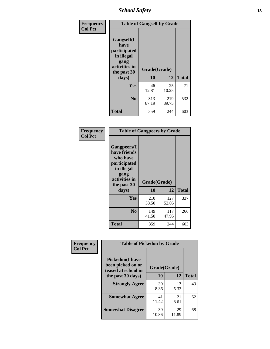*School Safety* **15**

| Frequency      | <b>Table of Gangself by Grade</b>                                                                 |                    |              |              |
|----------------|---------------------------------------------------------------------------------------------------|--------------------|--------------|--------------|
| <b>Col Pct</b> | Gangself(I<br>have<br>participated<br>in illegal<br>gang<br>activities in<br>the past 30<br>days) | Grade(Grade)<br>10 | 12           | <b>Total</b> |
|                | Yes                                                                                               | 46<br>12.81        | 25<br>10.25  | 71           |
|                | N <sub>0</sub>                                                                                    | 313<br>87.19       | 219<br>89.75 | 532          |
|                | <b>Total</b>                                                                                      | 359                | 244          | 603          |

| Frequency<br><b>Col Pct</b> | <b>Table of Gangpeers by Grade</b>                                                                                             |                    |              |              |
|-----------------------------|--------------------------------------------------------------------------------------------------------------------------------|--------------------|--------------|--------------|
|                             | <b>Gangpeers</b> (I<br>have friends<br>who have<br>participated<br>in illegal<br>gang<br>activities in<br>the past 30<br>days) | Grade(Grade)<br>10 | 12           | <b>Total</b> |
|                             | <b>Yes</b>                                                                                                                     | 210<br>58.50       | 127<br>52.05 | 337          |
|                             | N <sub>0</sub>                                                                                                                 | 149<br>41.50       | 117<br>47.95 | 266          |
|                             | <b>Total</b>                                                                                                                   | 359                | 244          | 603          |

| Frequency      | <b>Table of Pickedon by Grade</b>                                  |              |             |              |
|----------------|--------------------------------------------------------------------|--------------|-------------|--------------|
| <b>Col Pct</b> | <b>Pickedon(I have</b><br>been picked on or<br>teased at school in | Grade(Grade) |             |              |
|                | the past 30 days)                                                  | 10           | 12          | <b>Total</b> |
|                | <b>Strongly Agree</b>                                              | 30           | 13          | 43           |
|                |                                                                    | 8.36         | 5.33        |              |
|                | <b>Somewhat Agree</b>                                              | 41           | 21          | 62           |
|                |                                                                    | 11.42        | 8.61        |              |
|                | <b>Somewhat Disagree</b>                                           | 39<br>10.86  | 29<br>11.89 | 68           |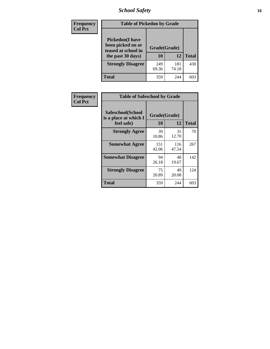# *School Safety* **16**

| <b>Frequency</b> | <b>Table of Pickedon by Grade</b>                                                        |                    |              |              |
|------------------|------------------------------------------------------------------------------------------|--------------------|--------------|--------------|
| <b>Col Pct</b>   | <b>Pickedon</b> (I have<br>been picked on or<br>teased at school in<br>the past 30 days) | Grade(Grade)<br>10 | 12           | <b>Total</b> |
|                  | <b>Strongly Disagree</b>                                                                 | 249<br>69.36       | 181<br>74.18 | 430          |
|                  | Total                                                                                    | 359                | 244          | 60.          |

| Frequency      | <b>Table of Safeschool by Grade</b>                      |                    |              |              |
|----------------|----------------------------------------------------------|--------------------|--------------|--------------|
| <b>Col Pct</b> | Safeschool(School<br>is a place at which I<br>feel safe) | Grade(Grade)<br>10 | 12           | <b>Total</b> |
|                | <b>Strongly Agree</b>                                    | 39<br>10.86        | 31<br>12.70  | 70           |
|                | <b>Somewhat Agree</b>                                    | 151<br>42.06       | 116<br>47.54 | 267          |
|                | <b>Somewhat Disagree</b>                                 | 94<br>26.18        | 48<br>19.67  | 142          |
|                | <b>Strongly Disagree</b>                                 | 75<br>20.89        | 49<br>20.08  | 124          |
|                | <b>Total</b>                                             | 359                | 244          | 603          |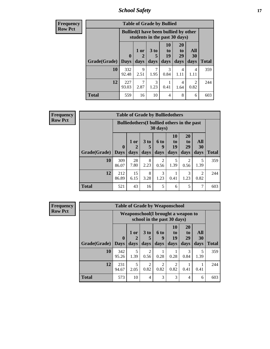*School Safety* **17**

| <b>Frequency</b> |              |                             | <b>Table of Grade by Bullied</b>                                              |                              |                        |                               |                        |              |
|------------------|--------------|-----------------------------|-------------------------------------------------------------------------------|------------------------------|------------------------|-------------------------------|------------------------|--------------|
| <b>Row Pct</b>   |              |                             | <b>Bullied</b> (I have been bullied by other<br>students in the past 30 days) |                              |                        |                               |                        |              |
|                  | Grade(Grade) | $\mathbf 0$<br>$\vert$ Days | 1 or<br>days                                                                  | 3 <sub>to</sub><br>5<br>days | 10<br>to<br>19<br>days | <b>20</b><br>to<br>29<br>days | All<br>30<br>days      | <b>Total</b> |
|                  |              |                             |                                                                               |                              |                        |                               |                        |              |
|                  | 10           | 332<br>92.48                | $\mathbf Q$<br>2.51                                                           | 1.95                         | 3<br>0.84              | 4<br>1.11                     | 4<br>1.11              | 359          |
|                  | 12           | 227<br>93.03                | 7<br>2.87                                                                     | 3<br>1.23                    | 0.41                   | 4<br>1.64                     | $\mathfrak{D}$<br>0.82 | 244          |
|                  | <b>Total</b> | 559                         | 16                                                                            | 10                           | 4                      | 8                             | 6                      | 603          |

| Frequency      | <b>Table of Grade by Bulliedothers</b> |              |            |                                                    |           |                |                |                        |              |
|----------------|----------------------------------------|--------------|------------|----------------------------------------------------|-----------|----------------|----------------|------------------------|--------------|
| <b>Row Pct</b> |                                        |              |            | <b>Bulliedothers</b> (I bullied others in the past | 30 days)  |                |                |                        |              |
|                |                                        | $\mathbf{0}$ | $1$ or     | 3 <sub>to</sub>                                    | 6 to<br>9 | 10<br>to<br>19 | 20<br>to<br>29 | <b>All</b><br>30       |              |
|                | Grade(Grade)   Days                    |              | days       | days                                               | days      | days           | days           | days                   | <b>Total</b> |
|                | 10                                     | 309<br>86.07 | 28<br>7.80 | 8<br>2.23                                          | 2<br>0.56 | 5<br>1.39      | 2<br>0.56      | 5<br>1.39              | 359          |
|                | 12                                     | 212<br>86.89 | 15<br>6.15 | 8<br>3.28                                          | 3<br>1.23 | 0.41           | 3<br>1.23      | $\overline{2}$<br>0.82 | 244          |
|                | <b>Total</b>                           | 521          | 43         | 16                                                 | 5         | 6              | 5              | 7                      | 603          |

| Frequency      | <b>Table of Grade by Weaponschool</b> |              |           |                             |                        |                       |                                     |           |              |
|----------------|---------------------------------------|--------------|-----------|-----------------------------|------------------------|-----------------------|-------------------------------------|-----------|--------------|
| <b>Row Pct</b> |                                       |              |           | school in the past 30 days) |                        |                       | Weaponschool (I brought a weapon to |           |              |
|                |                                       | $\mathbf 0$  | 1 or      | 3 <sub>to</sub>             | <b>6 to</b><br>9       | <b>10</b><br>to<br>19 | <b>20</b><br>to<br>29               | All<br>30 |              |
|                | <b>Grade</b> (Grade)   Days           |              | days      | days                        | days                   | days                  | days                                | days      | <b>Total</b> |
|                | 10                                    | 342<br>95.26 | 5<br>1.39 | $\overline{2}$<br>0.56      | 0.28                   | 0.28                  | 3<br>0.84                           | 5<br>1.39 | 359          |
|                | 12                                    | 231<br>94.67 | 5<br>2.05 | $\overline{2}$<br>0.82      | $\mathfrak{D}$<br>0.82 | 2<br>0.82             | 0.41                                | 0.41      | 244          |
|                | <b>Total</b>                          | 573          | 10        | 4                           | 3                      | $\mathcal{F}$         | 4                                   | 6         | 603          |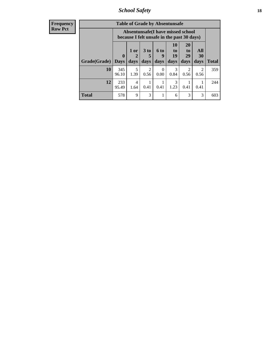*School Safety* **18**

| <b>Frequency</b> |              | <b>Table of Grade by Absentunsafe</b> |           |                                                                                 |                  |                |                        |                        |              |  |
|------------------|--------------|---------------------------------------|-----------|---------------------------------------------------------------------------------|------------------|----------------|------------------------|------------------------|--------------|--|
| <b>Row Pct</b>   |              |                                       |           | Absentunsafe(I have missed school<br>because I felt unsafe in the past 30 days) |                  |                |                        |                        |              |  |
|                  |              | $\mathbf{0}$                          | 1 or<br>2 | 3 <sub>to</sub><br>5                                                            | <b>6 to</b>      | 10<br>to<br>19 | <b>20</b><br>to<br>29  | All<br>30              |              |  |
|                  | Grade(Grade) | <b>Days</b>                           | days      | days                                                                            | days             | days           | days                   | days                   | <b>Total</b> |  |
|                  | <b>10</b>    | 345<br>96.10                          | 5<br>1.39 | $\overline{2}$<br>0.56                                                          | $\Omega$<br>0.00 | 3<br>0.84      | $\overline{2}$<br>0.56 | $\overline{2}$<br>0.56 | 359          |  |
|                  | 12           | 233<br>95.49                          | 4<br>1.64 | 0.41                                                                            | 0.41             | 3<br>1.23      | 0.41                   | 0.41                   | 244          |  |
|                  | <b>Total</b> | 578                                   | 9         | 3                                                                               |                  | 6              | 3                      | 3                      | 603          |  |
|                  |              |                                       |           |                                                                                 |                  |                |                        |                        |              |  |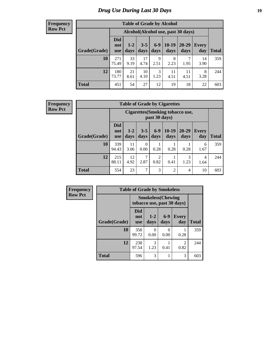# *Drug Use During Last 30 Days* **19**

#### **Frequency Row Pct**

| <b>Table of Grade by Alcohol</b> |                                 |                                     |                 |               |                 |                   |                     |              |  |  |
|----------------------------------|---------------------------------|-------------------------------------|-----------------|---------------|-----------------|-------------------|---------------------|--------------|--|--|
|                                  |                                 | Alcohol (Alcohol use, past 30 days) |                 |               |                 |                   |                     |              |  |  |
| Grade(Grade)                     | <b>Did</b><br>not<br><b>use</b> | $1 - 2$<br>days                     | $3 - 5$<br>days | $6-9$<br>days | $10-19$<br>days | $20 - 29$<br>days | <b>Every</b><br>day | <b>Total</b> |  |  |
| 10                               | 271<br>75.49                    | 33<br>9.19                          | 17<br>4.74      | 9<br>2.51     | 8<br>2.23       | 1.95              | 14<br>3.90          | 359          |  |  |
| 12                               | 180<br>73.77                    | 21<br>8.61                          | 10<br>4.10      | 3<br>1.23     | 11<br>4.51      | 11<br>4.51        | 8<br>3.28           | 244          |  |  |
| <b>Total</b>                     | 451                             | 54                                  | 27              | 12            | 19              | 18                | 22                  | 603          |  |  |

| <b>Table of Grade by Cigarettes</b> |                                 |                                                                                                                  |                  |                        |                |           |           |     |  |  |
|-------------------------------------|---------------------------------|------------------------------------------------------------------------------------------------------------------|------------------|------------------------|----------------|-----------|-----------|-----|--|--|
|                                     |                                 | Cigarettes (Smoking tobacco use,<br>past 30 days)                                                                |                  |                        |                |           |           |     |  |  |
| Grade(Grade)                        | <b>Did</b><br>not<br><b>use</b> | $10-19$<br>$6-9$<br>20-29<br>$3 - 5$<br>$1 - 2$<br>Every<br>days<br>Total<br>days<br>days<br>days<br>day<br>days |                  |                        |                |           |           |     |  |  |
| 10                                  | 339<br>94.43                    | 11<br>3.06                                                                                                       | $\Omega$<br>0.00 | 0.28                   | 0.28           | 0.28      | 6<br>1.67 | 359 |  |  |
| 12                                  | 215<br>88.11                    | 12<br>4.92                                                                                                       | 7<br>2.87        | $\overline{2}$<br>0.82 | 0.41           | 3<br>1.23 | 4<br>1.64 | 244 |  |  |
| <b>Total</b>                        | 554                             | 23                                                                                                               | 7                | 3                      | $\overline{2}$ | 4         | 10        | 603 |  |  |

| Frequency      |              | <b>Table of Grade by Smokeless</b> |                                                         |                           |                        |              |  |  |  |  |
|----------------|--------------|------------------------------------|---------------------------------------------------------|---------------------------|------------------------|--------------|--|--|--|--|
| <b>Row Pct</b> |              |                                    | <b>Smokeless</b> (Chewing<br>tobacco use, past 30 days) |                           |                        |              |  |  |  |  |
|                | Grade(Grade) | Did<br>not<br><b>use</b>           | $1 - 2$<br>days                                         | $6 - 9$<br>days           | Every<br>day           | <b>Total</b> |  |  |  |  |
|                | 10           | 358<br>99.72                       | $\Omega$<br>0.00                                        | $\mathbf{\Omega}$<br>0.00 | 0.28                   | 359          |  |  |  |  |
|                | 12           | 238<br>97.54                       | 3<br>1.23                                               | 0.41                      | $\mathfrak{D}$<br>0.82 | 244          |  |  |  |  |
|                | <b>Total</b> | 596                                | 3                                                       |                           | 3                      | 603          |  |  |  |  |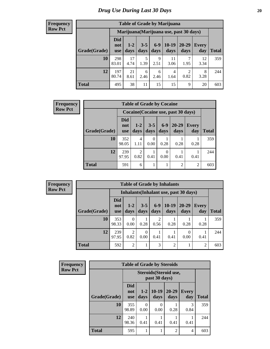| <b>Table of Grade by Marijuana</b> |                                 |                                         |                 |                 |                        |                        |                     |       |  |  |
|------------------------------------|---------------------------------|-----------------------------------------|-----------------|-----------------|------------------------|------------------------|---------------------|-------|--|--|
|                                    |                                 | Marijuana (Marijuana use, past 30 days) |                 |                 |                        |                        |                     |       |  |  |
| Grade(Grade)                       | <b>Did</b><br>not<br><b>use</b> | $1 - 2$<br>days                         | $3 - 5$<br>days | $6 - 9$<br>days | $10 - 19$<br>days      | 20-29<br>days          | <b>Every</b><br>day | Total |  |  |
| 10                                 | 298<br>83.01                    | 17<br>4.74                              | 5<br>1.39       | 9<br>2.51       | 11<br>3.06             | 1.95                   | 12<br>3.34          | 359   |  |  |
| 12                                 | 197<br>80.74                    | 21<br>8.61                              | 6<br>2.46       | 6<br>2.46       | $\overline{4}$<br>1.64 | $\overline{2}$<br>0.82 | 8<br>3.28           | 244   |  |  |
| <b>Total</b>                       | 495                             | 38                                      | 11              | 15              | 15                     | 9                      | 20                  | 603   |  |  |

| <b>Frequency</b> |              | <b>Table of Grade by Cocaine</b> |               |                  |                 |                                     |                |              |  |
|------------------|--------------|----------------------------------|---------------|------------------|-----------------|-------------------------------------|----------------|--------------|--|
| <b>Row Pct</b>   |              |                                  |               |                  |                 | Cocaine (Cocaine use, past 30 days) |                |              |  |
|                  | Grade(Grade) | <b>Did</b><br>not<br><b>use</b>  | $1-2$<br>days | $3 - 5$<br>days  | $6 - 9$<br>days | $20 - 29$<br>days                   | Every<br>day   | <b>Total</b> |  |
|                  | 10           | 352<br>98.05                     | 4<br>1.11     | $\theta$<br>0.00 | 0.28            | 0.28                                | 0.28           | 359          |  |
|                  | 12           | 239<br>97.95                     | 2<br>0.82     | 0.41             | 0<br>0.00       | 0.41                                | 0.41           | 244          |  |
|                  | <b>Total</b> | 591                              | 6             |                  |                 | $\overline{2}$                      | $\overline{2}$ | 603          |  |

| <b>Frequency</b> |
|------------------|
| <b>Row Pct</b>   |

| <b>Table of Grade by Inhalants</b>     |                                 |                        |                 |                 |                 |                   |                |              |  |  |
|----------------------------------------|---------------------------------|------------------------|-----------------|-----------------|-----------------|-------------------|----------------|--------------|--|--|
| Inhalants (Inhalant use, past 30 days) |                                 |                        |                 |                 |                 |                   |                |              |  |  |
| Grade(Grade)                           | <b>Did</b><br>not<br><b>use</b> | $1 - 2$<br>days        | $3 - 5$<br>days | $6 - 9$<br>days | $10-19$<br>days | $20 - 29$<br>days | Every<br>day   | <b>Total</b> |  |  |
| 10                                     | 353<br>98.33                    | 0<br>0.00              | 0.28            | っ<br>0.56       | 0.28            | 0.28              | 0.28           | 359          |  |  |
| 12                                     | 239<br>97.95                    | $\overline{c}$<br>0.82 | 0<br>0.00       | 0.41            | 0.41            | 0<br>0.00         | 0.41           | 244          |  |  |
| <b>Total</b>                           | 592                             | $\overline{2}$         |                 | 3               | $\overline{2}$  |                   | $\overline{2}$ | 603          |  |  |

| <b>Frequency</b> | <b>Table of Grade by Steroids</b> |                          |                  |                                         |                   |                     |              |  |
|------------------|-----------------------------------|--------------------------|------------------|-----------------------------------------|-------------------|---------------------|--------------|--|
| <b>Row Pct</b>   |                                   |                          |                  | Steroids (Steroid use,<br>past 30 days) |                   |                     |              |  |
|                  | Grade(Grade)                      | <b>Did</b><br>not<br>use | $1-2$<br>days    | $10-19$<br>days                         | $20 - 29$<br>days | <b>Every</b><br>day | <b>Total</b> |  |
|                  | 10                                | 355<br>98.89             | $\Omega$<br>0.00 | 0<br>0.00                               | 0.28              | 3<br>0.84           | 359          |  |
|                  | 12                                | 240<br>98.36             | 0.41             | 0.41                                    | 0.41              | 0.41                | 244          |  |
|                  | <b>Total</b>                      | 595                      | 1                |                                         | $\overline{c}$    | 4                   | 603          |  |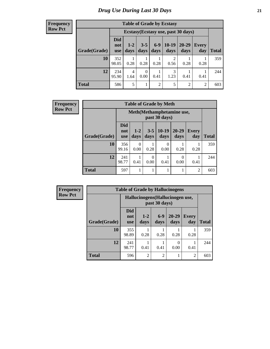| <b>Table of Grade by Ecstasy</b> |                                 |                                     |                  |                |                        |               |              |       |  |  |
|----------------------------------|---------------------------------|-------------------------------------|------------------|----------------|------------------------|---------------|--------------|-------|--|--|
|                                  |                                 | Ecstasy (Ecstasy use, past 30 days) |                  |                |                        |               |              |       |  |  |
| Grade(Grade)                     | <b>Did</b><br>not<br><b>use</b> | $1-2$<br>days                       | $3 - 5$<br>days  | $6-9$<br>days  | $10-19$<br>days        | 20-29<br>days | Every<br>day | Total |  |  |
| 10                               | 352<br>98.05                    | 0.28                                | 0.28             | 0.28           | $\overline{c}$<br>0.56 | 0.28          | 0.28         | 359   |  |  |
| 12                               | 234<br>95.90                    | $\overline{4}$<br>1.64              | $\Omega$<br>0.00 | 0.41           | 3<br>1.23              | 0.41          | 0.41         | 244   |  |  |
| <b>Total</b>                     | 586                             | 5                                   |                  | $\overline{2}$ | 5                      | 2             | 2            | 603   |  |  |

| <b>Frequency</b> | <b>Table of Grade by Meth</b> |                                 |                           |                 |                 |                   |                     |              |
|------------------|-------------------------------|---------------------------------|---------------------------|-----------------|-----------------|-------------------|---------------------|--------------|
| <b>Row Pct</b>   |                               |                                 | Meth(Methamphetamine use, |                 |                 |                   |                     |              |
|                  | Grade(Grade)                  | <b>Did</b><br>not<br><b>use</b> | $1-2$<br>days             | $3 - 5$<br>days | $10-19$<br>days | $20 - 29$<br>days | <b>Every</b><br>day | <b>Total</b> |
|                  | <b>10</b>                     | 356<br>99.16                    | $\Omega$<br>0.00          | 0.28            | 0<br>0.00       | 0.28              | 0.28                | 359          |
|                  | 12                            | 241<br>98.77                    | 0.41                      | 0.00            | 0.41            | 0.00              | 0.41                | 244          |
|                  | <b>Total</b>                  | 597                             |                           |                 | 1               |                   | $\overline{2}$      | 603          |

| <b>Frequency</b> | <b>Table of Grade by Hallucinogens</b> |                                 |                |                                                   |                   |              |              |  |
|------------------|----------------------------------------|---------------------------------|----------------|---------------------------------------------------|-------------------|--------------|--------------|--|
| <b>Row Pct</b>   |                                        |                                 |                | Hallucinogens (Hallucinogen use,<br>past 30 days) |                   |              |              |  |
|                  | Grade(Grade)                           | <b>Did</b><br>not<br><b>use</b> | $1-2$<br>days  | $6-9$<br>days                                     | $20 - 29$<br>days | Every<br>day | <b>Total</b> |  |
|                  | 10                                     | 355<br>98.89                    | 0.28           | 0.28                                              | 0.28              | 0.28         | 359          |  |
|                  | 12                                     | 241<br>98.77                    | 0.41           | 0.41                                              | $\theta$<br>0.00  | 0.41         | 244          |  |
|                  | <b>Total</b>                           | 596                             | $\overline{2}$ | $\overline{c}$                                    |                   | 2            | 603          |  |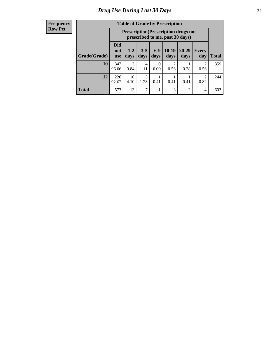| <b>Table of Grade by Prescription</b> |                                                                                                                                              |                                                                                |           |           |           |                |           |              |  |
|---------------------------------------|----------------------------------------------------------------------------------------------------------------------------------------------|--------------------------------------------------------------------------------|-----------|-----------|-----------|----------------|-----------|--------------|--|
|                                       |                                                                                                                                              | <b>Prescription</b> (Prescription drugs not<br>prescribed to me, past 30 days) |           |           |           |                |           |              |  |
| Grade(Grade)                          | <b>Did</b><br>$6 - 9$<br>$10-19$<br>20-29<br>$3 - 5$<br>$1 - 2$<br>Every<br>not<br>days<br>days<br>days<br>day<br>days<br>days<br><b>use</b> |                                                                                |           |           |           |                |           | <b>Total</b> |  |
| 10                                    | 347<br>96.66                                                                                                                                 | $\mathcal{R}$<br>0.84                                                          | 4<br>1.11 | 0<br>0.00 | 2<br>0.56 | 0.28           | 2<br>0.56 | 359          |  |
| 12                                    | 226<br>92.62                                                                                                                                 | 10<br>4.10                                                                     | 3<br>1.23 | 0.41      | 0.41      | 0.41           | 2<br>0.82 | 244          |  |
| <b>Total</b>                          | 573                                                                                                                                          | 13                                                                             | 7         | 1         | 3         | $\mathfrak{D}$ | 4         | 603          |  |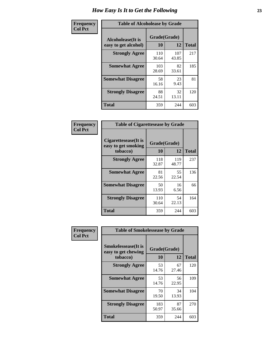| Frequency      | <b>Table of Alcoholease by Grade</b>              |                    |              |     |  |  |  |
|----------------|---------------------------------------------------|--------------------|--------------|-----|--|--|--|
| <b>Col Pct</b> | <b>Alcoholease</b> (It is<br>easy to get alcohol) | Grade(Grade)<br>10 | <b>Total</b> |     |  |  |  |
|                | <b>Strongly Agree</b>                             | 110<br>30.64       | 107<br>43.85 | 217 |  |  |  |
|                | <b>Somewhat Agree</b>                             | 103<br>28.69       | 82<br>33.61  | 185 |  |  |  |
|                | <b>Somewhat Disagree</b>                          | 58<br>16.16        | 23<br>9.43   | 81  |  |  |  |
|                | <b>Strongly Disagree</b>                          | 88<br>24.51        | 32<br>13.11  | 120 |  |  |  |
|                | <b>Total</b>                                      | 359                | 244          | 603 |  |  |  |

| Frequency      | <b>Table of Cigarettesease by Grade</b>                  |                    |              |              |  |  |
|----------------|----------------------------------------------------------|--------------------|--------------|--------------|--|--|
| <b>Col Pct</b> | Cigarettesease (It is<br>easy to get smoking<br>tobacco) | Grade(Grade)<br>10 | 12           | <b>Total</b> |  |  |
|                | <b>Strongly Agree</b>                                    | 118<br>32.87       | 119<br>48.77 | 237          |  |  |
|                | <b>Somewhat Agree</b>                                    | 81<br>22.56        | 55<br>22.54  | 136          |  |  |
|                | <b>Somewhat Disagree</b>                                 | 50<br>13.93        | 16<br>6.56   | 66           |  |  |
|                | <b>Strongly Disagree</b>                                 | 110<br>30.64       | 54<br>22.13  | 164          |  |  |
|                | <b>Total</b>                                             | 359                | 244          | 603          |  |  |

| Frequency      | <b>Table of Smokelessease by Grade</b>                         |              |                    |     |  |  |  |  |
|----------------|----------------------------------------------------------------|--------------|--------------------|-----|--|--|--|--|
| <b>Col Pct</b> | <b>Smokelessease</b> (It is<br>easy to get chewing<br>tobacco) | 10           | Grade(Grade)<br>12 |     |  |  |  |  |
|                | <b>Strongly Agree</b>                                          | 53<br>14.76  | 67<br>27.46        | 120 |  |  |  |  |
|                | <b>Somewhat Agree</b>                                          | 53<br>14.76  | 56<br>22.95        | 109 |  |  |  |  |
|                | <b>Somewhat Disagree</b>                                       | 70<br>19.50  | 34<br>13.93        | 104 |  |  |  |  |
|                | <b>Strongly Disagree</b>                                       | 183<br>50.97 | 87<br>35.66        | 270 |  |  |  |  |
|                | <b>Total</b>                                                   | 359          | 244                | 603 |  |  |  |  |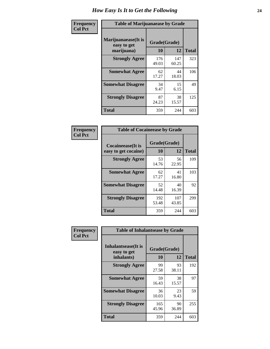| Frequency      | <b>Table of Marijuanaease by Grade</b>           |                    |              |              |  |  |
|----------------|--------------------------------------------------|--------------------|--------------|--------------|--|--|
| <b>Col Pct</b> | Marijuanaease(It is<br>easy to get<br>marijuana) | Grade(Grade)<br>10 | 12           | <b>Total</b> |  |  |
|                | <b>Strongly Agree</b>                            | 176<br>49.03       | 147<br>60.25 | 323          |  |  |
|                | <b>Somewhat Agree</b>                            | 62<br>17.27        | 44<br>18.03  | 106          |  |  |
|                | <b>Somewhat Disagree</b>                         | 34<br>9.47         | 15<br>6.15   | 49           |  |  |
|                | <b>Strongly Disagree</b>                         | 87<br>24.23        | 38<br>15.57  | 125          |  |  |
|                | <b>Total</b>                                     | 359                | 244          | 603          |  |  |

| <b>Table of Cocaineease by Grade</b>              |              |              |     |  |  |  |  |
|---------------------------------------------------|--------------|--------------|-----|--|--|--|--|
| <b>Cocaineease</b> (It is<br>easy to get cocaine) | <b>Total</b> |              |     |  |  |  |  |
| <b>Strongly Agree</b>                             | 53<br>14.76  | 56<br>22.95  | 109 |  |  |  |  |
| <b>Somewhat Agree</b>                             | 62<br>17.27  | 41<br>16.80  | 103 |  |  |  |  |
| <b>Somewhat Disagree</b>                          | 52<br>14.48  | 40<br>16.39  | 92  |  |  |  |  |
| <b>Strongly Disagree</b>                          | 192<br>53.48 | 107<br>43.85 | 299 |  |  |  |  |
| <b>Total</b>                                      | 359          | 244          | 603 |  |  |  |  |

| Frequency      | <b>Table of Inhalantsease by Grade</b>           |                    |             |              |  |  |
|----------------|--------------------------------------------------|--------------------|-------------|--------------|--|--|
| <b>Col Pct</b> | Inhalantsease(It is<br>easy to get<br>inhalants) | Grade(Grade)<br>10 | 12          | <b>Total</b> |  |  |
|                | <b>Strongly Agree</b>                            | 99<br>27.58        | 93<br>38.11 | 192          |  |  |
|                | <b>Somewhat Agree</b>                            | 59<br>16.43        | 38<br>15.57 | 97           |  |  |
|                | <b>Somewhat Disagree</b>                         | 36<br>10.03        | 23<br>9.43  | 59           |  |  |
|                | <b>Strongly Disagree</b>                         | 165<br>45.96       | 90<br>36.89 | 255          |  |  |
|                | <b>Total</b>                                     | 359                | 244         | 603          |  |  |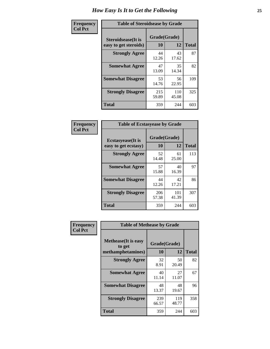| Frequency      |                                                     | <b>Table of Steroidsease by Grade</b> |              |              |  |  |  |  |  |  |
|----------------|-----------------------------------------------------|---------------------------------------|--------------|--------------|--|--|--|--|--|--|
| <b>Col Pct</b> | <b>Steroidsease</b> (It is<br>easy to get steroids) | Grade(Grade)<br>10                    | 12           | <b>Total</b> |  |  |  |  |  |  |
|                | <b>Strongly Agree</b>                               | 44<br>12.26                           | 43<br>17.62  | 87           |  |  |  |  |  |  |
|                | <b>Somewhat Agree</b>                               | 47<br>13.09                           | 35<br>14.34  | 82           |  |  |  |  |  |  |
|                | <b>Somewhat Disagree</b>                            | 53<br>14.76                           | 56<br>22.95  | 109          |  |  |  |  |  |  |
|                | <b>Strongly Disagree</b>                            | 215<br>59.89                          | 110<br>45.08 | 325          |  |  |  |  |  |  |
|                | <b>Total</b>                                        | 359                                   | 244          | 603          |  |  |  |  |  |  |

| Frequency      | <b>Table of Ecstasyease by Grade</b>              |                           |              |              |
|----------------|---------------------------------------------------|---------------------------|--------------|--------------|
| <b>Col Pct</b> | <b>Ecstasyease</b> (It is<br>easy to get ecstasy) | Grade(Grade)<br><b>10</b> | 12           | <b>Total</b> |
|                | <b>Strongly Agree</b>                             | 52<br>14.48               | 61<br>25.00  | 113          |
|                | <b>Somewhat Agree</b>                             | 57<br>15.88               | 40<br>16.39  | 97           |
|                | <b>Somewhat Disagree</b>                          | 44<br>12.26               | 42<br>17.21  | 86           |
|                | <b>Strongly Disagree</b>                          | 206<br>57.38              | 101<br>41.39 | 307          |
|                | Total                                             | 359                       | 244          | 603          |

| Frequency      | <b>Table of Methease by Grade</b>     |              |              |              |
|----------------|---------------------------------------|--------------|--------------|--------------|
| <b>Col Pct</b> | <b>Methease</b> (It is easy<br>to get | Grade(Grade) |              |              |
|                | methamphetamines)                     | 10           | 12           | <b>Total</b> |
|                | <b>Strongly Agree</b>                 | 32<br>8.91   | 50<br>20.49  | 82           |
|                | <b>Somewhat Agree</b>                 | 40<br>11.14  | 27<br>11.07  | 67           |
|                | <b>Somewhat Disagree</b>              | 48<br>13.37  | 48<br>19.67  | 96           |
|                | <b>Strongly Disagree</b>              | 239<br>66.57 | 119<br>48.77 | 358          |
|                | <b>Total</b>                          | 359          | 244          | 603          |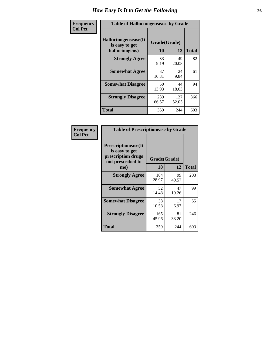| <b>Frequency</b> | <b>Table of Hallucinogensease by Grade</b>               |                    |              |              |  |  |  |  |  |  |  |
|------------------|----------------------------------------------------------|--------------------|--------------|--------------|--|--|--|--|--|--|--|
| <b>Col Pct</b>   | Hallucinogensease(It<br>is easy to get<br>hallucinogens) | Grade(Grade)<br>10 | 12           | <b>Total</b> |  |  |  |  |  |  |  |
|                  | <b>Strongly Agree</b>                                    | 33<br>9.19         | 49<br>20.08  | 82           |  |  |  |  |  |  |  |
|                  | <b>Somewhat Agree</b>                                    | 37<br>10.31        | 24<br>9.84   | 61           |  |  |  |  |  |  |  |
|                  | <b>Somewhat Disagree</b>                                 | 50<br>13.93        | 44<br>18.03  | 94           |  |  |  |  |  |  |  |
|                  | <b>Strongly Disagree</b>                                 | 239<br>66.57       | 127<br>52.05 | 366          |  |  |  |  |  |  |  |
|                  | <b>Total</b>                                             | 359                | 244          | 603          |  |  |  |  |  |  |  |

| Frequency<br>  Col Pct |
|------------------------|
|                        |

| <b>Table of Prescriptionease by Grade</b>                                                |              |             |              |  |  |  |  |  |  |  |  |
|------------------------------------------------------------------------------------------|--------------|-------------|--------------|--|--|--|--|--|--|--|--|
| <b>Prescriptionease</b> (It<br>is easy to get<br>prescription drugs<br>not prescribed to | Grade(Grade) |             |              |  |  |  |  |  |  |  |  |
| me)                                                                                      | 10           | 12          | <b>Total</b> |  |  |  |  |  |  |  |  |
| <b>Strongly Agree</b>                                                                    | 104<br>28.97 | 99<br>40.57 | 203          |  |  |  |  |  |  |  |  |
| <b>Somewhat Agree</b>                                                                    | 52<br>14.48  | 47<br>19.26 | 99           |  |  |  |  |  |  |  |  |
| <b>Somewhat Disagree</b>                                                                 | 38<br>10.58  | 17<br>6.97  | 55           |  |  |  |  |  |  |  |  |
| <b>Strongly Disagree</b>                                                                 | 165<br>45.96 | 81<br>33.20 | 246          |  |  |  |  |  |  |  |  |
| <b>Total</b>                                                                             | 359          | 244         | 603          |  |  |  |  |  |  |  |  |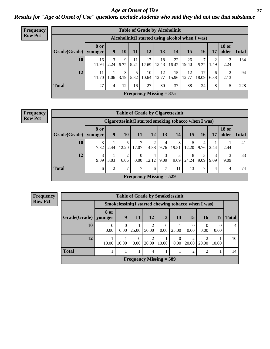*Age at Onset of Use* **27** *Results for "Age at Onset of Use" questions exclude students who said they did not use that substance*

| <b>Frequency</b> |                                                  | <b>Table of Grade by Alcoholinit</b> |           |           |            |             |                           |             |             |                       |           |                       |              |
|------------------|--------------------------------------------------|--------------------------------------|-----------|-----------|------------|-------------|---------------------------|-------------|-------------|-----------------------|-----------|-----------------------|--------------|
| <b>Row Pct</b>   | Alcoholinit (I started using alcohol when I was) |                                      |           |           |            |             |                           |             |             |                       |           |                       |              |
|                  | Grade(Grade)                                     | <b>8 or</b><br>younger               | 9         | 10        | 11         | <b>12</b>   | 13                        | 14          | 15          | 16                    | 17        | <b>18 or</b><br>older | <b>Total</b> |
|                  | 10                                               | 16<br>11.94                          | 3<br>2.24 | 9<br>6.72 | 11<br>8.21 | 17<br>12.69 | 18<br>13.43               | 22<br>16.42 | 26<br>19.40 | $\mathcal{I}$<br>5.22 | 2<br>1.49 | 2.24                  | 134          |
|                  | 12                                               | 11<br>11.70                          | 1.06      | 3<br>3.19 | 5<br>5.32  | 10<br>10.64 | 12<br>12.77               | 15<br>15.96 | 12<br>12.77 | 17<br>18.09           | 6<br>6.38 | 2.13                  | 94           |
|                  | <b>Total</b>                                     | 27                                   | 4         | 12        | 16         | 27          | 30                        | 37          | 38          | 24                    | 8         |                       | 228          |
|                  |                                                  |                                      |           |           |            |             | Frequency Missing $= 375$ |             |             |                       |           |                       |              |

| <b>Frequency</b> | <b>Table of Grade by Cigarettesinit</b> |                 |                |                                                      |                  |                           |           |            |            |                 |           |                       |       |
|------------------|-----------------------------------------|-----------------|----------------|------------------------------------------------------|------------------|---------------------------|-----------|------------|------------|-----------------|-----------|-----------------------|-------|
| <b>Row Pct</b>   |                                         |                 |                | Cigarettesinit(I started smoking tobacco when I was) |                  |                           |           |            |            |                 |           |                       |       |
|                  | Grade(Grade)                            | 8 or<br>younger | 9              | 10                                                   | 11               | 12                        | 13        | 14         | 15         | 16 <sub>l</sub> | 17        | <b>18 or</b><br>older | Total |
|                  | 10                                      | 3<br>7.32       | 2.44           | 12.20                                                | 17.07            | 4.88                      | 4<br>9.76 | 8<br>19.51 | 12.20      | 4<br>9.76       | 2.44      | 2.44                  | 41    |
|                  | 12                                      | 3<br>9.09       | 3.03           | 6.06                                                 | $\Omega$<br>0.00 | 4<br>12.12                | 3<br>9.09 | 3<br>9.09  | 8<br>24.24 | 3<br>9.09       | 3<br>9.09 | 3<br>9.09             | 33    |
|                  | <b>Total</b>                            | 6               | $\overline{c}$ | 7                                                    | $\mathcal{I}$    | 6                         | 7         | 11         | 13         | 7               | 4         | 4                     | 74    |
|                  |                                         |                 |                |                                                      |                  | Frequency Missing $= 529$ |           |            |            |                 |           |                       |       |

|                                          | <b>Table of Grade by Smokelessinit</b> |                                                      |                  |                         |                  |                  |                 |            |           |              |  |  |  |
|------------------------------------------|----------------------------------------|------------------------------------------------------|------------------|-------------------------|------------------|------------------|-----------------|------------|-----------|--------------|--|--|--|
|                                          |                                        | Smokelessinit (I started chewing tobacco when I was) |                  |                         |                  |                  |                 |            |           |              |  |  |  |
| Grade(Grade)                             | 8 or<br>younger                        | 9                                                    | <b>11</b>        | <b>12</b>               | 13               | 14               | 15 <sup>1</sup> | <b>16</b>  | 17        | <b>Total</b> |  |  |  |
| 10                                       | $\Omega$<br>0.00                       | 0.00                                                 | 25.00            | $\overline{2}$<br>50.00 | $\Omega$<br>0.00 | 25.00            | 0<br>0.00       | 0.00       | 0<br>0.00 | 4            |  |  |  |
| 12                                       | 10.00                                  | 10.00                                                | $\theta$<br>0.00 | $\overline{2}$<br>20.00 | 10.00            | $\Omega$<br>0.00 | 2<br>20.00      | ി<br>20.00 | 10.00     | 10           |  |  |  |
| <b>Total</b><br>2<br>↑<br>$\overline{4}$ |                                        |                                                      |                  |                         |                  |                  |                 |            |           |              |  |  |  |
| Frequency Missing $=$ 589                |                                        |                                                      |                  |                         |                  |                  |                 |            |           |              |  |  |  |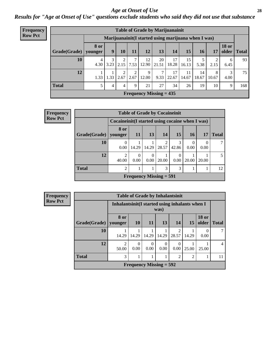#### *Age at Onset of Use* **28**

*Results for "Age at Onset of Use" questions exclude students who said they did not use that substance*

| Frequency      |                                                      | <b>Table of Grade by Marijuanainit</b> |      |           |           |             |                           |             |             |             |            |                       |              |
|----------------|------------------------------------------------------|----------------------------------------|------|-----------|-----------|-------------|---------------------------|-------------|-------------|-------------|------------|-----------------------|--------------|
| <b>Row Pct</b> | Marijuanainit (I started using marijuana when I was) |                                        |      |           |           |             |                           |             |             |             |            |                       |              |
|                | Grade(Grade)                                         | <b>8</b> or<br>younger                 | 9    | 10        | 11        | 12          | 13                        | 14          | 15          | 16          | 17         | <b>18 or</b><br>older | <b>Total</b> |
|                | 10                                                   | 4<br>4.30                              | 3.23 | 2<br>2.15 | 7<br>7.53 | 12<br>12.90 | 20<br>21.51               | 17<br>18.28 | 15<br>16.13 | 5.38        | 2<br>2.15  | 6<br>6.45             | 93           |
|                | 12                                                   | 1.33                                   | 1.33 | 2<br>2.67 | 2<br>2.67 | 9<br>12.00  | 7<br>9.33                 | 17<br>22.67 | 11<br>14.67 | 14<br>18.67 | 8<br>10.67 | 4.00                  | 75           |
|                | <b>Total</b>                                         | $\mathfrak{H}$                         | 4    | 4         | 9         | 21          | 27                        | 34          | 26          | 19          | 10         | 9                     | 168          |
|                |                                                      |                                        |      |           |           |             | Frequency Missing $= 435$ |             |             |             |            |                       |              |

| <b>Frequency</b> |                        |                                                  | <b>Table of Grade by Cocaineinit</b> |                  |            |       |                 |       |              |
|------------------|------------------------|--------------------------------------------------|--------------------------------------|------------------|------------|-------|-----------------|-------|--------------|
| <b>Row Pct</b>   |                        | Cocaineinit (I started using cocaine when I was) |                                      |                  |            |       |                 |       |              |
|                  | Grade(Grade)   younger | 8 or                                             | <b>11</b>                            | 13               | <b>14</b>  | 15    | 16 <sup>1</sup> | 17    | <b>Total</b> |
|                  | <b>10</b>              | 0<br>0.00                                        | 14.29                                | 14.29            | 2<br>28.57 | 42.86 | 0.00            | 0.00  |              |
|                  | 12                     | $\mathfrak{D}$<br>40.00                          | $\Omega$<br>$0.00^{\circ}$           | $\theta$<br>0.00 | 20.00      | 0.00  | 20.00           | 20.00 | 5.           |
|                  | <b>Total</b>           | $\overline{2}$                                   |                                      |                  | 3          | 3     |                 |       | 12           |
|                  |                        |                                                  | <b>Frequency Missing = 591</b>       |                  |            |       |                 |       |              |

| Frequency      |              |                         |                                                         |                  | <b>Table of Grade by Inhalantsinit</b> |                         |           |                       |                |  |  |  |  |  |
|----------------|--------------|-------------------------|---------------------------------------------------------|------------------|----------------------------------------|-------------------------|-----------|-----------------------|----------------|--|--|--|--|--|
| <b>Row Pct</b> |              |                         | Inhalantsinit (I started using inhalants when I<br>was) |                  |                                        |                         |           |                       |                |  |  |  |  |  |
|                | Grade(Grade) | 8 or<br>younger         | <b>10</b>                                               | <b>11</b>        | 13                                     | <b>14</b>               | <b>15</b> | <b>18 or</b><br>older | <b>Total</b>   |  |  |  |  |  |
|                | 10           | 14.29                   | 14.29                                                   | 14.29            | 14.29                                  | $\mathfrak{D}$<br>28.57 | 14.29     | $\theta$<br>0.00      |                |  |  |  |  |  |
|                | 12           | $\mathfrak{D}$<br>50.00 | $\Omega$<br>0.00                                        | $\Omega$<br>0.00 | $\Omega$<br>0.00                       | $\Omega$<br>0.00        | 25.00     | 25.00                 | $\overline{4}$ |  |  |  |  |  |
|                | <b>Total</b> | 3                       | $\mathfrak{D}$<br>$\overline{2}$                        |                  |                                        |                         |           |                       |                |  |  |  |  |  |
|                |              |                         |                                                         |                  | Frequency Missing $= 592$              |                         |           |                       |                |  |  |  |  |  |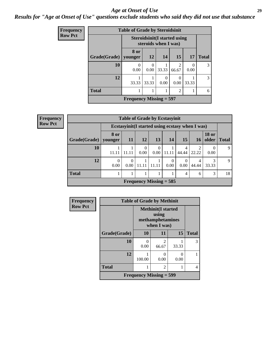#### *Age at Onset of Use* **29**

*Results for "Age at Onset of Use" questions exclude students who said they did not use that substance*

| Frequency      | <b>Table of Grade by Steroidsinit</b> |                                                             |           |           |                         |       |              |
|----------------|---------------------------------------|-------------------------------------------------------------|-----------|-----------|-------------------------|-------|--------------|
| <b>Row Pct</b> |                                       | <b>Steroidsinit(I started using</b><br>steroids when I was) |           |           |                         |       |              |
|                | Grade(Grade)                          | 8 or<br>younger                                             | <b>12</b> | 14        | 15                      | 17    | <b>Total</b> |
|                | 10                                    | 0.00                                                        | 0<br>0.00 | 33.33     | $\mathfrak{D}$<br>66.67 | 0.00  | 3            |
|                | 12                                    | 33.33                                                       | 33.33     | 0<br>0.00 | 0.00                    | 33.33 | 3            |
|                | <b>Total</b>                          |                                                             | 6         |           |                         |       |              |
|                |                                       | Frequency Missing $=$ 597                                   |           |           |                         |       |              |

| <b>Frequency</b> | <b>Table of Grade by Ecstasyinit</b> |                  |                  |                           |                  |                  |                  |                                                  |                       |              |
|------------------|--------------------------------------|------------------|------------------|---------------------------|------------------|------------------|------------------|--------------------------------------------------|-----------------------|--------------|
| <b>Row Pct</b>   |                                      |                  |                  |                           |                  |                  |                  | Ecstasyinit (I started using ecstasy when I was) |                       |              |
|                  | Grade(Grade)   younger               | 8 or             | <b>11</b>        | <b>12</b>                 | 13               | 14               | <b>15</b>        | <b>16</b>                                        | <b>18 or</b><br>older | <b>Total</b> |
|                  | 10                                   | 11.11            | 11.11            | 0<br>0.00                 | $\theta$<br>0.00 | 11.11            | 4<br>44.44       | 2<br>22.22                                       | 0.00                  | 9            |
|                  | 12                                   | $\theta$<br>0.00 | $\Omega$<br>0.00 | 11.11                     | 11.11            | $\Omega$<br>0.00 | $\theta$<br>0.00 | 4<br>44.44                                       | 33.33                 | 9            |
|                  | <b>Total</b>                         |                  |                  |                           |                  |                  | $\overline{4}$   | 6                                                | 3                     | 18           |
|                  |                                      |                  |                  | Frequency Missing $= 585$ |                  |                  |                  |                                                  |                       |              |

| Frequency      | <b>Table of Grade by Methinit</b> |                           |                                                                       |           |              |  |  |
|----------------|-----------------------------------|---------------------------|-----------------------------------------------------------------------|-----------|--------------|--|--|
| <b>Row Pct</b> |                                   |                           | <b>Methinit(I started</b><br>using<br>methamphetamines<br>when I was) |           |              |  |  |
|                | Grade(Grade)                      | <b>10</b>                 | 11                                                                    | 15        | <b>Total</b> |  |  |
|                | 10                                | 0<br>0.00                 | $\mathfrak{D}$<br>66.67                                               | 33.33     | 3            |  |  |
|                | 12                                | 100.00                    | 0.00                                                                  | 0<br>0.00 |              |  |  |
|                | <b>Total</b>                      |                           | 2                                                                     |           |              |  |  |
|                |                                   | Frequency Missing $=$ 599 |                                                                       |           |              |  |  |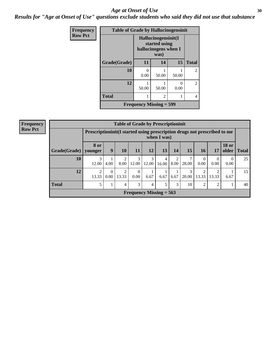#### Age at Onset of Use **30**

*Results for "Age at Onset of Use" questions exclude students who said they did not use that substance*

| Frequency      |              | <b>Table of Grade by Hallucinogensinit</b> |                                                                      |                           |                |  |
|----------------|--------------|--------------------------------------------|----------------------------------------------------------------------|---------------------------|----------------|--|
| <b>Row Pct</b> |              |                                            | Hallucinogensinit(I<br>started using<br>hallucinogens when I<br>was) |                           |                |  |
|                | Grade(Grade) | 11                                         | 14                                                                   | 15                        | <b>Total</b>   |  |
|                | 10           | 0.00                                       | 50.00                                                                | 50.00                     | $\overline{2}$ |  |
|                | 12           | 50.00                                      | 50.00                                                                | $\mathbf{\Omega}$<br>0.00 | $\mathfrak{D}$ |  |
|                | <b>Total</b> |                                            | 2                                                                    |                           | 4              |  |
|                |              | Frequency Missing $=$ 599                  |                                                                      |                           |                |  |

| <b>Frequency</b> |              | <b>Table of Grade by Prescriptioninit</b>                              |                  |                |                                |            |             |      |            |                        |                         |                       |              |
|------------------|--------------|------------------------------------------------------------------------|------------------|----------------|--------------------------------|------------|-------------|------|------------|------------------------|-------------------------|-----------------------|--------------|
| <b>Row Pct</b>   |              | Prescription in the Islam at a prescription drugs not prescribed to me |                  |                |                                |            | when I was) |      |            |                        |                         |                       |              |
|                  | Grade(Grade) | <b>8</b> or<br>younger                                                 | 9                | 10             | 11                             | 12         | 13          | 14   | 15         | 16                     | 17                      | <b>18 or</b><br>older | <b>Total</b> |
|                  | 10           | 3<br>12.00                                                             | 4.00             | 2<br>8.00      | 3<br>12.00                     | 3<br>12.00 | 4<br>16.00  | 8.00 | 28.00      | $\Omega$<br>0.00       | $\Omega$<br>0.00        | $\Omega$<br>0.00      | 25           |
|                  | 12           | 13.33                                                                  | $\Omega$<br>0.00 | 2<br>13.33     | $\theta$<br>0.00               | 6.67       | 6.67        | 6.67 | 3<br>20.00 | $\mathcal{D}$<br>13.33 | $\overline{2}$<br>13.33 | 6.67                  | 15           |
|                  | <b>Total</b> | 5                                                                      |                  | $\overline{4}$ | 3                              | 4          | 5           | 3    | 10         | $\overline{2}$         | 2                       |                       | 40           |
|                  |              |                                                                        |                  |                | <b>Frequency Missing = 563</b> |            |             |      |            |                        |                         |                       |              |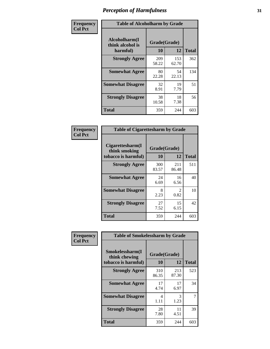| Frequency      | <b>Table of Alcoholharm by Grade</b>          |                    |              |              |  |  |
|----------------|-----------------------------------------------|--------------------|--------------|--------------|--|--|
| <b>Col Pct</b> | Alcoholharm(I<br>think alcohol is<br>harmful) | Grade(Grade)<br>10 | 12           | <b>Total</b> |  |  |
|                | <b>Strongly Agree</b>                         | 209<br>58.22       | 153<br>62.70 | 362          |  |  |
|                | <b>Somewhat Agree</b>                         | 80<br>22.28        | 54<br>22.13  | 134          |  |  |
|                | <b>Somewhat Disagree</b>                      | 32<br>8.91         | 19<br>7.79   | 51           |  |  |
|                | <b>Strongly Disagree</b>                      | 38<br>10.58        | 18<br>7.38   | 56           |  |  |
|                | <b>Total</b>                                  | 359                | 244          | 603          |  |  |

|                                                          | <b>Table of Cigarettesharm by Grade</b> |                        |              |  |  |  |  |  |
|----------------------------------------------------------|-----------------------------------------|------------------------|--------------|--|--|--|--|--|
| Cigarettesharm(I<br>think smoking<br>tobacco is harmful) | Grade(Grade)<br>10                      | 12                     | <b>Total</b> |  |  |  |  |  |
| <b>Strongly Agree</b>                                    | 300<br>83.57                            | 211<br>86.48           | 511          |  |  |  |  |  |
| <b>Somewhat Agree</b>                                    | 24<br>6.69                              | 16<br>6.56             | 40           |  |  |  |  |  |
| <b>Somewhat Disagree</b>                                 | 8<br>2.23                               | $\mathfrak{D}$<br>0.82 | 10           |  |  |  |  |  |
| <b>Strongly Disagree</b>                                 | 27<br>7.52                              | 15<br>6.15             | 42           |  |  |  |  |  |
| <b>Total</b>                                             | 359                                     | 244                    | 603          |  |  |  |  |  |

| Frequency      | <b>Table of Smokelessharm by Grade</b>                  |                           |              |              |  |
|----------------|---------------------------------------------------------|---------------------------|--------------|--------------|--|
| <b>Col Pct</b> | Smokelessharm(I<br>think chewing<br>tobacco is harmful) | Grade(Grade)<br><b>10</b> | 12           | <b>Total</b> |  |
|                | <b>Strongly Agree</b>                                   | 310<br>86.35              | 213<br>87.30 | 523          |  |
|                | <b>Somewhat Agree</b>                                   | 17<br>4.74                | 17<br>6.97   | 34           |  |
|                | <b>Somewhat Disagree</b>                                | 4<br>1.11                 | 3<br>1.23    | 7            |  |
|                | <b>Strongly Disagree</b>                                | 28<br>7.80                | 11<br>4.51   | 39           |  |
|                | Total                                                   | 359                       | 244          | 603          |  |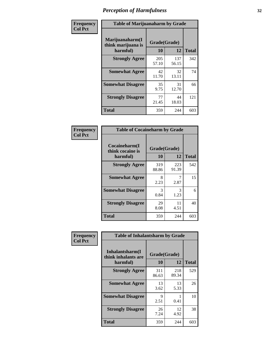| Frequency      | <b>Table of Marijuanaharm by Grade</b>            |                    |              |              |  |  |
|----------------|---------------------------------------------------|--------------------|--------------|--------------|--|--|
| <b>Col Pct</b> | Marijuanaharm(I<br>think marijuana is<br>harmful) | Grade(Grade)<br>10 | 12           | <b>Total</b> |  |  |
|                | <b>Strongly Agree</b>                             | 205<br>57.10       | 137<br>56.15 | 342          |  |  |
|                | <b>Somewhat Agree</b>                             | 42<br>11.70        | 32<br>13.11  | 74           |  |  |
|                | <b>Somewhat Disagree</b>                          | 35<br>9.75         | 31<br>12.70  | 66           |  |  |
|                | <b>Strongly Disagree</b>                          | 77<br>21.45        | 44<br>18.03  | 121          |  |  |
|                | <b>Total</b>                                      | 359                | 244          | 603          |  |  |

|                                               | <b>Table of Cocaineharm by Grade</b> |              |              |  |  |  |  |
|-----------------------------------------------|--------------------------------------|--------------|--------------|--|--|--|--|
| Cocaineharm(I<br>think cocaine is<br>harmful) | Grade(Grade)<br>10                   | 12           | <b>Total</b> |  |  |  |  |
| <b>Strongly Agree</b>                         | 319<br>88.86                         | 223<br>91.39 | 542          |  |  |  |  |
| <b>Somewhat Agree</b>                         | 8<br>2.23                            | 7<br>2.87    | 15           |  |  |  |  |
| <b>Somewhat Disagree</b>                      | 3<br>0.84                            | 3<br>1.23    | 6            |  |  |  |  |
| <b>Strongly Disagree</b>                      | 29<br>8.08                           | 11<br>4.51   | 40           |  |  |  |  |
| <b>Total</b>                                  | 359                                  | 244          | 603          |  |  |  |  |

| Frequency      | <b>Table of Inhalantsharm by Grade</b>              |                    |              |              |
|----------------|-----------------------------------------------------|--------------------|--------------|--------------|
| <b>Col Pct</b> | Inhalantsharm(I)<br>think inhalants are<br>harmful) | Grade(Grade)<br>10 | 12           | <b>Total</b> |
|                | <b>Strongly Agree</b>                               | 311<br>86.63       | 218<br>89.34 | 529          |
|                | <b>Somewhat Agree</b>                               | 13<br>3.62         | 13<br>5.33   | 26           |
|                | <b>Somewhat Disagree</b>                            | 9<br>2.51          | 0.41         | 10           |
|                | <b>Strongly Disagree</b>                            | 26<br>7.24         | 12<br>4.92   | 38           |
|                | <b>Total</b>                                        | 359                | 244          | 603          |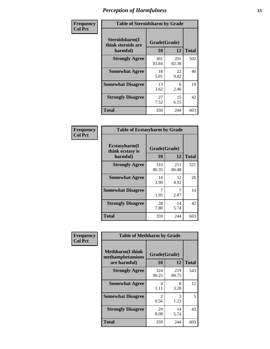| Frequency      | <b>Table of Steroidsharm by Grade</b>            |                    |              |              |  |  |
|----------------|--------------------------------------------------|--------------------|--------------|--------------|--|--|
| <b>Col Pct</b> | Steroidsharm(I<br>think steroids are<br>harmful) | Grade(Grade)<br>10 | 12           | <b>Total</b> |  |  |
|                | <b>Strongly Agree</b>                            | 301<br>83.84       | 201<br>82.38 | 502          |  |  |
|                | <b>Somewhat Agree</b>                            | 18<br>5.01         | 22<br>9.02   | 40           |  |  |
|                | <b>Somewhat Disagree</b>                         | 13<br>3.62         | 6<br>2.46    | 19           |  |  |
|                | <b>Strongly Disagree</b>                         | 27<br>7.52         | 15<br>6.15   | 42           |  |  |
|                | <b>Total</b>                                     | 359                | 244          | 603          |  |  |

| <b>Table of Ecstasyharm by Grade</b>          |                    |              |              |  |  |
|-----------------------------------------------|--------------------|--------------|--------------|--|--|
| Ecstasyharm(I<br>think ecstasy is<br>harmful) | Grade(Grade)<br>10 | 12           | <b>Total</b> |  |  |
| <b>Strongly Agree</b>                         | 310<br>86.35       | 211<br>86.48 | 521          |  |  |
| <b>Somewhat Agree</b>                         | 14<br>3.90         | 12<br>4.92   | 26           |  |  |
| <b>Somewhat Disagree</b>                      | 7<br>1.95          | 7<br>2.87    | 14           |  |  |
| <b>Strongly Disagree</b>                      | 28<br>7.80         | 14<br>5.74   | 42           |  |  |
| <b>Total</b>                                  | 359                | 244          | 603          |  |  |

| Frequency      | <b>Table of Methharm by Grade</b>                            |                    |              |              |
|----------------|--------------------------------------------------------------|--------------------|--------------|--------------|
| <b>Col Pct</b> | <b>Methharm</b> (I think<br>methamphetamines<br>are harmful) | Grade(Grade)<br>10 | 12           | <b>Total</b> |
|                | <b>Strongly Agree</b>                                        | 324<br>90.25       | 219<br>89.75 | 543          |
|                | <b>Somewhat Agree</b>                                        | 4<br>1.11          | 8<br>3.28    | 12           |
|                | <b>Somewhat Disagree</b>                                     | 2<br>0.56          | 3<br>1.23    | 5            |
|                | <b>Strongly Disagree</b>                                     | 29<br>8.08         | 14<br>5.74   | 43           |
|                | <b>Total</b>                                                 | 359                | 244          | 603          |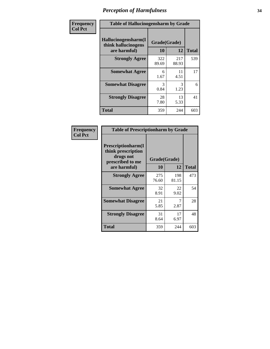| Frequency      | <b>Table of Hallucinogensharm by Grade</b>                 |                    |              |              |
|----------------|------------------------------------------------------------|--------------------|--------------|--------------|
| <b>Col Pct</b> | Hallucinogensharm(I<br>think hallucinogens<br>are harmful) | Grade(Grade)<br>10 | 12           | <b>Total</b> |
|                | <b>Strongly Agree</b>                                      | 322<br>89.69       | 217<br>88.93 | 539          |
|                | <b>Somewhat Agree</b>                                      | 6<br>1.67          | 11<br>4.51   | 17           |
|                | <b>Somewhat Disagree</b>                                   | 3<br>0.84          | 3<br>1.23    | 6            |
|                | <b>Strongly Disagree</b>                                   | 28<br>7.80         | 13<br>5.33   | 41           |
|                | <b>Total</b>                                               | 359                | 244          | 603          |

| <b>Table of Prescriptionharm by Grade</b>                                         |              |              |              |  |
|-----------------------------------------------------------------------------------|--------------|--------------|--------------|--|
| <b>Prescriptionharm</b> (I<br>think prescription<br>drugs not<br>prescribed to me | Grade(Grade) |              |              |  |
| are harmful)                                                                      | 10           | 12           | <b>Total</b> |  |
| <b>Strongly Agree</b>                                                             | 275<br>76.60 | 198<br>81.15 | 473          |  |
| <b>Somewhat Agree</b>                                                             | 32<br>8.91   | 22<br>9.02   | 54           |  |
| <b>Somewhat Disagree</b>                                                          | 21<br>5.85   | 2.87         | 28           |  |
| <b>Strongly Disagree</b>                                                          | 31<br>8.64   | 17<br>6.97   | 48           |  |
| <b>Total</b>                                                                      | 359          | 244          | 603          |  |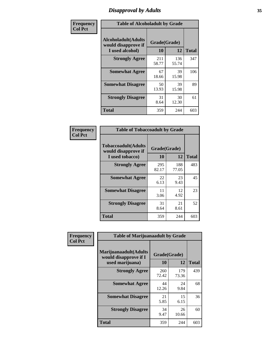# *Disapproval by Adults* **35**

| Frequency      | <b>Table of Alcoholadult by Grade</b>                         |                    |              |              |
|----------------|---------------------------------------------------------------|--------------------|--------------|--------------|
| <b>Col Pct</b> | Alcoholadult(Adults<br>would disapprove if<br>I used alcohol) | Grade(Grade)<br>10 | 12           | <b>Total</b> |
|                | <b>Strongly Agree</b>                                         | 211<br>58.77       | 136<br>55.74 | 347          |
|                | <b>Somewhat Agree</b>                                         | 67<br>18.66        | 39<br>15.98  | 106          |
|                | <b>Somewhat Disagree</b>                                      | 50<br>13.93        | 39<br>15.98  | 89           |
|                | <b>Strongly Disagree</b>                                      | 31<br>8.64         | 30<br>12.30  | 61           |
|                | <b>Total</b>                                                  | 359                | 244          | 603          |

| <b>Table of Tobaccoadult by Grade</b>                                 |                    |              |              |  |  |
|-----------------------------------------------------------------------|--------------------|--------------|--------------|--|--|
| <b>Tobaccoadult</b> (Adults<br>would disapprove if<br>I used tobacco) | Grade(Grade)<br>10 | 12           | <b>Total</b> |  |  |
| <b>Strongly Agree</b>                                                 | 295<br>82.17       | 188<br>77.05 | 483          |  |  |
| <b>Somewhat Agree</b>                                                 | 22<br>6.13         | 23<br>9.43   | 45           |  |  |
| <b>Somewhat Disagree</b>                                              | 11<br>3.06         | 12<br>4.92   | 23           |  |  |
| <b>Strongly Disagree</b>                                              | 31<br>8.64         | 21<br>8.61   | 52           |  |  |
| Total                                                                 | 359                | 244          | 603          |  |  |

| Frequency<br><b>Col Pct</b> | <b>Table of Marijuanaadult by Grade</b>                           |                    |              |              |
|-----------------------------|-------------------------------------------------------------------|--------------------|--------------|--------------|
|                             | Marijuanaadult(Adults<br>would disapprove if I<br>used marijuana) | Grade(Grade)<br>10 | 12           | <b>Total</b> |
|                             | <b>Strongly Agree</b>                                             | 260<br>72.42       | 179<br>73.36 | 439          |
|                             | <b>Somewhat Agree</b>                                             | 44<br>12.26        | 24<br>9.84   | 68           |
|                             | <b>Somewhat Disagree</b>                                          | 21<br>5.85         | 15<br>6.15   | 36           |
|                             | <b>Strongly Disagree</b>                                          | 34<br>9.47         | 26<br>10.66  | 60           |
|                             | <b>Total</b>                                                      | 359                | 244          | 603          |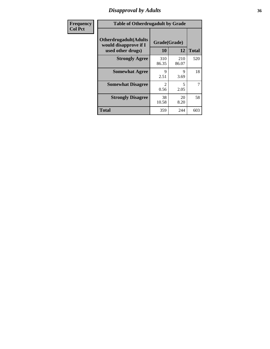# *Disapproval by Adults* **36**

| Frequency      | <b>Table of Otherdrugadult by Grade</b>                                     |                                     |              |              |
|----------------|-----------------------------------------------------------------------------|-------------------------------------|--------------|--------------|
| <b>Col Pct</b> | <b>Otherdrugadult</b> (Adults<br>would disapprove if I<br>used other drugs) | Grade(Grade)<br>10                  | 12           | <b>Total</b> |
|                | <b>Strongly Agree</b>                                                       | 310<br>86.35                        | 210<br>86.07 | 520          |
|                | <b>Somewhat Agree</b>                                                       | 9<br>2.51                           | 9<br>3.69    | 18           |
|                | <b>Somewhat Disagree</b>                                                    | $\mathcal{D}_{\mathcal{L}}$<br>0.56 | 5<br>2.05    | 7            |
|                | <b>Strongly Disagree</b>                                                    | 38<br>10.58                         | 20<br>8.20   | 58           |
|                | <b>Total</b>                                                                | 359                                 | 244          | 603          |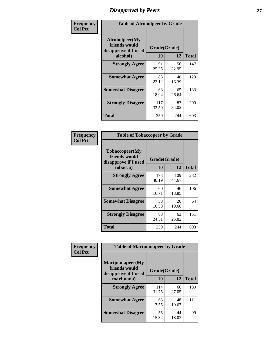# *Disapproval by Peers* **37**

| Frequency      | <b>Table of Alcoholpeer by Grade</b>                    |              |             |              |
|----------------|---------------------------------------------------------|--------------|-------------|--------------|
| <b>Col Pct</b> | Alcoholpeer(My<br>friends would<br>disapprove if I used | Grade(Grade) |             |              |
|                | alcohol)                                                | 10           | 12          | <b>Total</b> |
|                | <b>Strongly Agree</b>                                   | 91<br>25.35  | 56<br>22.95 | 147          |
|                | <b>Somewhat Agree</b>                                   | 83<br>23.12  | 40<br>16.39 | 123          |
|                | <b>Somewhat Disagree</b>                                | 68<br>18.94  | 65<br>26.64 | 133          |
|                | <b>Strongly Disagree</b>                                | 117<br>32.59 | 83<br>34.02 | 200          |
|                | Total                                                   | 359          | 244         | 603          |

| Frequency      | <b>Table of Tobaccopeer by Grade</b>                    |              |              |              |  |
|----------------|---------------------------------------------------------|--------------|--------------|--------------|--|
| <b>Col Pct</b> | Tobaccopeer(My<br>friends would<br>disapprove if I used | Grade(Grade) |              |              |  |
|                | tobacco)                                                | 10           | 12           | <b>Total</b> |  |
|                | <b>Strongly Agree</b>                                   | 173<br>48.19 | 109<br>44.67 | 282          |  |
|                | <b>Somewhat Agree</b>                                   | 60<br>16.71  | 46<br>18.85  | 106          |  |
|                | <b>Somewhat Disagree</b>                                | 38<br>10.58  | 26<br>10.66  | 64           |  |
|                | <b>Strongly Disagree</b>                                | 88<br>24.51  | 63<br>25.82  | 151          |  |
|                | Total                                                   | 359          | 244          | 603          |  |

| Frequency      | <b>Table of Marijuanapeer by Grade</b>                    |              |             |              |
|----------------|-----------------------------------------------------------|--------------|-------------|--------------|
| <b>Col Pct</b> | Marijuanapeer(My<br>friends would<br>disapprove if I used | Grade(Grade) |             |              |
|                | marijuana)                                                | 10           | 12          | <b>Total</b> |
|                | <b>Strongly Agree</b>                                     | 114<br>31.75 | 66<br>27.05 | 180          |
|                | <b>Somewhat Agree</b>                                     | 63<br>17.55  | 48<br>19.67 | 111          |
|                | <b>Somewhat Disagree</b>                                  | 55<br>15.32  | 44<br>18.03 | 99           |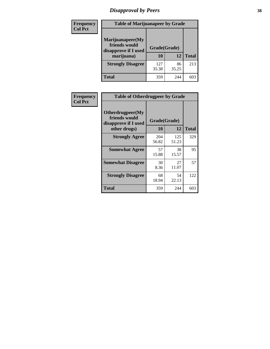# *Disapproval by Peers* **38**

| <b>Frequency</b> | <b>Table of Marijuanapeer by Grade</b>                                  |                           |             |              |  |
|------------------|-------------------------------------------------------------------------|---------------------------|-------------|--------------|--|
| <b>Col Pct</b>   | Marijuanapeer(My<br>friends would<br>disapprove if I used<br>marijuana) | Grade(Grade)<br><b>10</b> | 12          | <b>Total</b> |  |
|                  | <b>Strongly Disagree</b>                                                | 127<br>35.38              | 86<br>35.25 | 213          |  |
|                  | <b>Total</b>                                                            | 359                       | 244         | 603          |  |

| <b>Frequency</b> | <b>Table of Otherdrugpeer by Grade</b>                                    |                    |              |              |
|------------------|---------------------------------------------------------------------------|--------------------|--------------|--------------|
| <b>Col Pct</b>   | Otherdrugpeer(My<br>friends would<br>disapprove if I used<br>other drugs) | Grade(Grade)<br>10 | 12           | <b>Total</b> |
|                  | <b>Strongly Agree</b>                                                     | 204<br>56.82       | 125<br>51.23 | 329          |
|                  | <b>Somewhat Agree</b>                                                     | 57<br>15.88        | 38<br>15.57  | 95           |
|                  | <b>Somewhat Disagree</b>                                                  | 30<br>8.36         | 27<br>11.07  | 57           |
|                  | <b>Strongly Disagree</b>                                                  | 68<br>18.94        | 54<br>22.13  | 122          |
|                  | Total                                                                     | 359                | 244          | 603          |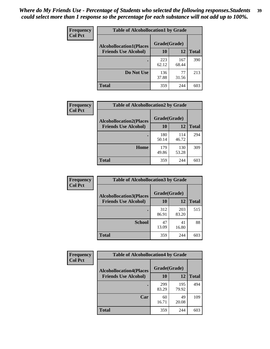| Frequency      | <b>Table of Alcohollocation1 by Grade</b> |              |              |              |
|----------------|-------------------------------------------|--------------|--------------|--------------|
| <b>Col Pct</b> | <b>Alcohollocation1(Places</b>            | Grade(Grade) |              |              |
|                | <b>Friends Use Alcohol)</b>               | 10           | 12           | <b>Total</b> |
|                |                                           | 223<br>62.12 | 167<br>68.44 | 390          |
|                | Do Not Use                                | 136<br>37.88 | 77<br>31.56  | 213          |
|                | <b>Total</b>                              | 359          | 244          | 603          |

| Frequency      | <b>Table of Alcohollocation2 by Grade</b>                     |                    |              |              |
|----------------|---------------------------------------------------------------|--------------------|--------------|--------------|
| <b>Col Pct</b> | <b>Alcohollocation2(Places</b><br><b>Friends Use Alcohol)</b> | Grade(Grade)<br>10 | 12           | <b>Total</b> |
|                |                                                               | 180<br>50.14       | 114<br>46.72 | 294          |
|                | Home                                                          | 179<br>49.86       | 130<br>53.28 | 309          |
|                | Total                                                         | 359                | 244          | 603          |

| Frequency      | <b>Table of Alcohollocation 3 by Grade</b> |                    |              |              |
|----------------|--------------------------------------------|--------------------|--------------|--------------|
| <b>Col Pct</b> | <b>Alcohollocation3(Places</b>             | Grade(Grade)<br>10 |              |              |
|                | <b>Friends Use Alcohol)</b>                |                    | 12           | <b>Total</b> |
|                |                                            | 312<br>86.91       | 203<br>83.20 | 515          |
|                | <b>School</b>                              | 47<br>13.09        | 41<br>16.80  | 88           |
|                | <b>Total</b>                               | 359                | 244          | 603          |

| <b>Frequency</b> | <b>Table of Alcohollocation4 by Grade</b> |              |              |              |  |
|------------------|-------------------------------------------|--------------|--------------|--------------|--|
| <b>Col Pct</b>   | <b>Alcohollocation4(Places</b>            | Grade(Grade) |              |              |  |
|                  | <b>Friends Use Alcohol)</b>               | 10           | 12           | <b>Total</b> |  |
|                  |                                           | 299<br>83.29 | 195<br>79.92 | 494          |  |
|                  | Car                                       | 60<br>16.71  | 49<br>20.08  | 109          |  |
|                  | <b>Total</b>                              | 359          | 244          | 603          |  |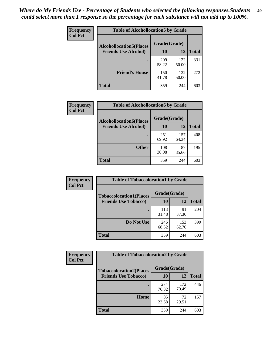| Frequency<br><b>Col Pct</b> | <b>Table of Alcohollocation5 by Grade</b>      |              |              |              |  |
|-----------------------------|------------------------------------------------|--------------|--------------|--------------|--|
|                             | Grade(Grade)<br><b>Alcohollocation5(Places</b> |              |              |              |  |
|                             | <b>Friends Use Alcohol)</b>                    | 10           | 12           | <b>Total</b> |  |
|                             |                                                | 209<br>58.22 | 122<br>50.00 | 331          |  |
|                             | <b>Friend's House</b>                          | 150<br>41.78 | 122<br>50.00 | 272          |  |
|                             | <b>Total</b>                                   | 359          | 244          | 603          |  |

| <b>Frequency</b> | <b>Table of Alcohollocation6 by Grade</b> |              |              |              |  |
|------------------|-------------------------------------------|--------------|--------------|--------------|--|
| <b>Col Pct</b>   | <b>Alcohollocation6(Places</b>            | Grade(Grade) |              |              |  |
|                  | <b>Friends Use Alcohol)</b>               | 10           | 12           | <b>Total</b> |  |
|                  |                                           | 251<br>69.92 | 157<br>64.34 | 408          |  |
|                  | <b>Other</b>                              | 108<br>30.08 | 87<br>35.66  | 195          |  |
|                  | <b>Total</b>                              | 359          | 244          | 603          |  |

| <b>Frequency</b> | <b>Table of Tobaccolocation1 by Grade</b> |              |              |              |
|------------------|-------------------------------------------|--------------|--------------|--------------|
| <b>Col Pct</b>   | <b>Tobaccolocation1(Places</b>            | Grade(Grade) |              |              |
|                  | <b>Friends Use Tobacco)</b>               | 10           | 12           | <b>Total</b> |
|                  |                                           | 113<br>31.48 | 91<br>37.30  | 204          |
|                  | Do Not Use                                | 246<br>68.52 | 153<br>62.70 | 399          |
|                  | <b>Total</b>                              | 359          | 244          | 603          |

| <b>Frequency</b> | <b>Table of Tobaccolocation2 by Grade</b> |              |              |              |  |
|------------------|-------------------------------------------|--------------|--------------|--------------|--|
| <b>Col Pct</b>   | <b>Tobaccolocation2(Places</b>            | Grade(Grade) |              |              |  |
|                  | <b>Friends Use Tobacco)</b>               | 10           | 12           | <b>Total</b> |  |
|                  |                                           | 274<br>76.32 | 172<br>70.49 | 446          |  |
|                  | Home                                      | 85<br>23.68  | 72<br>29.51  | 157          |  |
|                  | <b>Total</b>                              | 359          | 244          | 603          |  |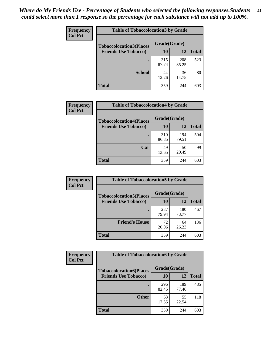| Frequency      | <b>Table of Tobaccolocation 3 by Grade</b> |              |              |              |
|----------------|--------------------------------------------|--------------|--------------|--------------|
| <b>Col Pct</b> | <b>Tobaccolocation3(Places</b>             | Grade(Grade) |              |              |
|                | <b>Friends Use Tobacco)</b>                | 10           | <b>12</b>    | <b>Total</b> |
|                |                                            | 315<br>87.74 | 208<br>85.25 | 523          |
|                | <b>School</b>                              | 44<br>12.26  | 36<br>14.75  | 80           |
|                | <b>Total</b>                               | 359          | 244          | 603          |

| Frequency<br><b>Col Pct</b> | <b>Table of Tobaccolocation4 by Grade</b> |              |              |              |
|-----------------------------|-------------------------------------------|--------------|--------------|--------------|
|                             | <b>Tobaccolocation4(Places</b>            | Grade(Grade) |              |              |
|                             | <b>Friends Use Tobacco)</b>               | 10           | 12           | <b>Total</b> |
|                             |                                           | 310<br>86.35 | 194<br>79.51 | 504          |
|                             | Car                                       | 49<br>13.65  | 50<br>20.49  | 99           |
|                             | <b>Total</b>                              | 359          | 244          | 603          |

| Frequency<br><b>Col Pct</b> | <b>Table of Tobaccolocation5 by Grade</b> |              |              |              |
|-----------------------------|-------------------------------------------|--------------|--------------|--------------|
|                             | <b>Tobaccolocation5(Places</b>            | Grade(Grade) |              |              |
|                             | <b>Friends Use Tobacco)</b>               | 10           | <b>12</b>    | <b>Total</b> |
|                             |                                           | 287<br>79.94 | 180<br>73.77 | 467          |
|                             | <b>Friend's House</b>                     | 72<br>20.06  | 64<br>26.23  | 136          |
|                             | <b>Total</b>                              | 359          | 244          | 603          |

| <b>Frequency</b> | <b>Table of Tobaccolocation6 by Grade</b> |              |              |              |
|------------------|-------------------------------------------|--------------|--------------|--------------|
| <b>Col Pct</b>   | <b>Tobaccolocation6(Places</b>            | Grade(Grade) |              |              |
|                  | <b>Friends Use Tobacco)</b>               | 10           | 12           | <b>Total</b> |
|                  |                                           | 296<br>82.45 | 189<br>77.46 | 485          |
|                  | <b>Other</b>                              | 63<br>17.55  | 55<br>22.54  | 118          |
|                  | <b>Total</b>                              | 359          | 244          | 603          |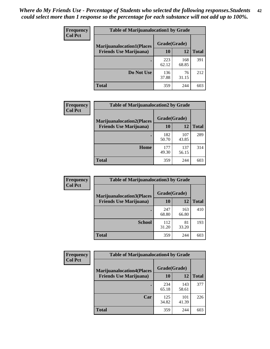| <b>Frequency</b> | <b>Table of Marijuanalocation1 by Grade</b> |              |              |              |
|------------------|---------------------------------------------|--------------|--------------|--------------|
| <b>Col Pct</b>   | <b>Marijuanalocation1(Places</b>            | Grade(Grade) |              |              |
|                  | <b>Friends Use Marijuana</b> )              | 10           | 12           | <b>Total</b> |
|                  |                                             | 223<br>62.12 | 168<br>68.85 | 391          |
|                  | Do Not Use                                  | 136<br>37.88 | 76<br>31.15  | 212          |
|                  | <b>Total</b>                                | 359          | 244          | 603          |

| <b>Frequency</b> | <b>Table of Marijuanalocation2 by Grade</b>                        |                    |              |              |
|------------------|--------------------------------------------------------------------|--------------------|--------------|--------------|
| <b>Col Pct</b>   | <b>Marijuanalocation2(Places</b><br><b>Friends Use Marijuana</b> ) | Grade(Grade)<br>10 | 12           | <b>Total</b> |
|                  |                                                                    | 182<br>50.70       | 107<br>43.85 | 289          |
|                  | Home                                                               | 177<br>49.30       | 137<br>56.15 | 314          |
|                  | <b>Total</b>                                                       | 359                | 244          | 603          |

| Frequency<br><b>Col Pct</b> | <b>Table of Marijuanalocation3 by Grade</b> |              |              |              |
|-----------------------------|---------------------------------------------|--------------|--------------|--------------|
|                             | <b>Marijuanalocation3</b> (Places           | Grade(Grade) |              |              |
|                             | <b>Friends Use Marijuana</b> )              | 10           | 12           | <b>Total</b> |
|                             |                                             | 247<br>68.80 | 163<br>66.80 | 410          |
|                             | <b>School</b>                               | 112<br>31.20 | 81<br>33.20  | 193          |
|                             | <b>Total</b>                                | 359          | 244          | 603          |

| <b>Frequency</b> | <b>Table of Marijuanalocation4 by Grade</b> |              |              |              |  |
|------------------|---------------------------------------------|--------------|--------------|--------------|--|
| <b>Col Pct</b>   | <b>Marijuanalocation4(Places</b>            | Grade(Grade) |              |              |  |
|                  | <b>Friends Use Marijuana</b> )              | <b>10</b>    | 12           | <b>Total</b> |  |
|                  |                                             | 234<br>65.18 | 143<br>58.61 | 377          |  |
|                  | Car                                         | 125<br>34.82 | 101<br>41.39 | 226          |  |
|                  | <b>Total</b>                                | 359          | 244          | 603          |  |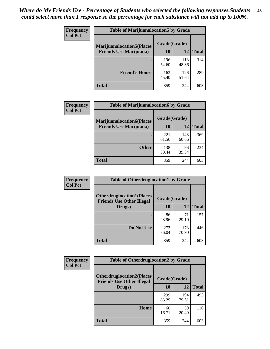| <b>Frequency</b> | <b>Table of Marijuanalocation5 by Grade</b> |              |              |              |  |  |
|------------------|---------------------------------------------|--------------|--------------|--------------|--|--|
| <b>Col Pct</b>   | <b>Marijuanalocation5(Places</b>            | Grade(Grade) |              |              |  |  |
|                  | <b>Friends Use Marijuana</b> )              | 10           | 12           | <b>Total</b> |  |  |
|                  |                                             | 196<br>54.60 | 118<br>48.36 | 314          |  |  |
|                  | <b>Friend's House</b>                       | 163<br>45.40 | 126<br>51.64 | 289          |  |  |
|                  | Total                                       | 359          | 244          | 603          |  |  |

| <b>Frequency</b> | <b>Table of Marijuanalocation6 by Grade</b>                        |                    |              |              |
|------------------|--------------------------------------------------------------------|--------------------|--------------|--------------|
| <b>Col Pct</b>   | <b>Marijuanalocation6(Places</b><br><b>Friends Use Marijuana</b> ) | Grade(Grade)<br>10 | 12           | <b>Total</b> |
|                  |                                                                    | 221<br>61.56       | 148<br>60.66 | 369          |
|                  | <b>Other</b>                                                       | 138<br>38.44       | 96<br>39.34  | 234          |
|                  | <b>Total</b>                                                       | 359                | 244          | 603          |

| <b>Frequency</b> | <b>Table of Otherdruglocation1 by Grade</b>                          |              |              |              |
|------------------|----------------------------------------------------------------------|--------------|--------------|--------------|
| <b>Col Pct</b>   | <b>Otherdruglocation1(Places</b><br><b>Friends Use Other Illegal</b> | Grade(Grade) |              |              |
|                  | Drugs)                                                               | 10           | 12           | <b>Total</b> |
|                  |                                                                      | 86<br>23.96  | 71<br>29.10  | 157          |
|                  | Do Not Use                                                           | 273<br>76.04 | 173<br>70.90 | 446          |
|                  | <b>Total</b>                                                         | 359          | 244          | 603          |

| Frequency                                                                              | <b>Table of Otherdruglocation2 by Grade</b> |              |              |              |
|----------------------------------------------------------------------------------------|---------------------------------------------|--------------|--------------|--------------|
| <b>Col Pct</b><br><b>Otherdruglocation2(Places</b><br><b>Friends Use Other Illegal</b> |                                             | Grade(Grade) |              |              |
|                                                                                        | Drugs)                                      | 10           | 12           | <b>Total</b> |
|                                                                                        |                                             | 299<br>83.29 | 194<br>79.51 | 493          |
|                                                                                        | Home                                        | 60<br>16.71  | 50<br>20.49  | 110          |
|                                                                                        | Total                                       | 359          | 244          | 603          |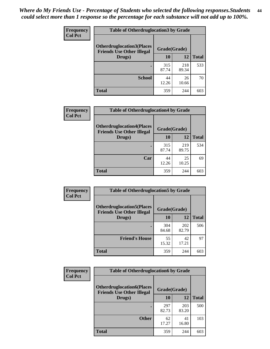| <b>Frequency</b> | <b>Table of Otherdruglocation 3 by Grade</b> |              |              |              |  |
|------------------|----------------------------------------------|--------------|--------------|--------------|--|
| <b>Col Pct</b>   | <b>Otherdruglocation3(Places</b>             | Grade(Grade) |              |              |  |
|                  | <b>Friends Use Other Illegal</b><br>Drugs)   | 10           | 12           | <b>Total</b> |  |
|                  |                                              | 315<br>87.74 | 218<br>89.34 | 533          |  |
|                  | <b>School</b>                                | 44<br>12.26  | 26<br>10.66  | 70           |  |
|                  | <b>Total</b>                                 | 359          | 244          | 603          |  |

| <b>Frequency</b> | <b>Table of Otherdruglocation4 by Grade</b>                          |              |              |              |
|------------------|----------------------------------------------------------------------|--------------|--------------|--------------|
| <b>Col Pct</b>   | <b>Otherdruglocation4(Places</b><br><b>Friends Use Other Illegal</b> | Grade(Grade) |              |              |
|                  | Drugs)                                                               | 10           | 12           | <b>Total</b> |
|                  |                                                                      | 315<br>87.74 | 219<br>89.75 | 534          |
|                  | Car                                                                  | 44<br>12.26  | 25<br>10.25  | 69           |
|                  | <b>Total</b>                                                         | 359          | 244          | 603          |

| Frequency<br><b>Col Pct</b> | <b>Table of Otherdruglocation5 by Grade</b>                          |              |              |              |
|-----------------------------|----------------------------------------------------------------------|--------------|--------------|--------------|
|                             | <b>Otherdruglocation5(Places</b><br><b>Friends Use Other Illegal</b> | Grade(Grade) |              |              |
|                             | Drugs)                                                               | 10           | 12           | <b>Total</b> |
|                             |                                                                      | 304<br>84.68 | 202<br>82.79 | 506          |
|                             | <b>Friend's House</b>                                                | 55<br>15.32  | 42<br>17.21  | 97           |
|                             | <b>Total</b>                                                         | 359          | 244          | 603          |

| <b>Frequency</b> | <b>Table of Otherdruglocation6 by Grade</b> |                                                  |              |              |  |
|------------------|---------------------------------------------|--------------------------------------------------|--------------|--------------|--|
| <b>Col Pct</b>   | <b>Otherdruglocation6(Places</b>            | Grade(Grade)<br><b>Friends Use Other Illegal</b> |              |              |  |
|                  | Drugs)                                      | 10                                               | 12           | <b>Total</b> |  |
|                  |                                             | 297<br>82.73                                     | 203<br>83.20 | 500          |  |
|                  | <b>Other</b>                                | 62<br>17.27                                      | 41<br>16.80  | 103          |  |
|                  | <b>Total</b>                                | 359                                              | 244          | 603          |  |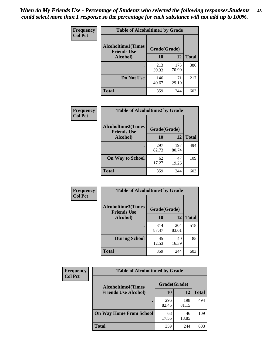| Frequency      | <b>Table of Alcoholtime1 by Grade</b>           |              |              |              |
|----------------|-------------------------------------------------|--------------|--------------|--------------|
| <b>Col Pct</b> | <b>Alcoholtime1(Times</b><br><b>Friends Use</b> | Grade(Grade) |              |              |
|                | Alcohol)                                        | 10           | 12           | <b>Total</b> |
|                |                                                 | 213<br>59.33 | 173<br>70.90 | 386          |
|                | Do Not Use                                      | 146<br>40.67 | 71<br>29.10  | 217          |
|                | <b>Total</b>                                    | 359          | 244          | 603          |

| Frequency<br><b>Col Pct</b> | <b>Table of Alcoholtime2 by Grade</b>           |              |              |              |
|-----------------------------|-------------------------------------------------|--------------|--------------|--------------|
|                             | <b>Alcoholtime2(Times</b><br><b>Friends Use</b> | Grade(Grade) |              |              |
|                             | Alcohol)                                        | 10           | 12           | <b>Total</b> |
|                             |                                                 | 297<br>82.73 | 197<br>80.74 | 494          |
|                             | <b>On Way to School</b>                         | 62<br>17.27  | 47<br>19.26  | 109          |
|                             | <b>Total</b>                                    | 359          | 244          | 603          |

| Frequency<br><b>Col Pct</b> | <b>Table of Alcoholtime3 by Grade</b>                    |              |              |              |
|-----------------------------|----------------------------------------------------------|--------------|--------------|--------------|
|                             | Alcoholtime3(Times<br>Grade(Grade)<br><b>Friends Use</b> |              |              |              |
|                             | Alcohol)                                                 | 10           | 12           | <b>Total</b> |
|                             |                                                          | 314<br>87.47 | 204<br>83.61 | 518          |
|                             | <b>During School</b>                                     | 45<br>12.53  | 40<br>16.39  | 85           |
|                             | <b>Total</b>                                             | 359          | 244          | 603          |

| <b>Frequency</b> | <b>Table of Alcoholtime4 by Grade</b> |              |              |              |
|------------------|---------------------------------------|--------------|--------------|--------------|
| <b>Col Pct</b>   | <b>Alcoholtime4(Times</b>             | Grade(Grade) |              |              |
|                  | <b>Friends Use Alcohol)</b>           | 10           | 12           | <b>Total</b> |
|                  |                                       | 296<br>82.45 | 198<br>81.15 | 494          |
|                  | <b>On Way Home From School</b>        | 63<br>17.55  | 46<br>18.85  | 109          |
|                  | <b>Total</b>                          | 359          | 244          | 603          |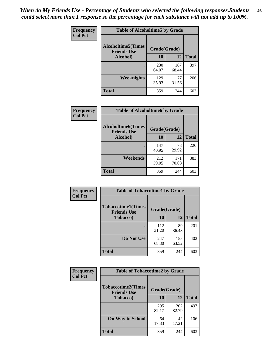*When do My Friends Use - Percentage of Students who selected the following responses.Students could select more than 1 response so the percentage for each substance will not add up to 100%.* **46**

| Frequency      | <b>Table of Alcoholtime5 by Grade</b>           |              |              |              |
|----------------|-------------------------------------------------|--------------|--------------|--------------|
| <b>Col Pct</b> | <b>Alcoholtime5(Times</b><br><b>Friends Use</b> | Grade(Grade) |              |              |
|                | Alcohol)                                        | 10           | 12           | <b>Total</b> |
|                |                                                 | 230<br>64.07 | 167<br>68.44 | 397          |
|                | Weeknights                                      | 129<br>35.93 | 77<br>31.56  | 206          |
|                | <b>Total</b>                                    | 359          | 244          | 603          |

| <b>Frequency</b> |                                                 | <b>Table of Alcoholtime6 by Grade</b> |              |              |  |  |
|------------------|-------------------------------------------------|---------------------------------------|--------------|--------------|--|--|
| <b>Col Pct</b>   | <b>Alcoholtime6(Times</b><br><b>Friends Use</b> | Grade(Grade)                          |              |              |  |  |
|                  | Alcohol)                                        | 10                                    | 12           | <b>Total</b> |  |  |
|                  |                                                 | 147<br>40.95                          | 73<br>29.92  | 220          |  |  |
|                  | Weekends                                        | 212<br>59.05                          | 171<br>70.08 | 383          |  |  |
|                  | <b>Total</b>                                    | 359                                   | 244          | 603          |  |  |

| Frequency      | <b>Table of Tobaccotime1 by Grade</b>           |              |              |              |
|----------------|-------------------------------------------------|--------------|--------------|--------------|
| <b>Col Pct</b> | <b>Tobaccotime1(Times</b><br><b>Friends Use</b> | Grade(Grade) |              |              |
|                | <b>Tobacco</b> )                                | 10           | 12           | <b>Total</b> |
|                |                                                 | 112<br>31.20 | 89<br>36.48  | 201          |
|                | Do Not Use                                      | 247<br>68.80 | 155<br>63.52 | 402          |
|                | <b>Total</b>                                    | 359          | 244          | 603          |

| <b>Frequency</b> | <b>Table of Tobaccotime2 by Grade</b>           |              |              |              |
|------------------|-------------------------------------------------|--------------|--------------|--------------|
| <b>Col Pct</b>   | <b>Tobaccotime2(Times</b><br><b>Friends Use</b> | Grade(Grade) |              |              |
|                  | <b>Tobacco</b> )                                | <b>10</b>    | 12           | <b>Total</b> |
|                  |                                                 | 295<br>82.17 | 202<br>82.79 | 497          |
|                  | <b>On Way to School</b>                         | 64<br>17.83  | 42<br>17.21  | 106          |
|                  | <b>Total</b>                                    | 359          | 244          | 603          |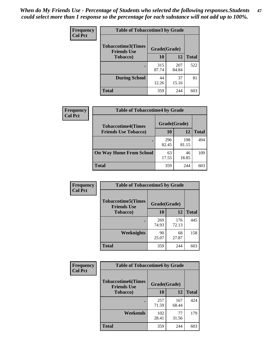*When do My Friends Use - Percentage of Students who selected the following responses.Students could select more than 1 response so the percentage for each substance will not add up to 100%.* **47**

| <b>Frequency</b> | <b>Table of Tobaccotime3 by Grade</b>           |              |              |              |  |
|------------------|-------------------------------------------------|--------------|--------------|--------------|--|
| <b>Col Pct</b>   | <b>Tobaccotime3(Times</b><br><b>Friends Use</b> | Grade(Grade) |              |              |  |
|                  | <b>Tobacco</b> )                                | 10           | 12           | <b>Total</b> |  |
|                  |                                                 | 315<br>87.74 | 207<br>84.84 | 522          |  |
|                  | <b>During School</b>                            | 44<br>12.26  | 37<br>15.16  | 81           |  |
|                  | <b>Total</b>                                    | 359          | 244          | 603          |  |

| <b>Frequency</b> | <b>Table of Tobaccotime4 by Grade</b> |              |              |              |
|------------------|---------------------------------------|--------------|--------------|--------------|
| <b>Col Pct</b>   | <b>Tobaccotime4(Times</b>             | Grade(Grade) |              |              |
|                  | <b>Friends Use Tobacco)</b>           | 10           | 12           | <b>Total</b> |
|                  |                                       | 296<br>82.45 | 198<br>81.15 | 494          |
|                  | <b>On Way Home From School</b>        | 63<br>17.55  | 46<br>18.85  | 109          |
|                  | <b>Total</b>                          | 359          | 244          | 603          |

| Frequency      | <b>Table of Tobaccotime5 by Grade</b>            |              |              |              |
|----------------|--------------------------------------------------|--------------|--------------|--------------|
| <b>Col Pct</b> | <b>Tobaccotime5</b> (Times<br><b>Friends Use</b> | Grade(Grade) |              |              |
|                | <b>Tobacco</b> )                                 | 10           | 12           | <b>Total</b> |
|                |                                                  | 269<br>74.93 | 176<br>72.13 | 445          |
|                | Weeknights                                       | 90<br>25.07  | 68<br>27.87  | 158          |
|                | <b>Total</b>                                     | 359          | 244          | 603          |

| Frequency      | <b>Table of Tobaccotime6 by Grade</b>           |              |              |              |
|----------------|-------------------------------------------------|--------------|--------------|--------------|
| <b>Col Pct</b> | <b>Tobaccotime6(Times</b><br><b>Friends Use</b> | Grade(Grade) |              |              |
|                | <b>Tobacco</b> )                                | 10           | 12           | <b>Total</b> |
|                | ٠                                               | 257<br>71.59 | 167<br>68.44 | 424          |
|                | Weekends                                        | 102<br>28.41 | 77<br>31.56  | 179          |
|                | <b>Total</b>                                    | 359          | 244          | 603          |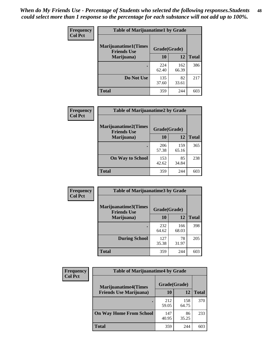| Frequency      | <b>Table of Marijuanatime1 by Grade</b>           |              |              |              |
|----------------|---------------------------------------------------|--------------|--------------|--------------|
| <b>Col Pct</b> | <b>Marijuanatime1(Times</b><br><b>Friends Use</b> | Grade(Grade) |              |              |
|                | Marijuana)                                        | 10           | 12           | <b>Total</b> |
|                |                                                   | 224<br>62.40 | 162<br>66.39 | 386          |
|                |                                                   |              |              |              |
|                | Do Not Use                                        | 135<br>37.60 | 82<br>33.61  | 217          |
|                | <b>Total</b>                                      | 359          | 244          | 603          |

| Frequency      | <b>Table of Marijuanatime2 by Grade</b>           |              |              |              |
|----------------|---------------------------------------------------|--------------|--------------|--------------|
| <b>Col Pct</b> | <b>Marijuanatime2(Times</b><br><b>Friends Use</b> | Grade(Grade) |              |              |
|                | Marijuana)                                        | 10           | 12           | <b>Total</b> |
|                | ٠                                                 | 206<br>57.38 | 159<br>65.16 | 365          |
|                | <b>On Way to School</b>                           | 153<br>42.62 | 85<br>34.84  | 238          |
|                | <b>Total</b>                                      | 359          | 244          | 603          |

| Frequency      | <b>Table of Marijuanatime3 by Grade</b>    |              |              |              |
|----------------|--------------------------------------------|--------------|--------------|--------------|
| <b>Col Pct</b> | Marijuanatime3(Times<br><b>Friends Use</b> | Grade(Grade) |              |              |
|                | Marijuana)                                 | 10           | 12           | <b>Total</b> |
|                |                                            | 232<br>64.62 | 166<br>68.03 | 398          |
|                | <b>During School</b>                       | 127<br>35.38 | 78<br>31.97  | 205          |
|                | Total                                      | 359          | 244          | 603          |

| <b>Frequency</b><br><b>Col Pct</b> | <b>Table of Marijuanatime4 by Grade</b> |              |              |              |
|------------------------------------|-----------------------------------------|--------------|--------------|--------------|
|                                    | <b>Marijuanatime4</b> (Times            | Grade(Grade) |              |              |
|                                    | <b>Friends Use Marijuana</b> )          | 10           | 12           | <b>Total</b> |
|                                    |                                         | 212<br>59.05 | 158<br>64.75 | 370          |
|                                    | <b>On Way Home From School</b>          | 147<br>40.95 | 86<br>35.25  | 233          |
|                                    | <b>Total</b>                            | 359          | 244          | 603          |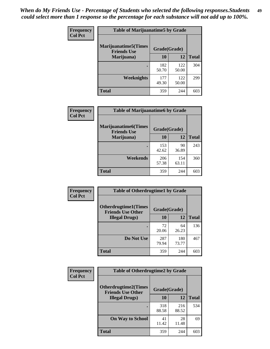| Frequency      | <b>Table of Marijuanatime5 by Grade</b>            |              |              |              |
|----------------|----------------------------------------------------|--------------|--------------|--------------|
| <b>Col Pct</b> | <b>Marijuanatime5</b> (Times<br><b>Friends Use</b> | Grade(Grade) |              |              |
|                | Marijuana)                                         | 10           | 12           | <b>Total</b> |
|                |                                                    | 182<br>50.70 | 122<br>50.00 | 304          |
|                | Weeknights                                         | 177<br>49.30 | 122<br>50.00 | 299          |
|                | <b>Total</b>                                       | 359          | 244          | 603          |

| <b>Frequency</b><br><b>Col Pct</b> | <b>Table of Marijuanatime6 by Grade</b>            |              |              |              |
|------------------------------------|----------------------------------------------------|--------------|--------------|--------------|
|                                    | <b>Marijuanatime6</b> (Times<br><b>Friends Use</b> | Grade(Grade) |              |              |
|                                    | Marijuana)                                         | 10           | 12           | <b>Total</b> |
|                                    |                                                    | 153<br>42.62 | 90<br>36.89  | 243          |
|                                    | Weekends                                           | 206<br>57.38 | 154<br>63.11 | 360          |
|                                    | <b>Total</b>                                       | 359          | 244          | 603          |

| Frequency      | <b>Table of Otherdrugtime1 by Grade</b>                 |              |              |              |
|----------------|---------------------------------------------------------|--------------|--------------|--------------|
| <b>Col Pct</b> | <b>Otherdrugtime1(Times</b><br><b>Friends Use Other</b> | Grade(Grade) |              |              |
|                | <b>Illegal Drugs</b> )                                  | 10           | 12           | <b>Total</b> |
|                |                                                         | 72<br>20.06  | 64<br>26.23  | 136          |
|                | Do Not Use                                              | 287<br>79.94 | 180<br>73.77 | 467          |
|                | <b>Total</b>                                            | 359          | 244          | 603          |

| Frequency      | <b>Table of Otherdrugtime2 by Grade</b>                 |              |              |              |
|----------------|---------------------------------------------------------|--------------|--------------|--------------|
| <b>Col Pct</b> | <b>Otherdrugtime2(Times</b><br><b>Friends Use Other</b> | Grade(Grade) |              |              |
|                | <b>Illegal Drugs</b> )                                  | 10           | 12           | <b>Total</b> |
|                |                                                         | 318<br>88.58 | 216<br>88.52 | 534          |
|                | <b>On Way to School</b>                                 | 41<br>11.42  | 28<br>11.48  | 69           |
|                | Total                                                   | 359          | 244          | 603          |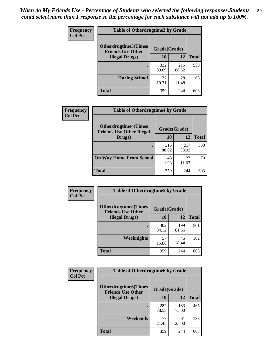| <b>Frequency</b> | <b>Table of Otherdrugtime3 by Grade</b>          |              |              |              |  |
|------------------|--------------------------------------------------|--------------|--------------|--------------|--|
| <b>Col Pct</b>   | Otherdrugtime3(Times<br><b>Friends Use Other</b> | Grade(Grade) |              |              |  |
|                  | <b>Illegal Drugs</b> )                           | 10           | 12           | <b>Total</b> |  |
|                  |                                                  | 322<br>89.69 | 216<br>88.52 | 538          |  |
|                  | <b>During School</b>                             | 37<br>10.31  | 28<br>11.48  | 65           |  |
|                  | Total                                            | 359          | 244          | 603          |  |

| Frequency      | <b>Table of Otherdrugtime4 by Grade</b>                         |              |              |              |  |
|----------------|-----------------------------------------------------------------|--------------|--------------|--------------|--|
| <b>Col Pct</b> | <b>Otherdrugtime4(Times</b><br><b>Friends Use Other Illegal</b> | Grade(Grade) |              |              |  |
|                | Drugs)                                                          | 10           | 12           | <b>Total</b> |  |
|                | $\bullet$                                                       | 316<br>88.02 | 217<br>88.93 | 533          |  |
|                | <b>On Way Home From School</b>                                  | 43<br>11.98  | 27<br>11.07  | 70           |  |
|                | Total                                                           | 359          | 244          | 603          |  |

| <b>Frequency</b> | <b>Table of Otherdrugtime5 by Grade</b>                  |              |              |              |
|------------------|----------------------------------------------------------|--------------|--------------|--------------|
| <b>Col Pct</b>   | <b>Otherdrugtime5</b> (Times<br><b>Friends Use Other</b> | Grade(Grade) |              |              |
|                  | <b>Illegal Drugs</b> )                                   | 10           | 12           | <b>Total</b> |
|                  |                                                          | 302<br>84.12 | 199<br>81.56 | 501          |
|                  | Weeknights                                               | 57<br>15.88  | 45<br>18.44  | 102          |
|                  | Total                                                    | 359          | 244          | 603          |

| Frequency      | <b>Table of Otherdrugtime6 by Grade</b>                 |              |              |              |
|----------------|---------------------------------------------------------|--------------|--------------|--------------|
| <b>Col Pct</b> | <b>Otherdrugtime6(Times</b><br><b>Friends Use Other</b> | Grade(Grade) |              |              |
|                | <b>Illegal Drugs</b> )                                  | 10           | 12           | <b>Total</b> |
|                |                                                         | 282<br>78.55 | 183<br>75.00 | 465          |
|                | Weekends                                                | 77<br>21.45  | 61<br>25.00  | 138          |
|                | <b>Total</b>                                            | 359          | 244          | 603          |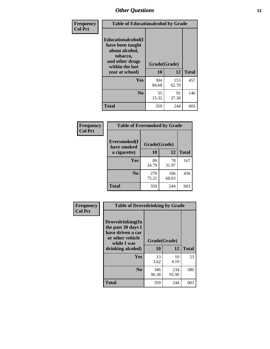| Frequency      | <b>Table of Educationalcohol by Grade</b>                                                                  |              |              |              |
|----------------|------------------------------------------------------------------------------------------------------------|--------------|--------------|--------------|
| <b>Col Pct</b> | Educationalcohol(I<br>have been taught<br>about alcohol,<br>tobacco,<br>and other drugs<br>within the last | Grade(Grade) |              |              |
|                | year at school)                                                                                            | 10           | 12           | <b>Total</b> |
|                | <b>Yes</b>                                                                                                 | 304<br>84.68 | 153<br>62.70 | 457          |
|                | N <sub>0</sub>                                                                                             | 55<br>15.32  | 91<br>37.30  | 146          |
|                | <b>Total</b>                                                                                               | 359          | 244          | 603          |

| Frequency      | <b>Table of Eversmoked by Grade</b> |              |              |              |  |
|----------------|-------------------------------------|--------------|--------------|--------------|--|
| <b>Col Pct</b> | Eversmoked(I<br>have smoked         | Grade(Grade) |              |              |  |
|                | a cigarette)                        | 10           | 12           | <b>Total</b> |  |
|                | Yes                                 | 89<br>24.79  | 78<br>31.97  | 167          |  |
|                | N <sub>0</sub>                      | 270<br>75.21 | 166<br>68.03 | 436          |  |
|                | <b>Total</b>                        | 359          | 244          | 603          |  |

| Frequency      | <b>Table of Drovedrinking by Grade</b>                                                                              |                    |              |              |
|----------------|---------------------------------------------------------------------------------------------------------------------|--------------------|--------------|--------------|
| <b>Col Pct</b> | Drovedrinking(In<br>the past 30 days I<br>have driven a car<br>or other vehicle<br>while I was<br>drinking alcohol) | Grade(Grade)<br>10 | 12           | <b>Total</b> |
|                | <b>Yes</b>                                                                                                          | 13<br>3.62         | 10<br>4.10   | 23           |
|                | N <sub>0</sub>                                                                                                      | 346<br>96.38       | 234<br>95.90 | 580          |
|                | <b>Total</b>                                                                                                        | 359                | 244          | 603          |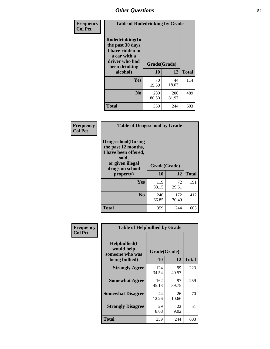| Frequency<br><b>Col Pct</b> | <b>Table of Rodedrinking by Grade</b>                                                                                  |                          |              |              |
|-----------------------------|------------------------------------------------------------------------------------------------------------------------|--------------------------|--------------|--------------|
|                             | Rodedrinking(In<br>the past 30 days<br>I have ridden in<br>a car with a<br>driver who had<br>been drinking<br>alcohol) | Grade(Grade)<br>10<br>12 |              | <b>Total</b> |
|                             | <b>Yes</b>                                                                                                             | 70<br>19.50              | 44<br>18.03  | 114          |
|                             | N <sub>0</sub>                                                                                                         | 289<br>80.50             | 200<br>81.97 | 489          |
|                             | <b>Total</b>                                                                                                           | 359                      | 244          | 603          |

#### **Frequency Col Pct**

| <b>Table of Drugsschool by Grade</b>                                                                                      |              |              |              |  |
|---------------------------------------------------------------------------------------------------------------------------|--------------|--------------|--------------|--|
| <b>Drugsschool</b> (During<br>the past 12 months,<br>I have been offered,<br>sold,<br>or given illegal<br>drugs on school | Grade(Grade) |              |              |  |
| property)                                                                                                                 | 10           | 12           | <b>Total</b> |  |
| Yes                                                                                                                       | 119<br>33.15 | 72<br>29.51  | 191          |  |
| N <sub>0</sub>                                                                                                            | 240<br>66.85 | 172<br>70.49 | 412          |  |
| <b>Total</b>                                                                                                              | 359          | 244          | 603          |  |

| Frequency      | <b>Table of Helpbullied by Grade</b>                 |              |             |              |  |
|----------------|------------------------------------------------------|--------------|-------------|--------------|--|
| <b>Col Pct</b> |                                                      |              |             |              |  |
|                | $Helpb$ ullied $(I$<br>would help<br>someone who was | Grade(Grade) |             |              |  |
|                | being bullied)                                       | 10           | 12          | <b>Total</b> |  |
|                | <b>Strongly Agree</b>                                | 124<br>34.54 | 99<br>40.57 | 223          |  |
|                | <b>Somewhat Agree</b>                                | 162<br>45.13 | 97<br>39.75 | 259          |  |
|                | <b>Somewhat Disagree</b>                             | 44<br>12.26  | 26<br>10.66 | 70           |  |
|                | <b>Strongly Disagree</b>                             | 29<br>8.08   | 22<br>9.02  | 51           |  |
|                | <b>Total</b>                                         | 359          | 244         | 603          |  |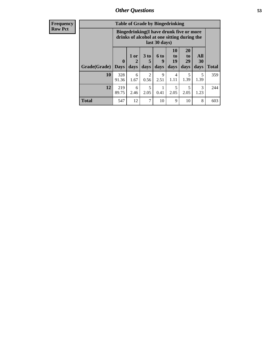| Frequency      |  | <b>Table of Grad</b>                    |  |
|----------------|--|-----------------------------------------|--|
| <b>Row Pct</b> |  | <b>Bingedrinking</b><br>drinks of alco. |  |
|                |  |                                         |  |

| <b>Table of Grade by Bingedrinking</b> |                             |                                                                                                         |                              |                          |                                  |                        |                   |       |  |
|----------------------------------------|-----------------------------|---------------------------------------------------------------------------------------------------------|------------------------------|--------------------------|----------------------------------|------------------------|-------------------|-------|--|
|                                        |                             | Bingedrinking(I have drunk five or more<br>drinks of alcohol at one sitting during the<br>last 30 days) |                              |                          |                                  |                        |                   |       |  |
| Grade(Grade)                           | $\mathbf{0}$<br><b>Days</b> | 1 or<br>2<br>days                                                                                       | 3 <sub>to</sub><br>5<br>days | <b>6 to</b><br>9<br>days | 10<br>to<br>19<br>days           | 20<br>to<br>29<br>days | All<br>30<br>days | Total |  |
| 10                                     | 328<br>91.36                | 6<br>1.67                                                                                               | $\mathfrak{D}$<br>0.56       | 9<br>2.51                | 4<br>1.11                        | 5<br>1.39              | 5<br>1.39         | 359   |  |
| 12                                     | 219<br>89.75                | 6<br>2.46                                                                                               | 5<br>2.05                    | 0.41                     | $\overline{\phantom{0}}$<br>2.05 | 5<br>2.05              | 3<br>1.23         | 244   |  |
| Total                                  | 547                         | 12                                                                                                      | 7                            | 10                       | 9                                | 10                     | 8                 | 603   |  |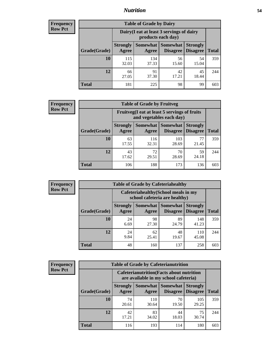### *Nutrition* **54**

| <b>Frequency</b> |
|------------------|
| <b>Row Pct</b>   |

| <b>Table of Grade by Dairy</b> |                          |                                                                 |                                    |                                    |              |  |  |  |
|--------------------------------|--------------------------|-----------------------------------------------------------------|------------------------------------|------------------------------------|--------------|--|--|--|
|                                |                          | Dairy (I eat at least 3 servings of dairy<br>products each day) |                                    |                                    |              |  |  |  |
| Grade(Grade)                   | <b>Strongly</b><br>Agree | <b>Somewhat</b><br>Agree                                        | <b>Somewhat</b><br><b>Disagree</b> | <b>Strongly</b><br><b>Disagree</b> | <b>Total</b> |  |  |  |
| 10                             | 115<br>32.03             | 134<br>37.33                                                    | 56<br>15.60                        | 54<br>15.04                        | 359          |  |  |  |
| 12                             | 66<br>27.05              | 91<br>37.30                                                     | 42<br>17.21                        | 45<br>18.44                        | 244          |  |  |  |
| <b>Total</b>                   | 181                      | 225                                                             | 98                                 | 99                                 | 603          |  |  |  |

| <b>Frequency</b> |  |
|------------------|--|
| <b>Row Pct</b>   |  |

| <b>Table of Grade by Fruitveg</b>                                        |                          |              |                               |                                    |              |  |  |
|--------------------------------------------------------------------------|--------------------------|--------------|-------------------------------|------------------------------------|--------------|--|--|
| Fruitveg(I eat at least 5 servings of fruits<br>and vegetables each day) |                          |              |                               |                                    |              |  |  |
| Grade(Grade)                                                             | <b>Strongly</b><br>Agree | Agree        | Somewhat Somewhat<br>Disagree | <b>Strongly</b><br><b>Disagree</b> | <b>Total</b> |  |  |
| 10                                                                       | 63<br>17.55              | 116<br>32.31 | 103<br>28.69                  | 77<br>21.45                        | 359          |  |  |
| 12                                                                       | 43<br>17.62              | 72<br>29.51  | 70<br>28.69                   | 59<br>24.18                        | 244          |  |  |
| <b>Total</b>                                                             | 106                      | 188          | 173                           | 136                                | 603          |  |  |

| Frequency      | <b>Table of Grade by Cafeteriahealthy</b> |                                                                       |             |                                   |                                    |              |  |  |
|----------------|-------------------------------------------|-----------------------------------------------------------------------|-------------|-----------------------------------|------------------------------------|--------------|--|--|
| <b>Row Pct</b> |                                           | Cafeteriahealthy (School meals in my<br>school cafeteria are healthy) |             |                                   |                                    |              |  |  |
|                | Grade(Grade)                              | <b>Strongly</b><br>Agree                                              | Agree       | Somewhat   Somewhat  <br>Disagree | <b>Strongly</b><br><b>Disagree</b> | <b>Total</b> |  |  |
|                | 10                                        | 24<br>6.69                                                            | 98<br>27.30 | 89<br>24.79                       | 148<br>41.23                       | 359          |  |  |
|                | 12                                        | 24<br>9.84                                                            | 62<br>25.41 | 48<br>19.67                       | 110<br>45.08                       | 244          |  |  |
|                | <b>Total</b>                              | 48                                                                    | 160         | 137                               | 258                                | 603          |  |  |

| <b>Frequency</b> |
|------------------|
| <b>Row Pct</b>   |

| <b>Table of Grade by Cafeterianutrition</b>                                               |                          |                   |                      |                                    |              |  |
|-------------------------------------------------------------------------------------------|--------------------------|-------------------|----------------------|------------------------------------|--------------|--|
| <b>Cafeterianutrition</b> (Facts about nutrition<br>are available in my school cafeteria) |                          |                   |                      |                                    |              |  |
| Grade(Grade)                                                                              | <b>Strongly</b><br>Agree | Somewhat<br>Agree | Somewhat<br>Disagree | <b>Strongly</b><br><b>Disagree</b> | <b>Total</b> |  |
| 10                                                                                        | 74<br>20.61              | 110<br>30.64      | 70<br>19.50          | 105<br>29.25                       | 359          |  |
| 12                                                                                        | 42<br>17.21              | 83<br>34.02       | 44<br>18.03          | 75<br>30.74                        | 244          |  |
| <b>Total</b>                                                                              | 116                      | 193               | 114                  | 180                                | 603          |  |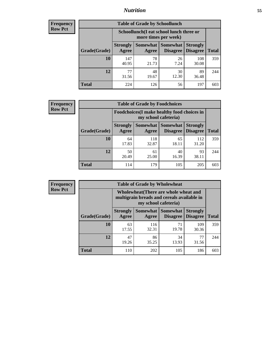### *Nutrition* **55**

| Frequency      |
|----------------|
| <b>Row Pct</b> |

| <b>Table of Grade by Schoollunch</b> |                          |                                                                 |                             |                                    |       |  |  |  |
|--------------------------------------|--------------------------|-----------------------------------------------------------------|-----------------------------|------------------------------------|-------|--|--|--|
|                                      |                          | Schoollunch(I eat school lunch three or<br>more times per week) |                             |                                    |       |  |  |  |
| Grade(Grade)                         | <b>Strongly</b><br>Agree | Somewhat  <br>Agree                                             | <b>Somewhat</b><br>Disagree | <b>Strongly</b><br><b>Disagree</b> | Total |  |  |  |
| 10                                   | 147<br>40.95             | 78<br>21.73                                                     | 26<br>7.24                  | 108<br>30.08                       | 359   |  |  |  |
| 12                                   | 77<br>31.56              | 48<br>19.67                                                     | 30<br>12.30                 | 89<br>36.48                        | 244   |  |  |  |
| <b>Total</b>                         | 224                      | 126                                                             | 56                          | 197                                | 603   |  |  |  |

| <b>Frequency</b> |  |
|------------------|--|
| <b>Row Pct</b>   |  |

| <b>Table of Grade by Foodchoices</b>                                       |                          |              |                     |                                        |              |  |  |
|----------------------------------------------------------------------------|--------------------------|--------------|---------------------|----------------------------------------|--------------|--|--|
| <b>Foodchoices</b> (I make healthy food choices in<br>my school cafeteria) |                          |              |                     |                                        |              |  |  |
| Grade(Grade)                                                               | <b>Strongly</b><br>Agree | Agree        | Somewhat   Somewhat | <b>Strongly</b><br>Disagree   Disagree | <b>Total</b> |  |  |
| 10                                                                         | 64<br>17.83              | 118<br>32.87 | 65<br>18.11         | 112<br>31.20                           | 359          |  |  |
| 12                                                                         | 50<br>20.49              | 61<br>25.00  | 40<br>16.39         | 93<br>38.11                            | 244          |  |  |
| <b>Total</b>                                                               | 114                      | 179          | 105                 | 205                                    | 603          |  |  |

| <b>Frequency</b> |
|------------------|
| Row Pct          |

| <b>Table of Grade by Wholewheat</b> |                          |                                                                                                             |                                          |                                    |              |  |
|-------------------------------------|--------------------------|-------------------------------------------------------------------------------------------------------------|------------------------------------------|------------------------------------|--------------|--|
|                                     |                          | Wholewheat (There are whole wheat and<br>multigrain breads and cereals available in<br>my school cafeteria) |                                          |                                    |              |  |
| Grade(Grade)                        | <b>Strongly</b><br>Agree | Agree                                                                                                       | Somewhat   Somewhat  <br><b>Disagree</b> | <b>Strongly</b><br><b>Disagree</b> | <b>Total</b> |  |
| 10                                  | 63<br>17.55              | 116<br>32.31                                                                                                | 71<br>19.78                              | 109<br>30.36                       | 359          |  |
| 12                                  | 47<br>19.26              | 86<br>35.25                                                                                                 | 34<br>13.93                              | 77<br>31.56                        | 244          |  |
| <b>Total</b>                        | 110                      | 202                                                                                                         | 105                                      | 186                                | 603          |  |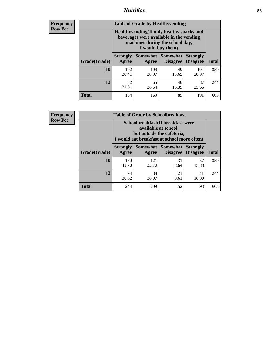### *Nutrition* **56**

**Frequency Row Pct**

| <b>Table of Grade by Healthyvending</b> |                                                                                                                                               |                          |                                    |                                    |              |  |
|-----------------------------------------|-----------------------------------------------------------------------------------------------------------------------------------------------|--------------------------|------------------------------------|------------------------------------|--------------|--|
|                                         | Healthyvending (If only healthy snacks and<br>beverages were available in the vending<br>machines during the school day,<br>I would buy them) |                          |                                    |                                    |              |  |
| Grade(Grade)                            | <b>Strongly</b><br>Agree                                                                                                                      | <b>Somewhat</b><br>Agree | <b>Somewhat</b><br><b>Disagree</b> | <b>Strongly</b><br><b>Disagree</b> | <b>Total</b> |  |
| 10                                      | 102<br>28.41                                                                                                                                  | 104<br>28.97             | 49<br>13.65                        | 104<br>28.97                       | 359          |  |
| 12                                      | 52<br>21.31                                                                                                                                   | 65<br>26.64              | 40<br>16.39                        | 87<br>35.66                        | 244          |  |
| <b>Total</b>                            | 154                                                                                                                                           | 169                      | 89                                 | 191                                | 603          |  |

**Frequency Row Pct**

| <b>Table of Grade by Schoolbreakfast</b> |                                                                                                                                         |              |                                               |                                    |              |  |
|------------------------------------------|-----------------------------------------------------------------------------------------------------------------------------------------|--------------|-----------------------------------------------|------------------------------------|--------------|--|
|                                          | Schoolbreakfast (If breakfast were<br>available at school,<br>but outside the cafeteria,<br>I would eat breakfast at school more often) |              |                                               |                                    |              |  |
| Grade(Grade)                             | <b>Strongly</b><br>Agree                                                                                                                | Agree        | <b>Somewhat   Somewhat</b><br><b>Disagree</b> | <b>Strongly</b><br><b>Disagree</b> | <b>Total</b> |  |
| 10                                       | 150<br>41.78                                                                                                                            | 121<br>33.70 | 31<br>8.64                                    | 57<br>15.88                        | 359          |  |
| 12                                       | 94<br>38.52                                                                                                                             | 88<br>36.07  | 21<br>8.61                                    | 41<br>16.80                        | 244          |  |
| <b>Total</b>                             | 244                                                                                                                                     | 209          | 52                                            | 98                                 | 603          |  |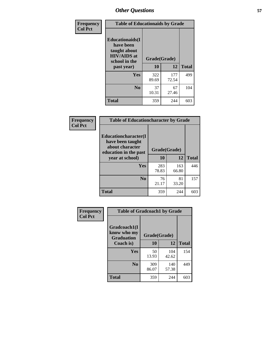| Frequency<br><b>Col Pct</b> | <b>Table of Educationaids by Grade</b>                                                                    |                    |              |              |
|-----------------------------|-----------------------------------------------------------------------------------------------------------|--------------------|--------------|--------------|
|                             | <b>Educationaids</b> (I<br>have been<br>taught about<br><b>HIV/AIDS</b> at<br>school in the<br>past year) | Grade(Grade)<br>10 | 12           | <b>Total</b> |
|                             | Yes                                                                                                       | 322<br>89.69       | 177<br>72.54 | 499          |
|                             | N <sub>0</sub>                                                                                            | 37<br>10.31        | 67<br>27.46  | 104          |
|                             | <b>Total</b>                                                                                              | 359                | 244          | 603          |

| <b>Frequency</b> | <b>Table of Educationcharacter by Grade</b>                                          |              |              |              |
|------------------|--------------------------------------------------------------------------------------|--------------|--------------|--------------|
| <b>Col Pct</b>   | Educationcharacter(I<br>have been taught<br>about character<br>education in the past | Grade(Grade) |              |              |
|                  | year at school)                                                                      | 10           | 12           | <b>Total</b> |
|                  | Yes                                                                                  | 283<br>78.83 | 163<br>66.80 | 446          |
|                  | N <sub>0</sub>                                                                       | 76<br>21.17  | 81<br>33.20  | 157          |
|                  | <b>Total</b>                                                                         | 359          | 244          | 603          |

| Frequency      | <b>Table of Gradcoach1 by Grade</b>              |              |              |              |
|----------------|--------------------------------------------------|--------------|--------------|--------------|
| <b>Col Pct</b> | Gradcoach1(I<br>know who my<br><b>Graduation</b> | Grade(Grade) |              |              |
|                | Coach is)                                        | 10           | 12           | <b>Total</b> |
|                | <b>Yes</b>                                       | 50<br>13.93  | 104<br>42.62 | 154          |
|                | N <sub>0</sub>                                   | 309<br>86.07 | 140<br>57.38 | 449          |
|                | <b>Total</b>                                     | 359          | 244          | 603          |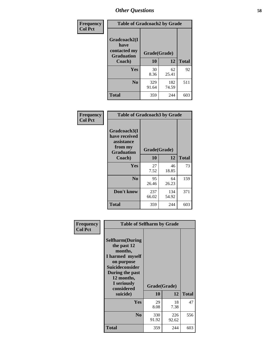| Frequency      | <b>Table of Gradcoach2 by Grade</b> |              |              |              |
|----------------|-------------------------------------|--------------|--------------|--------------|
| <b>Col Pct</b> | Gradcoach2(I<br>have                |              |              |              |
|                | contacted my<br><b>Graduation</b>   | Grade(Grade) |              |              |
|                | Coach)                              | 10           | 12           | <b>Total</b> |
|                | Yes                                 | 30<br>8.36   | 62<br>25.41  | 92           |
|                | N <sub>0</sub>                      | 329<br>91.64 | 182<br>74.59 | 511          |
|                | <b>Total</b>                        | 359          | 244          | 603          |

| <b>Frequency</b><br><b>Col Pct</b> | <b>Table of Gradcoach3 by Grade</b>                                         |              |              |              |
|------------------------------------|-----------------------------------------------------------------------------|--------------|--------------|--------------|
|                                    | Gradcoach3(I<br>have received<br>assistance<br>from my<br><b>Graduation</b> | Grade(Grade) |              |              |
|                                    | Coach)                                                                      | 10           | 12           | <b>Total</b> |
|                                    | Yes                                                                         | 27<br>7.52   | 46<br>18.85  | 73           |
|                                    | N <sub>0</sub>                                                              | 95<br>26.46  | 64<br>26.23  | 159          |
|                                    | Don't know                                                                  | 237<br>66.02 | 134<br>54.92 | 371          |
|                                    | <b>Total</b>                                                                | 359          | 244          | 603          |

| Frequency      | <b>Table of Selfharm by Grade</b>                                                                                                                                                      |                    |              |              |
|----------------|----------------------------------------------------------------------------------------------------------------------------------------------------------------------------------------|--------------------|--------------|--------------|
| <b>Col Pct</b> | <b>Selfharm</b> (During<br>the past 12<br>months,<br>I harmed myself<br>on purpose<br><b>Suicideconsider</b><br>During the past<br>12 months,<br>I seriously<br>considered<br>suicide) | Grade(Grade)<br>10 | 12           | <b>Total</b> |
|                | Yes                                                                                                                                                                                    | 29<br>8.08         | 18<br>7.38   | 47           |
|                | N <sub>0</sub>                                                                                                                                                                         | 330<br>91.92       | 226<br>92.62 | 556          |
|                | <b>Total</b>                                                                                                                                                                           | 359                | 244          | 603          |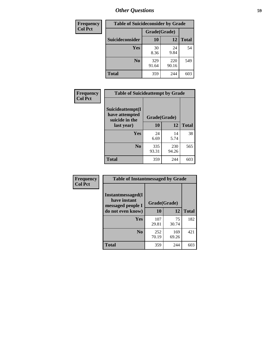| <b>Frequency</b> | <b>Table of Suicideconsider by Grade</b> |              |              |              |  |
|------------------|------------------------------------------|--------------|--------------|--------------|--|
| <b>Col Pct</b>   | Grade(Grade)                             |              |              |              |  |
|                  | Suicideconsider                          | <b>10</b>    | 12           | <b>Total</b> |  |
|                  | Yes                                      | 30<br>8.36   | 24<br>9.84   | 54           |  |
|                  | N <sub>0</sub>                           | 329<br>91.64 | 220<br>90.16 | 549          |  |
|                  | Total                                    | 359          | 244          | 603          |  |

| Frequency      | <b>Table of Suicideattempt by Grade</b>              |              |              |              |
|----------------|------------------------------------------------------|--------------|--------------|--------------|
| <b>Col Pct</b> | Suicideattempt(I<br>have attempted<br>suicide in the | Grade(Grade) |              |              |
|                | last year)                                           | 10           | 12           | <b>Total</b> |
|                | Yes                                                  | 24<br>6.69   | 14<br>5.74   | 38           |
|                | N <sub>0</sub>                                       | 335<br>93.31 | 230<br>94.26 | 565          |
|                | <b>Total</b>                                         | 359          | 244          | 603          |

| Frequency      | <b>Table of Instantmessaged by Grade</b>               |              |              |              |
|----------------|--------------------------------------------------------|--------------|--------------|--------------|
| <b>Col Pct</b> | Instantmessaged(I<br>have instant<br>messaged people I | Grade(Grade) |              |              |
|                | do not even know)                                      | 10           | 12           | <b>Total</b> |
|                | Yes                                                    | 107<br>29.81 | 75<br>30.74  | 182          |
|                | N <sub>0</sub>                                         | 252<br>70.19 | 169<br>69.26 | 421          |
|                | <b>Total</b>                                           | 359          | 244          | 603          |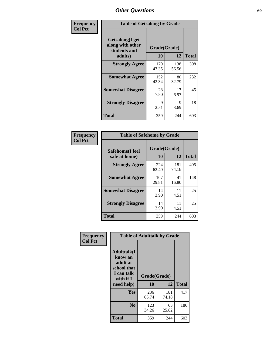| Frequency      | <b>Table of Getsalong by Grade</b>                                                                 |              |              |              |  |  |  |  |
|----------------|----------------------------------------------------------------------------------------------------|--------------|--------------|--------------|--|--|--|--|
| <b>Col Pct</b> | <b>Getsalong</b> (I get<br>along with other<br>Grade(Grade)<br>students and<br>10<br>12<br>adults) |              |              |              |  |  |  |  |
|                |                                                                                                    |              |              | <b>Total</b> |  |  |  |  |
|                | <b>Strongly Agree</b>                                                                              | 170<br>47.35 | 138<br>56.56 | 308          |  |  |  |  |
|                | <b>Somewhat Agree</b>                                                                              | 152<br>42.34 | 80<br>32.79  | 232          |  |  |  |  |
|                | <b>Somewhat Disagree</b>                                                                           | 28<br>7.80   | 17<br>6.97   | 45           |  |  |  |  |
|                | <b>Strongly Disagree</b>                                                                           | 9<br>2.51    | 9<br>3.69    | 18           |  |  |  |  |
|                | Total                                                                                              | 359          | 244          | 603          |  |  |  |  |

| Frequency      | <b>Table of Safehome by Grade</b> |                    |              |     |  |  |  |  |
|----------------|-----------------------------------|--------------------|--------------|-----|--|--|--|--|
| <b>Col Pct</b> | Safehome(I feel<br>safe at home)  | Grade(Grade)<br>10 | <b>Total</b> |     |  |  |  |  |
|                | <b>Strongly Agree</b>             | 224<br>62.40       | 181<br>74.18 | 405 |  |  |  |  |
|                | <b>Somewhat Agree</b>             | 107<br>29.81       | 41<br>16.80  | 148 |  |  |  |  |
|                | <b>Somewhat Disagree</b>          | 14<br>3.90         | 11<br>4.51   | 25  |  |  |  |  |
|                | <b>Strongly Disagree</b>          | 14<br>3.90         | 11<br>4.51   | 25  |  |  |  |  |
|                | <b>Total</b>                      | 359                | 244          | 603 |  |  |  |  |

| Frequency      | <b>Table of Adulttalk by Grade</b>                                                  |              |              |              |  |  |  |  |  |
|----------------|-------------------------------------------------------------------------------------|--------------|--------------|--------------|--|--|--|--|--|
| <b>Col Pct</b> | <b>Adulttalk(I</b><br>know an<br>adult at<br>school that<br>I can talk<br>with if I | Grade(Grade) |              |              |  |  |  |  |  |
|                | need help)                                                                          | 10           | 12           | <b>Total</b> |  |  |  |  |  |
|                | <b>Yes</b>                                                                          | 236<br>65.74 | 181<br>74.18 | 417          |  |  |  |  |  |
|                | N <sub>0</sub>                                                                      | 123<br>34.26 | 63<br>25.82  | 186          |  |  |  |  |  |
|                | <b>Total</b>                                                                        | 359          | 244          | 603          |  |  |  |  |  |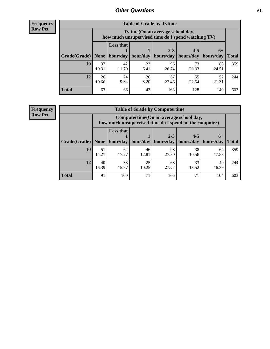**Frequency Row Pct**

| <b>Table of Grade by Tvtime</b> |             |                                                                                         |            |             |             |             |              |  |  |  |  |
|---------------------------------|-------------|-----------------------------------------------------------------------------------------|------------|-------------|-------------|-------------|--------------|--|--|--|--|
|                                 |             | Tytime (On an average school day,<br>how much unsupervised time do I spend watching TV) |            |             |             |             |              |  |  |  |  |
|                                 |             | <b>Less that</b>                                                                        |            | $2 - 3$     | $4 - 5$     | $6+$        |              |  |  |  |  |
| Grade(Grade)                    | None        | hour/day                                                                                | hour/day   | hours/day   | hours/day   | hours/day   | <b>Total</b> |  |  |  |  |
| 10                              | 37<br>10.31 | 42<br>11.70                                                                             | 23<br>6.41 | 96<br>26.74 | 73<br>20.33 | 88<br>24.51 | 359          |  |  |  |  |
| 12                              | 26<br>10.66 | 24<br>9.84                                                                              | 20<br>8.20 | 67<br>27.46 | 55<br>22.54 | 52<br>21.31 | 244          |  |  |  |  |
| <b>Total</b>                    | 63          | 66                                                                                      | 43         | 163         | 128         | 140         | 603          |  |  |  |  |

**Frequency Row Pct**

| <b>Table of Grade by Computertime</b> |             |                                                                                                                              |             |             |             |             |     |  |  |  |
|---------------------------------------|-------------|------------------------------------------------------------------------------------------------------------------------------|-------------|-------------|-------------|-------------|-----|--|--|--|
|                                       |             | Computertime (On an average school day,<br>how much unsupervised time do I spend on the computer)                            |             |             |             |             |     |  |  |  |
| Grade(Grade)                          | None $ $    | <b>Less that</b><br>$4 - 5$<br>$2 - 3$<br>$6+$<br>hours/day<br>hour/day   hour/day<br>hours/day<br>hours/day<br><b>Total</b> |             |             |             |             |     |  |  |  |
| 10                                    | 51<br>14.21 | 62<br>17.27                                                                                                                  | 46<br>12.81 | 98<br>27.30 | 38<br>10.58 | 64<br>17.83 | 359 |  |  |  |
| 12                                    | 40<br>16.39 | 38<br>15.57                                                                                                                  | 25<br>10.25 | 68<br>27.87 | 33<br>13.52 | 40<br>16.39 | 244 |  |  |  |
| <b>Total</b>                          | 91          | 100                                                                                                                          | 71          | 166         | 71          | 104         | 603 |  |  |  |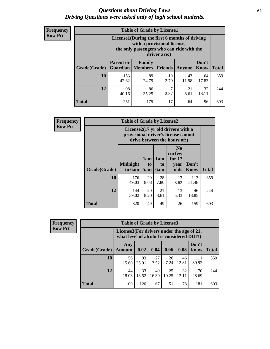#### *Questions about Driving Laws* **62** *Driving Questions were asked only of high school students.*

| <b>Frequency</b> |
|------------------|
| <b>Row Pct</b>   |

| <b>Table of Grade by License1</b> |                                                                      |                                                                                                                                           |            |             |             |     |  |  |  |  |  |
|-----------------------------------|----------------------------------------------------------------------|-------------------------------------------------------------------------------------------------------------------------------------------|------------|-------------|-------------|-----|--|--|--|--|--|
|                                   |                                                                      | License1(During the first 6 months of driving<br>with a provisional license,<br>the only passengers who can ride with the<br>driver are:) |            |             |             |     |  |  |  |  |  |
| Grade(Grade)                      | <b>Parent or</b>                                                     | Don't<br><b>Family</b><br><b>Guardian</b>   Members<br><b>Friends</b><br><b>Total</b><br>Know<br>Anyone                                   |            |             |             |     |  |  |  |  |  |
| 10                                | 153<br>42.62                                                         | 89<br>24.79                                                                                                                               | 10<br>2.79 | 43<br>11.98 | 64<br>17.83 | 359 |  |  |  |  |  |
| 12                                | 98<br>86<br>ℸ<br>32<br>21<br>2.87<br>13.11<br>8.61<br>40.16<br>35.25 |                                                                                                                                           |            |             |             |     |  |  |  |  |  |
| Total                             | 251                                                                  | 175                                                                                                                                       | 17         | 64          | 96          | 603 |  |  |  |  |  |

| <b>Frequency</b> | <b>Table of Grade by License2</b> |                                                                                                          |                  |                              |                                                      |               |              |  |  |
|------------------|-----------------------------------|----------------------------------------------------------------------------------------------------------|------------------|------------------------------|------------------------------------------------------|---------------|--------------|--|--|
| <b>Row Pct</b>   |                                   | License2(17 yr old drivers with a<br>provisional driver's license cannot<br>drive between the hours of:) |                  |                              |                                                      |               |              |  |  |
|                  | Grade(Grade)                      | <b>Midnight</b><br>to 6am                                                                                | 1am<br>to<br>5am | 1am<br>t <sub>0</sub><br>6am | N <sub>0</sub><br>curfew<br>for $17$<br>vear<br>olds | Don't<br>Know | <b>Total</b> |  |  |
|                  | 10                                | 176<br>49.03                                                                                             | 29<br>8.08       | 28<br>7.80                   | 13<br>3.62                                           | 113<br>31.48  | 359          |  |  |
|                  | 12                                | 144<br>59.02                                                                                             | 20<br>8.20       | 21<br>8.61                   | 13<br>5.33                                           | 46<br>18.85   | 244          |  |  |
|                  | <b>Total</b>                      | 320                                                                                                      | 49               | 49                           | 26                                                   | 159           | 603          |  |  |

| <b>Frequency</b> | <b>Table of Grade by License3</b> |                                                                                        |             |             |             |             |               |              |  |
|------------------|-----------------------------------|----------------------------------------------------------------------------------------|-------------|-------------|-------------|-------------|---------------|--------------|--|
| <b>Row Pct</b>   |                                   | License3(For drivers under the age of 21,<br>what level of alcohol is considered DUI?) |             |             |             |             |               |              |  |
|                  | Grade(Grade)                      | Any<br><b>Amount</b>                                                                   | 0.02        | 0.04        | 0.06        | 0.08        | Don't<br>know | <b>Total</b> |  |
|                  | 10                                | 56<br>15.60                                                                            | 93<br>25.91 | 27<br>7.52  | 26<br>7.24  | 46<br>12.81 | 111<br>30.92  | 359          |  |
|                  | 12                                | 44<br>18.03                                                                            | 33<br>13.52 | 40<br>16.39 | 25<br>10.25 | 32<br>13.11 | 70<br>28.69   | 244          |  |
|                  | Total                             | 100                                                                                    | 126         | 67          | 51          | 78          | 181           | 603          |  |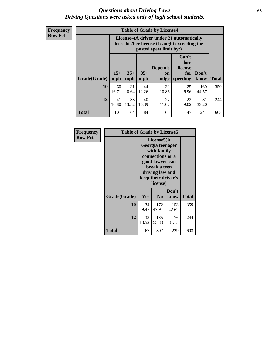#### *Questions about Driving Laws* **63** *Driving Questions were asked only of high school students.*

**Frequency Row Pct**

| <b>Table of Grade by License4</b> |              |                                                                                                                                               |             |             |            |              |     |  |  |  |
|-----------------------------------|--------------|-----------------------------------------------------------------------------------------------------------------------------------------------|-------------|-------------|------------|--------------|-----|--|--|--|
|                                   |              | License4(A driver under 21 automatically<br>loses his/her license if caught exceeding the<br>posted speet limit by:)                          |             |             |            |              |     |  |  |  |
| Grade(Grade)                      | $15+$<br>mph | Can't<br>lose<br><b>Depends</b><br>license<br>$25+$<br>$35+$<br>Don't<br>for<br>on<br>speeding<br><b>Total</b><br>mph<br>know<br>mph<br>judge |             |             |            |              |     |  |  |  |
| 10                                | 60<br>16.71  | 31<br>8.64                                                                                                                                    | 44<br>12.26 | 39<br>10.86 | 25<br>6.96 | 160<br>44.57 | 359 |  |  |  |
| 12                                | 41<br>16.80  | 33<br>13.52                                                                                                                                   | 40<br>16.39 | 27<br>11.07 | 22<br>9.02 | 81<br>33.20  | 244 |  |  |  |
| <b>Total</b>                      | 101          | 64                                                                                                                                            | 84          | 66          | 47         | 241          | 603 |  |  |  |

| Frequency      | <b>Table of Grade by License5</b> |             |                                                                                                                                                             |               |              |
|----------------|-----------------------------------|-------------|-------------------------------------------------------------------------------------------------------------------------------------------------------------|---------------|--------------|
| <b>Row Pct</b> |                                   |             | License5(A)<br>Georgia teenager<br>with family<br>connections or a<br>good lawyer can<br>break a teen<br>driving law and<br>keep their driver's<br>license) |               |              |
|                | Grade(Grade)                      | <b>Yes</b>  | N <sub>0</sub>                                                                                                                                              | Don't<br>know | <b>Total</b> |
|                | 10                                | 34<br>9.47  | 172<br>47.91                                                                                                                                                | 153<br>42.62  | 359          |
|                | 12                                | 33<br>13.52 | 135<br>55.33                                                                                                                                                | 76<br>31.15   | 244          |
|                | <b>Total</b>                      | 67          | 307                                                                                                                                                         | 229           | 603          |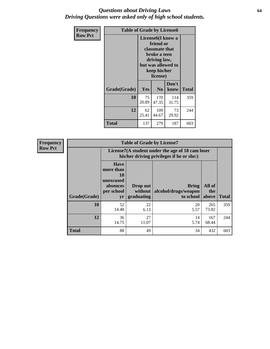#### *Questions about Driving Laws* **64** *Driving Questions were asked only of high school students.*

| <b>Frequency</b> | <b>Table of Grade by License6</b> |                                                                                                                                                 |                |               |              |
|------------------|-----------------------------------|-------------------------------------------------------------------------------------------------------------------------------------------------|----------------|---------------|--------------|
| <b>Row Pct</b>   |                                   | License <sub>6</sub> (I know a<br>friend or<br>classmate that<br>broke a teen<br>driving law,<br>but was allowed to<br>keep his/her<br>license) |                |               |              |
|                  | Grade(Grade)                      | <b>Yes</b>                                                                                                                                      | N <sub>0</sub> | Don't<br>know | <b>Total</b> |
|                  | 10                                | 75<br>20.89                                                                                                                                     | 170<br>47.35   | 114<br>31.75  | 359          |
|                  | 12                                | 62<br>25.41                                                                                                                                     | 109<br>44.67   | 73<br>29.92   | 244          |
|                  | <b>Total</b>                      | 137                                                                                                                                             | 279            | 187           | 603          |

| <b>Frequency</b> |              |                                                                             | <b>Table of Grade by License7</b>                                                             |                                                   |                        |              |  |
|------------------|--------------|-----------------------------------------------------------------------------|-----------------------------------------------------------------------------------------------|---------------------------------------------------|------------------------|--------------|--|
| <b>Row Pct</b>   |              |                                                                             | License7(A student under the age of 18 cam loser<br>his/her driving privileges if he or she:) |                                                   |                        |              |  |
|                  | Grade(Grade) | <b>Have</b><br>more than<br>10<br>unexcused<br>absences<br>per school<br>yr | Drop out<br>without  <br>graduating                                                           | <b>Bring</b><br>alcohol/drugs/weapon<br>to school | All of<br>the<br>above | <b>Total</b> |  |
|                  | 10           | 52<br>14.48                                                                 | 22<br>6.13                                                                                    | 20<br>5.57                                        | 265<br>73.82           | 359          |  |
|                  | 12           | 36<br>14.75                                                                 | 27<br>11.07                                                                                   | 14<br>5.74                                        | 167<br>68.44           | 244          |  |
|                  | <b>Total</b> | 88                                                                          | 49                                                                                            | 34                                                | 432                    | 603          |  |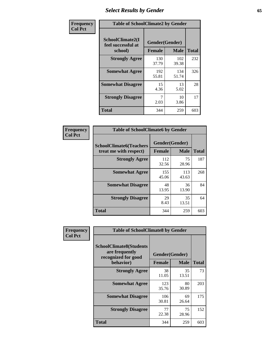# *Select Results by Gender* **65**

| Frequency      | <b>Table of SchoolClimate2 by Gender</b>          |                                 |              |              |
|----------------|---------------------------------------------------|---------------------------------|--------------|--------------|
| <b>Col Pct</b> | SchoolClimate2(I<br>feel successful at<br>school) | Gender(Gender)<br><b>Female</b> | <b>Male</b>  | <b>Total</b> |
|                | <b>Strongly Agree</b>                             | 130<br>37.79                    | 102<br>39.38 | 232          |
|                | <b>Somewhat Agree</b>                             | 192<br>55.81                    | 134<br>51.74 | 326          |
|                | <b>Somewhat Disagree</b>                          | 15<br>4.36                      | 13<br>5.02   | 28           |
|                | <b>Strongly Disagree</b>                          | 7<br>2.03                       | 10<br>3.86   | 17           |
|                | <b>Total</b>                                      | 344                             | 259          | 603          |

| Frequency      | <b>Table of SchoolClimate6 by Gender</b>                 |                                 |              |              |  |  |
|----------------|----------------------------------------------------------|---------------------------------|--------------|--------------|--|--|
| <b>Col Pct</b> | <b>SchoolClimate6(Teachers</b><br>treat me with respect) | Gender(Gender)<br><b>Female</b> | <b>Male</b>  | <b>Total</b> |  |  |
|                | <b>Strongly Agree</b>                                    | 112<br>32.56                    | 75<br>28.96  | 187          |  |  |
|                | <b>Somewhat Agree</b>                                    | 155<br>45.06                    | 113<br>43.63 | 268          |  |  |
|                | <b>Somewhat Disagree</b>                                 | 48<br>13.95                     | 36<br>13.90  | 84           |  |  |
|                | <b>Strongly Disagree</b>                                 | 29<br>8.43                      | 35<br>13.51  | 64           |  |  |
|                | Total                                                    | 344                             | 259          | 603          |  |  |

| Frequency      | <b>Table of SchoolClimate8 by Gender</b>                                             |                                 |                      |              |  |
|----------------|--------------------------------------------------------------------------------------|---------------------------------|----------------------|--------------|--|
| <b>Col Pct</b> | <b>SchoolClimate8(Students</b><br>are frequently<br>recognized for good<br>behavior) | Gender(Gender)<br><b>Female</b> | <b>Male</b>          | <b>Total</b> |  |
|                | <b>Strongly Agree</b>                                                                | 38<br>11.05                     | 35                   | 73           |  |
|                | <b>Somewhat Agree</b>                                                                | 123<br>35.76                    | 13.51<br>80<br>30.89 | 203          |  |
|                | <b>Somewhat Disagree</b>                                                             | 106<br>30.81                    | 69<br>26.64          | 175          |  |
|                | <b>Strongly Disagree</b>                                                             | 77<br>22.38                     | 75<br>28.96          | 152          |  |
|                | <b>Total</b>                                                                         | 344                             | 259                  | 603          |  |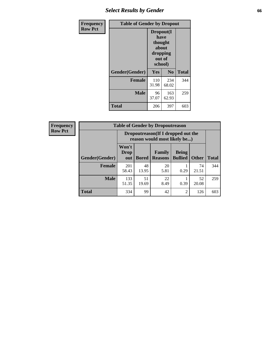# *Select Results by Gender* **66**

| Frequency      | <b>Table of Gender by Dropout</b> |                                                                        |                |              |
|----------------|-----------------------------------|------------------------------------------------------------------------|----------------|--------------|
| <b>Row Pct</b> |                                   | Dropout(I<br>have<br>thought<br>about<br>dropping<br>out of<br>school) |                |              |
|                | Gender(Gender)                    | Yes                                                                    | N <sub>0</sub> | <b>Total</b> |
|                | <b>Female</b>                     | 110<br>31.98                                                           | 234<br>68.02   | 344          |
|                | <b>Male</b>                       | 96<br>37.07                                                            | 163<br>62.93   | 259          |
|                | <b>Total</b>                      | 206                                                                    | 397            | 603          |

| <b>Frequency</b> | <b>Table of Gender by Dropoutreason</b> |                                                                    |              |                          |                                |              |              |
|------------------|-----------------------------------------|--------------------------------------------------------------------|--------------|--------------------------|--------------------------------|--------------|--------------|
| <b>Row Pct</b>   |                                         | Dropoutreason(If I dropped out the<br>reason would most likely be) |              |                          |                                |              |              |
|                  | Gender(Gender)                          | Won't<br><b>Drop</b><br>out                                        | <b>Bored</b> | Family<br><b>Reasons</b> | <b>Being</b><br><b>Bullied</b> | <b>Other</b> | <b>Total</b> |
|                  | <b>Female</b>                           | 201<br>58.43                                                       | 48<br>13.95  | 20<br>5.81               | 0.29                           | 74<br>21.51  | 344          |
|                  | <b>Male</b>                             | 133<br>51.35                                                       | 51<br>19.69  | 22<br>8.49               | 0.39                           | 52<br>20.08  | 259          |
|                  | <b>Total</b>                            | 334                                                                | 99           | 42                       | $\overline{2}$                 | 126          | 603          |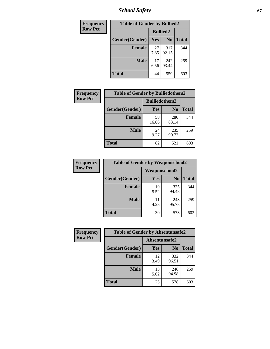*School Safety* **67**

| Frequency      | <b>Table of Gender by Bullied2</b> |                 |                |              |  |
|----------------|------------------------------------|-----------------|----------------|--------------|--|
| <b>Row Pct</b> |                                    | <b>Bullied2</b> |                |              |  |
|                | Gender(Gender)                     | Yes             | N <sub>0</sub> | <b>Total</b> |  |
|                | <b>Female</b>                      | 27<br>7.85      | 317<br>92.15   | 344          |  |
|                | <b>Male</b>                        | 17<br>6.56      | 242<br>93.44   | 259          |  |
|                | <b>Total</b>                       | 44              | 559            | 603          |  |

| <b>Frequency</b> | <b>Table of Gender by Bulliedothers2</b> |                       |                |              |  |
|------------------|------------------------------------------|-----------------------|----------------|--------------|--|
| <b>Row Pct</b>   |                                          | <b>Bulliedothers2</b> |                |              |  |
|                  | Gender(Gender)                           | Yes                   | N <sub>0</sub> | <b>Total</b> |  |
|                  | <b>Female</b>                            | 58<br>16.86           | 286<br>83.14   | 344          |  |
|                  | Male                                     | 24<br>9.27            | 235<br>90.73   | 259          |  |
|                  | <b>Total</b>                             | 82                    | 521            | 603          |  |

| Frequency      | <b>Table of Gender by Weaponschool2</b> |                      |                |              |  |
|----------------|-----------------------------------------|----------------------|----------------|--------------|--|
| <b>Row Pct</b> |                                         | <b>Weaponschool2</b> |                |              |  |
|                | Gender(Gender)                          | <b>Yes</b>           | N <sub>0</sub> | <b>Total</b> |  |
|                | Female                                  | 19<br>5.52           | 325<br>94.48   | 344          |  |
|                | <b>Male</b>                             | 11<br>4.25           | 248<br>95.75   | 259          |  |
|                | <b>Total</b>                            | 30                   | 573            | 603          |  |

| Frequency      | <b>Table of Gender by Absentunsafe2</b> |               |                |              |  |
|----------------|-----------------------------------------|---------------|----------------|--------------|--|
| <b>Row Pct</b> |                                         | Absentunsafe2 |                |              |  |
|                | Gender(Gender)                          | Yes           | N <sub>0</sub> | <b>Total</b> |  |
|                | <b>Female</b>                           | 12<br>3.49    | 332<br>96.51   | 344          |  |
|                | <b>Male</b>                             | 13<br>5.02    | 246<br>94.98   | 259          |  |
|                | <b>Total</b>                            | 25            | 578            | 603          |  |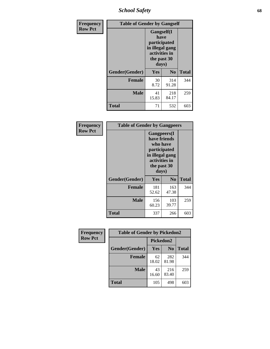*School Safety* **68**

| Frequency      | <b>Table of Gender by Gangself</b> |                                                                                                        |                |              |  |
|----------------|------------------------------------|--------------------------------------------------------------------------------------------------------|----------------|--------------|--|
| <b>Row Pct</b> |                                    | <b>Gangself</b> (I<br>have<br>participated<br>in illegal gang<br>activities in<br>the past 30<br>days) |                |              |  |
|                | Gender(Gender)                     | Yes                                                                                                    | N <sub>0</sub> | <b>Total</b> |  |
|                | <b>Female</b>                      | 30<br>8.72                                                                                             | 314<br>91.28   | 344          |  |
|                | <b>Male</b>                        | 41<br>15.83                                                                                            | 218<br>84.17   | 259          |  |
|                | <b>Total</b>                       | 71                                                                                                     | 532            | 603          |  |

| Frequency      | <b>Table of Gender by Gangpeers</b> |                                                                                                                             |                |              |
|----------------|-------------------------------------|-----------------------------------------------------------------------------------------------------------------------------|----------------|--------------|
| <b>Row Pct</b> |                                     | <b>Gangpeers</b> (I<br>have friends<br>who have<br>participated<br>in illegal gang<br>activities in<br>the past 30<br>days) |                |              |
|                | Gender(Gender)                      | Yes                                                                                                                         | N <sub>0</sub> | <b>Total</b> |
|                | <b>Female</b>                       | 181<br>52.62                                                                                                                | 163<br>47.38   | 344          |
|                | <b>Male</b>                         | 156<br>60.23                                                                                                                | 103<br>39.77   | 259          |
|                | <b>Total</b>                        | 337                                                                                                                         | 266            | 603          |

| Frequency      | <b>Table of Gender by Pickedon2</b> |             |                |              |
|----------------|-------------------------------------|-------------|----------------|--------------|
| <b>Row Pct</b> |                                     | Pickedon2   |                |              |
|                | Gender(Gender)                      | Yes         | N <sub>0</sub> | <b>Total</b> |
|                | <b>Female</b>                       | 62<br>18.02 | 282<br>81.98   | 344          |
|                | <b>Male</b>                         | 43<br>16.60 | 216<br>83.40   | 259          |
|                | <b>Total</b>                        | 105         | 498            | 603          |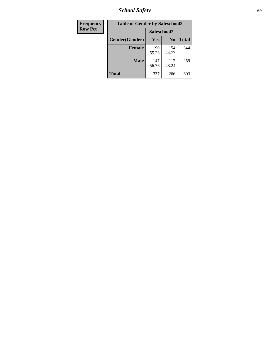*School Safety* **69**

| Frequency      | <b>Table of Gender by Safeschool2</b> |              |                |              |
|----------------|---------------------------------------|--------------|----------------|--------------|
| <b>Row Pct</b> |                                       | Safeschool2  |                |              |
|                | Gender(Gender)                        | <b>Yes</b>   | N <sub>0</sub> | <b>Total</b> |
|                | <b>Female</b>                         | 190<br>55.23 | 154<br>44.77   | 344          |
|                | <b>Male</b>                           | 147<br>56.76 | 112<br>43.24   | 259          |
|                | <b>Total</b>                          | 337          | 266            | 603          |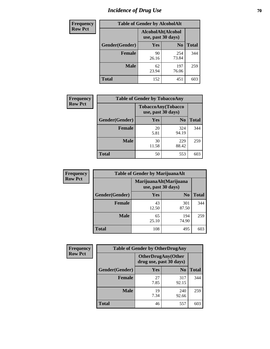# *Incidence of Drug Use* **70**

| <b>Frequency</b> | <b>Table of Gender by AlcoholAlt</b> |                                          |                |              |  |
|------------------|--------------------------------------|------------------------------------------|----------------|--------------|--|
| <b>Row Pct</b>   |                                      | AlcoholAlt(Alcohol<br>use, past 30 days) |                |              |  |
|                  | Gender(Gender)                       | <b>Yes</b>                               | N <sub>0</sub> | <b>Total</b> |  |
|                  | <b>Female</b>                        | 90<br>26.16                              | 254<br>73.84   | 344          |  |
|                  | <b>Male</b>                          | 62<br>23.94                              | 197<br>76.06   | 259          |  |
|                  | <b>Total</b>                         | 152                                      | 451            | 603          |  |

| Frequency      | <b>Table of Gender by TobaccoAny</b> |                                          |                |              |
|----------------|--------------------------------------|------------------------------------------|----------------|--------------|
| <b>Row Pct</b> |                                      | TobaccoAny(Tobacco<br>use, past 30 days) |                |              |
|                | Gender(Gender)                       | Yes                                      | N <sub>0</sub> | <b>Total</b> |
|                | <b>Female</b>                        | 20<br>5.81                               | 324<br>94.19   | 344          |
|                | <b>Male</b>                          | 30<br>11.58                              | 229<br>88.42   | 259          |
|                | Total                                | 50                                       | 553            | 603          |

| <b>Frequency</b> | <b>Table of Gender by MarijuanaAlt</b> |             |                                              |              |
|------------------|----------------------------------------|-------------|----------------------------------------------|--------------|
| <b>Row Pct</b>   |                                        |             | MarijuanaAlt(Marijuana<br>use, past 30 days) |              |
|                  | Gender(Gender)                         | <b>Yes</b>  | N <sub>0</sub>                               | <b>Total</b> |
|                  | <b>Female</b>                          | 43<br>12.50 | 301<br>87.50                                 | 344          |
|                  | <b>Male</b>                            | 65<br>25.10 | 194<br>74.90                                 | 259          |
|                  | <b>Total</b>                           | 108         | 495                                          | 603          |

| <b>Frequency</b> | <b>Table of Gender by OtherDrugAny</b> |                                               |                |              |  |
|------------------|----------------------------------------|-----------------------------------------------|----------------|--------------|--|
| <b>Row Pct</b>   |                                        | OtherDrugAny(Other<br>drug use, past 30 days) |                |              |  |
|                  | Gender(Gender)                         | <b>Yes</b>                                    | N <sub>0</sub> | <b>Total</b> |  |
|                  | <b>Female</b>                          | 27<br>7.85                                    | 317<br>92.15   | 344          |  |
|                  | <b>Male</b>                            | 19<br>7.34                                    | 240<br>92.66   | 259          |  |
|                  | <b>Total</b>                           | 46                                            | 557            | 603          |  |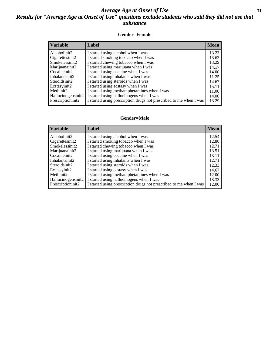#### *Average Age at Onset of Use* **71** *Results for "Average Age at Onset of Use" questions exclude students who said they did not use that substance*

#### **Gender=Female**

| <b>Variable</b>     | Label                                                              | <b>Mean</b> |
|---------------------|--------------------------------------------------------------------|-------------|
| Alcoholinit2        | I started using alcohol when I was                                 | 13.23       |
| Cigarettesinit2     | I started smoking tobacco when I was                               | 13.63       |
| Smokelessinit2      | I started chewing tobacco when I was                               | 13.29       |
| Marijuanainit2      | I started using marijuana when I was                               | 14.17       |
| Cocaineinit2        | I started using cocaine when I was                                 | 14.00       |
| Inhalantsinit2      | I started using inhalants when I was                               | 11.25       |
| Steroidsinit2       | I started using steroids when I was                                | 14.67       |
| Ecstasyinit2        | I started using ecstasy when I was                                 | 15.11       |
| Methinit2           | I started using methamphetamines when I was                        | 11.00       |
| Hallucinogensinit2  | I started using hallucinogens when I was                           | 14.00       |
| Prescription in it2 | I started using prescription drugs not prescribed to me when I was | 13.29       |

#### **Gender=Male**

| <b>Variable</b>                 | Label                                                              | <b>Mean</b> |
|---------------------------------|--------------------------------------------------------------------|-------------|
| Alcoholinit2                    | I started using alcohol when I was                                 | 12.54       |
| Cigarettesinit2                 | I started smoking tobacco when I was                               | 12.88       |
| Smokelessinit2                  | I started chewing tobacco when I was                               | 12.71       |
| Marijuanainit2                  | I started using marijuana when I was                               | 13.51       |
| Cocaineinit2                    | I started using cocaine when I was                                 | 13.11       |
| Inhalantsinit2                  | I started using inhalants when I was                               | 12.71       |
| Steroidsinit2                   | I started using steroids when I was                                | 12.33       |
| Ecstasyinit2                    | I started using ecstasy when I was                                 | 14.67       |
| Methinit <sub>2</sub>           | I started using methamphetamines when I was                        | 12.00       |
| Hallucinogensinit2              | I started using hallucinogens when I was                           | 13.33       |
| Prescription in it <sub>2</sub> | I started using prescription drugs not prescribed to me when I was | 12.00       |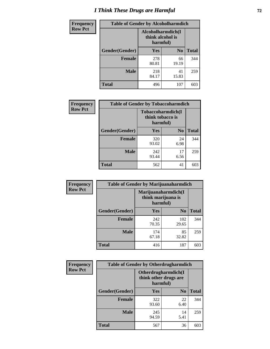# *I Think These Drugs are Harmful* **72**

| <b>Frequency</b> | <b>Table of Gender by Alcoholharmdich</b> |                                                   |                |              |
|------------------|-------------------------------------------|---------------------------------------------------|----------------|--------------|
| <b>Row Pct</b>   |                                           | Alcoholharmdich(I<br>think alcohol is<br>harmful) |                |              |
|                  | Gender(Gender)                            | <b>Yes</b>                                        | N <sub>0</sub> | <b>Total</b> |
|                  | <b>Female</b>                             | 278<br>80.81                                      | 66<br>19.19    | 344          |
|                  | <b>Male</b>                               | 218<br>84.17                                      | 41<br>15.83    | 259          |
|                  | <b>Total</b>                              | 496                                               | 107            | 603          |

| Frequency      | <b>Table of Gender by Tobaccoharmdich</b> |                              |                   |              |
|----------------|-------------------------------------------|------------------------------|-------------------|--------------|
| <b>Row Pct</b> |                                           | think tobacco is<br>harmful) | Tobaccoharmdich(I |              |
|                | Gender(Gender)                            | Yes                          | N <sub>0</sub>    | <b>Total</b> |
|                | <b>Female</b>                             | 320<br>93.02                 | 24<br>6.98        | 344          |
|                | <b>Male</b>                               | 242<br>93.44                 | 17<br>6.56        | 259          |
|                | <b>Total</b>                              | 562                          | 41                | 603          |

| Frequency      | <b>Table of Gender by Marijuanaharmdich</b> |                                                       |                |              |  |
|----------------|---------------------------------------------|-------------------------------------------------------|----------------|--------------|--|
| <b>Row Pct</b> |                                             | Marijuanaharmdich(I<br>think marijuana is<br>harmful) |                |              |  |
|                | Gender(Gender)                              | <b>Yes</b>                                            | N <sub>0</sub> | <b>Total</b> |  |
|                | <b>Female</b>                               | 242<br>70.35                                          | 102<br>29.65   | 344          |  |
|                | <b>Male</b>                                 | 174<br>67.18                                          | 85<br>32.82    | 259          |  |
|                | <b>Total</b>                                | 416                                                   | 187            | 603          |  |

| Frequency      | <b>Table of Gender by Otherdrugharmdich</b> |                                                                  |                |              |
|----------------|---------------------------------------------|------------------------------------------------------------------|----------------|--------------|
| <b>Row Pct</b> |                                             | <b>Otherdrugharmdich(I)</b><br>think other drugs are<br>harmful) |                |              |
|                | Gender(Gender)                              | Yes                                                              | N <sub>0</sub> | <b>Total</b> |
|                | <b>Female</b>                               | 322<br>93.60                                                     | 22<br>6.40     | 344          |
|                | <b>Male</b>                                 | 245<br>94.59                                                     | 14<br>5.41     | 259          |
|                | <b>Total</b>                                | 567                                                              | 36             | 603          |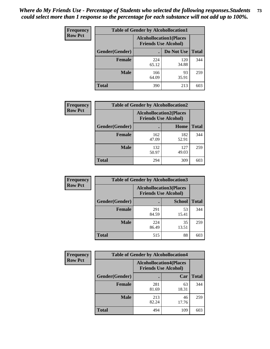| <b>Frequency</b> | <b>Table of Gender by Alcohollocation1</b> |                                                               |              |              |
|------------------|--------------------------------------------|---------------------------------------------------------------|--------------|--------------|
| <b>Row Pct</b>   |                                            | <b>Alcohollocation1(Places</b><br><b>Friends Use Alcohol)</b> |              |              |
|                  | Gender(Gender)                             |                                                               | Do Not Use   | <b>Total</b> |
|                  | <b>Female</b>                              | 224<br>65.12                                                  | 120<br>34.88 | 344          |
|                  | <b>Male</b>                                | 166<br>64.09                                                  | 93<br>35.91  | 259          |
|                  | <b>Total</b>                               | 390                                                           | 213          | 603          |

| <b>Frequency</b> | <b>Table of Gender by Alcohollocation2</b> |              |                                                               |              |
|------------------|--------------------------------------------|--------------|---------------------------------------------------------------|--------------|
| <b>Row Pct</b>   |                                            |              | <b>Alcohollocation2(Places</b><br><b>Friends Use Alcohol)</b> |              |
|                  | Gender(Gender)                             |              | Home                                                          | <b>Total</b> |
|                  | <b>Female</b>                              | 162<br>47.09 | 182<br>52.91                                                  | 344          |
|                  | <b>Male</b>                                | 132<br>50.97 | 127<br>49.03                                                  | 259          |
|                  | <b>Total</b>                               | 294          | 309                                                           | 603          |

| Frequency      | <b>Table of Gender by Alcohollocation3</b> |              |                                                               |              |
|----------------|--------------------------------------------|--------------|---------------------------------------------------------------|--------------|
| <b>Row Pct</b> |                                            |              | <b>Alcohollocation3(Places</b><br><b>Friends Use Alcohol)</b> |              |
|                | Gender(Gender)                             |              | <b>School</b>                                                 | <b>Total</b> |
|                | <b>Female</b>                              | 291<br>84.59 | 53<br>15.41                                                   | 344          |
|                | <b>Male</b>                                | 224<br>86.49 | 35<br>13.51                                                   | 259          |
|                | <b>Total</b>                               | 515          | 88                                                            | 603          |

| <b>Frequency</b> | <b>Table of Gender by Alcohollocation4</b> |                                                               |             |              |  |
|------------------|--------------------------------------------|---------------------------------------------------------------|-------------|--------------|--|
| <b>Row Pct</b>   |                                            | <b>Alcohollocation4(Places</b><br><b>Friends Use Alcohol)</b> |             |              |  |
|                  | Gender(Gender)                             |                                                               | Car         | <b>Total</b> |  |
|                  | <b>Female</b>                              | 281<br>81.69                                                  | 63<br>18.31 | 344          |  |
|                  | <b>Male</b>                                | 213<br>82.24                                                  | 46<br>17.76 | 259          |  |
|                  | <b>Total</b>                               | 494                                                           | 109         | 603          |  |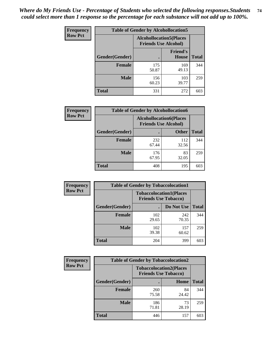| <b>Frequency</b> | <b>Table of Gender by Alcohollocation5</b> |                                                                |                          |              |
|------------------|--------------------------------------------|----------------------------------------------------------------|--------------------------|--------------|
| <b>Row Pct</b>   |                                            | <b>Alcohollocation5</b> (Places<br><b>Friends Use Alcohol)</b> |                          |              |
|                  | Gender(Gender)                             |                                                                | <b>Friend's</b><br>House | <b>Total</b> |
|                  | <b>Female</b>                              | 175<br>50.87                                                   | 169<br>49.13             | 344          |
|                  | <b>Male</b>                                | 156<br>60.23                                                   | 103<br>39.77             | 259          |
|                  | <b>Total</b>                               | 331                                                            | 272                      | 603          |

| Frequency      | <b>Table of Gender by Alcohollocation6</b> |                                                               |              |              |  |
|----------------|--------------------------------------------|---------------------------------------------------------------|--------------|--------------|--|
| <b>Row Pct</b> |                                            | <b>Alcohollocation6(Places</b><br><b>Friends Use Alcohol)</b> |              |              |  |
|                | <b>Gender</b> (Gender)                     |                                                               | <b>Other</b> | <b>Total</b> |  |
|                | <b>Female</b>                              | 232<br>67.44                                                  | 112<br>32.56 | 344          |  |
|                | <b>Male</b>                                | 176<br>67.95                                                  | 83<br>32.05  | 259          |  |
|                | <b>Total</b>                               | 408                                                           | 195          | 603          |  |

| Frequency      | <b>Table of Gender by Tobaccolocation1</b> |                                                               |              |              |  |
|----------------|--------------------------------------------|---------------------------------------------------------------|--------------|--------------|--|
| <b>Row Pct</b> |                                            | <b>Tobaccolocation1(Places</b><br><b>Friends Use Tobacco)</b> |              |              |  |
|                | Gender(Gender)                             |                                                               | Do Not Use   | <b>Total</b> |  |
|                | Female                                     | 102<br>29.65                                                  | 242<br>70.35 | 344          |  |
|                | <b>Male</b>                                | 102<br>39.38                                                  | 157<br>60.62 | 259          |  |
|                | <b>Total</b>                               | 204                                                           | 399          | 603          |  |

| Frequency      | <b>Table of Gender by Tobaccolocation2</b> |                                                               |             |              |
|----------------|--------------------------------------------|---------------------------------------------------------------|-------------|--------------|
| <b>Row Pct</b> |                                            | <b>Tobaccolocation2(Places</b><br><b>Friends Use Tobacco)</b> |             |              |
|                | Gender(Gender)                             |                                                               | Home        | <b>Total</b> |
|                | Female                                     | 260<br>75.58                                                  | 84<br>24.42 | 344          |
|                | <b>Male</b>                                | 186<br>71.81                                                  | 73<br>28.19 | 259          |
|                | <b>Total</b>                               | 446                                                           | 157         | 603          |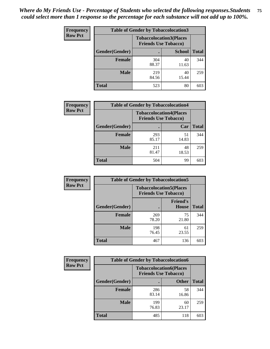| <b>Frequency</b> | <b>Table of Gender by Tobaccolocation3</b> |                                                               |               |              |
|------------------|--------------------------------------------|---------------------------------------------------------------|---------------|--------------|
| <b>Row Pct</b>   |                                            | <b>Tobaccolocation3(Places</b><br><b>Friends Use Tobacco)</b> |               |              |
|                  | Gender(Gender)                             |                                                               | <b>School</b> | <b>Total</b> |
|                  | <b>Female</b>                              | 304<br>88.37                                                  | 40<br>11.63   | 344          |
|                  | <b>Male</b>                                | 219<br>84.56                                                  | 40<br>15.44   | 259          |
|                  | Total                                      | 523                                                           | 80            | 603          |

| <b>Frequency</b> | <b>Table of Gender by Tobaccolocation4</b> |              |                                                               |              |
|------------------|--------------------------------------------|--------------|---------------------------------------------------------------|--------------|
| <b>Row Pct</b>   |                                            |              | <b>Tobaccolocation4(Places</b><br><b>Friends Use Tobacco)</b> |              |
|                  | Gender(Gender)                             |              | Car                                                           | <b>Total</b> |
|                  | <b>Female</b>                              | 293<br>85.17 | 51<br>14.83                                                   | 344          |
|                  | <b>Male</b>                                | 211<br>81.47 | 48<br>18.53                                                   | 259          |
|                  | <b>Total</b>                               | 504          | 99                                                            | 603          |

| <b>Frequency</b> | <b>Table of Gender by Tobaccolocation5</b> |                                                               |                                 |              |
|------------------|--------------------------------------------|---------------------------------------------------------------|---------------------------------|--------------|
| <b>Row Pct</b>   |                                            | <b>Tobaccolocation5(Places</b><br><b>Friends Use Tobacco)</b> |                                 |              |
|                  | Gender(Gender)                             |                                                               | <b>Friend's</b><br><b>House</b> | <b>Total</b> |
|                  | <b>Female</b>                              | 269<br>78.20                                                  | 75<br>21.80                     | 344          |
|                  | <b>Male</b>                                | 198<br>76.45                                                  | 61<br>23.55                     | 259          |
|                  | <b>Total</b>                               | 467                                                           | 136                             | 603          |

| <b>Frequency</b> | <b>Table of Gender by Tobaccolocation6</b> |                                                               |              |              |
|------------------|--------------------------------------------|---------------------------------------------------------------|--------------|--------------|
| <b>Row Pct</b>   |                                            | <b>Tobaccolocation6(Places</b><br><b>Friends Use Tobacco)</b> |              |              |
|                  | Gender(Gender)                             |                                                               | <b>Other</b> | <b>Total</b> |
|                  | Female                                     | 286<br>83.14                                                  | 58<br>16.86  | 344          |
|                  | <b>Male</b>                                | 199<br>76.83                                                  | 60<br>23.17  | 259          |
|                  | <b>Total</b>                               | 485                                                           | 118          | 603          |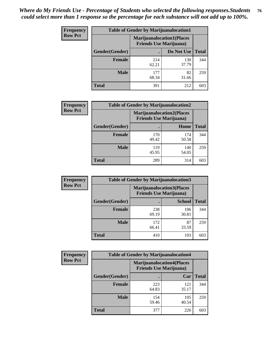| <b>Frequency</b> | <b>Table of Gender by Marijuanalocation1</b> |                                                                    |              |              |
|------------------|----------------------------------------------|--------------------------------------------------------------------|--------------|--------------|
| <b>Row Pct</b>   |                                              | <b>Marijuanalocation1(Places</b><br><b>Friends Use Marijuana</b> ) |              |              |
|                  | Gender(Gender)                               |                                                                    | Do Not Use   | <b>Total</b> |
|                  | <b>Female</b>                                | 214<br>62.21                                                       | 130<br>37.79 | 344          |
|                  | <b>Male</b>                                  | 177<br>68.34                                                       | 82<br>31.66  | 259          |
|                  | <b>Total</b>                                 | 391                                                                | 212          | 603          |

| <b>Frequency</b> | <b>Table of Gender by Marijuanalocation2</b> |                                                                    |              |              |  |
|------------------|----------------------------------------------|--------------------------------------------------------------------|--------------|--------------|--|
| <b>Row Pct</b>   |                                              | <b>Marijuanalocation2(Places</b><br><b>Friends Use Marijuana</b> ) |              |              |  |
|                  | Gender(Gender)                               |                                                                    | Home         | <b>Total</b> |  |
|                  | Female                                       | 170<br>49.42                                                       | 174<br>50.58 | 344          |  |
|                  | <b>Male</b>                                  | 119<br>45.95                                                       | 140<br>54.05 | 259          |  |
|                  | <b>Total</b>                                 | 289                                                                | 314          | 603          |  |

| Frequency      | <b>Table of Gender by Marijuanalocation3</b> |                                                                    |               |              |
|----------------|----------------------------------------------|--------------------------------------------------------------------|---------------|--------------|
| <b>Row Pct</b> |                                              | <b>Marijuanalocation3(Places</b><br><b>Friends Use Marijuana</b> ) |               |              |
|                | Gender(Gender)                               |                                                                    | <b>School</b> | <b>Total</b> |
|                | Female                                       | 238<br>69.19                                                       | 106<br>30.81  | 344          |
|                | <b>Male</b>                                  | 172<br>66.41                                                       | 87<br>33.59   | 259          |
|                | <b>Total</b>                                 | 410                                                                | 193           | 603          |

| <b>Frequency</b> |                | <b>Table of Gender by Marijuanalocation4</b>                       |              |              |  |  |
|------------------|----------------|--------------------------------------------------------------------|--------------|--------------|--|--|
| <b>Row Pct</b>   |                | <b>Marijuanalocation4(Places</b><br><b>Friends Use Marijuana</b> ) |              |              |  |  |
|                  | Gender(Gender) |                                                                    | Car          | <b>Total</b> |  |  |
|                  | <b>Female</b>  | 223<br>64.83                                                       | 121<br>35.17 | 344          |  |  |
|                  | <b>Male</b>    | 154<br>59.46                                                       | 105<br>40.54 | 259          |  |  |
|                  | <b>Total</b>   | 377                                                                | 226          | 603          |  |  |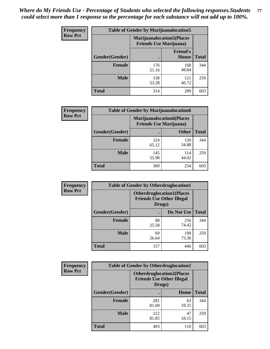| <b>Frequency</b> | <b>Table of Gender by Marijuanalocation5</b> |                                                                     |                          |              |
|------------------|----------------------------------------------|---------------------------------------------------------------------|--------------------------|--------------|
| <b>Row Pct</b>   |                                              | <b>Marijuanalocation5</b> (Places<br><b>Friends Use Marijuana</b> ) |                          |              |
|                  | Gender(Gender)                               |                                                                     | <b>Friend's</b><br>House | <b>Total</b> |
|                  | <b>Female</b>                                | 176<br>51.16                                                        | 168<br>48.84             | 344          |
|                  | <b>Male</b>                                  | 138<br>53.28                                                        | 121<br>46.72             | 259          |
|                  | <b>Total</b>                                 | 314                                                                 | 289                      | 603          |

| <b>Frequency</b> | <b>Table of Gender by Marijuanalocation6</b> |                                |                                  |              |
|------------------|----------------------------------------------|--------------------------------|----------------------------------|--------------|
| <b>Row Pct</b>   |                                              | <b>Friends Use Marijuana</b> ) | <b>Marijuanalocation6(Places</b> |              |
|                  | <b>Gender</b> (Gender)                       |                                | <b>Other</b>                     | <b>Total</b> |
|                  | <b>Female</b>                                | 224<br>65.12                   | 120<br>34.88                     | 344          |
|                  | <b>Male</b>                                  | 145<br>55.98                   | 114<br>44.02                     | 259          |
|                  | Total                                        | 369                            | 234                              | 603          |

| Frequency      | <b>Table of Gender by Otherdruglocation1</b> |             |                                                                                |              |
|----------------|----------------------------------------------|-------------|--------------------------------------------------------------------------------|--------------|
| <b>Row Pct</b> |                                              |             | <b>Otherdruglocation1(Places</b><br><b>Friends Use Other Illegal</b><br>Drugs) |              |
|                | Gender(Gender)                               |             | Do Not Use                                                                     | <b>Total</b> |
|                | <b>Female</b>                                | 88<br>25.58 | 256<br>74.42                                                                   | 344          |
|                | <b>Male</b>                                  | 69<br>26.64 | 190<br>73.36                                                                   | 259          |
|                | <b>Total</b>                                 | 157         | 446                                                                            | 603          |

| <b>Frequency</b> | <b>Table of Gender by Otherdruglocation2</b> |                                            |                                  |              |
|------------------|----------------------------------------------|--------------------------------------------|----------------------------------|--------------|
| <b>Row Pct</b>   |                                              | <b>Friends Use Other Illegal</b><br>Drugs) | <b>Otherdruglocation2(Places</b> |              |
|                  | Gender(Gender)                               |                                            | Home                             | <b>Total</b> |
|                  | <b>Female</b>                                | 281<br>81.69                               | 63<br>18.31                      | 344          |
|                  | <b>Male</b>                                  | 212<br>81.85                               | 47<br>18.15                      | 259          |
|                  | <b>Total</b>                                 | 493                                        | 110                              | 603          |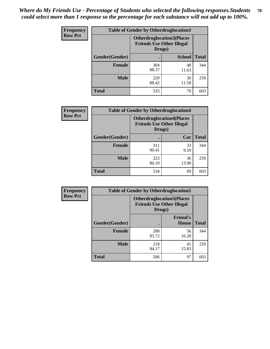| Frequency      | <b>Table of Gender by Otherdruglocation3</b> |                                                                                |               |              |
|----------------|----------------------------------------------|--------------------------------------------------------------------------------|---------------|--------------|
| <b>Row Pct</b> |                                              | <b>Otherdruglocation3(Places</b><br><b>Friends Use Other Illegal</b><br>Drugs) |               |              |
|                | Gender(Gender)                               |                                                                                | <b>School</b> | <b>Total</b> |
|                | <b>Female</b>                                | 304<br>88.37                                                                   | 40<br>11.63   | 344          |
|                | <b>Male</b>                                  | 229<br>88.42                                                                   | 30<br>11.58   | 259          |
|                | <b>Total</b>                                 | 533                                                                            | 70            | 603          |

| Frequency      | <b>Table of Gender by Otherdruglocation4</b> |                                                                                |             |              |
|----------------|----------------------------------------------|--------------------------------------------------------------------------------|-------------|--------------|
| <b>Row Pct</b> |                                              | <b>Otherdruglocation4(Places</b><br><b>Friends Use Other Illegal</b><br>Drugs) |             |              |
|                | Gender(Gender)                               |                                                                                | Car         | <b>Total</b> |
|                | <b>Female</b>                                | 311<br>90.41                                                                   | 33<br>9.59  | 344          |
|                | <b>Male</b>                                  | 223<br>86.10                                                                   | 36<br>13.90 | 259          |
|                | <b>Total</b>                                 | 534                                                                            | 69          | 603          |

| Frequency      | <b>Table of Gender by Otherdruglocation5</b>                                   |              |                                 |              |
|----------------|--------------------------------------------------------------------------------|--------------|---------------------------------|--------------|
| <b>Row Pct</b> | <b>Otherdruglocation5(Places</b><br><b>Friends Use Other Illegal</b><br>Drugs) |              |                                 |              |
|                | Gender(Gender)                                                                 |              | <b>Friend's</b><br><b>House</b> | <b>Total</b> |
|                | <b>Female</b>                                                                  | 288<br>83.72 | 56<br>16.28                     | 344          |
|                | <b>Male</b>                                                                    | 218<br>84.17 | 41<br>15.83                     | 259          |
|                | <b>Total</b>                                                                   | 506          | 97                              | 603          |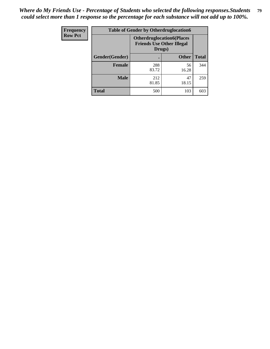| <b>Frequency</b> | <b>Table of Gender by Otherdruglocation6</b> |                                            |                                  |              |
|------------------|----------------------------------------------|--------------------------------------------|----------------------------------|--------------|
| <b>Row Pct</b>   |                                              | <b>Friends Use Other Illegal</b><br>Drugs) | <b>Otherdruglocation6(Places</b> |              |
|                  | Gender(Gender)                               |                                            | <b>Other</b>                     | <b>Total</b> |
|                  | Female                                       | 288<br>83.72                               | 56<br>16.28                      | 344          |
|                  | <b>Male</b>                                  | 212<br>81.85                               | 47<br>18.15                      | 259          |
|                  | <b>Total</b>                                 | 500                                        | 103                              | 603          |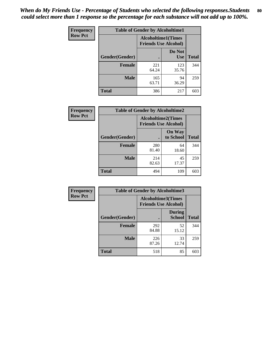| <b>Frequency</b> | <b>Table of Gender by Alcoholtime1</b> |                                                          |                      |              |
|------------------|----------------------------------------|----------------------------------------------------------|----------------------|--------------|
| <b>Row Pct</b>   |                                        | <b>Alcoholtime1(Times</b><br><b>Friends Use Alcohol)</b> |                      |              |
|                  | Gender(Gender)                         | $\bullet$                                                | Do Not<br><b>Use</b> | <b>Total</b> |
|                  | <b>Female</b>                          | 221<br>64.24                                             | 123<br>35.76         | 344          |
|                  | <b>Male</b>                            | 165<br>63.71                                             | 94<br>36.29          | 259          |
|                  | <b>Total</b>                           | 386                                                      | 217                  | 603          |

| Frequency      | <b>Table of Gender by Alcoholtime2</b> |                                                          |                            |              |
|----------------|----------------------------------------|----------------------------------------------------------|----------------------------|--------------|
| <b>Row Pct</b> |                                        | <b>Alcoholtime2(Times</b><br><b>Friends Use Alcohol)</b> |                            |              |
|                | Gender(Gender)                         |                                                          | <b>On Way</b><br>to School | <b>Total</b> |
|                | <b>Female</b>                          | 280<br>81.40                                             | 64<br>18.60                | 344          |
|                | <b>Male</b>                            | 214<br>82.63                                             | 45<br>17.37                | 259          |
|                | <b>Total</b>                           | 494                                                      | 109                        | 603          |

| Frequency      | <b>Table of Gender by Alcoholtime3</b> |                                                   |                                |              |
|----------------|----------------------------------------|---------------------------------------------------|--------------------------------|--------------|
| <b>Row Pct</b> |                                        | Alcoholtime3(Times<br><b>Friends Use Alcohol)</b> |                                |              |
|                | Gender(Gender)                         |                                                   | <b>During</b><br><b>School</b> | <b>Total</b> |
|                | Female                                 | 292<br>84.88                                      | 52<br>15.12                    | 344          |
|                | <b>Male</b>                            | 226<br>87.26                                      | 33<br>12.74                    | 259          |
|                | <b>Total</b>                           | 518                                               | 85                             | 603          |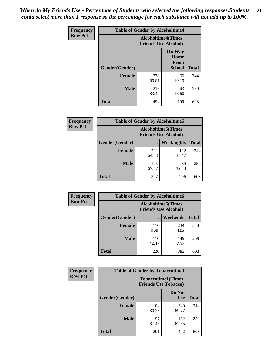*When do My Friends Use - Percentage of Students who selected the following responses.Students could select more than 1 response so the percentage for each substance will not add up to 100%.* **81**

| <b>Frequency</b> | <b>Table of Gender by Alcoholtime4</b> |                                                          |                                                       |              |
|------------------|----------------------------------------|----------------------------------------------------------|-------------------------------------------------------|--------------|
| <b>Row Pct</b>   |                                        | <b>Alcoholtime4(Times</b><br><b>Friends Use Alcohol)</b> |                                                       |              |
|                  | Gender(Gender)                         |                                                          | <b>On Way</b><br>Home<br><b>From</b><br><b>School</b> | <b>Total</b> |
|                  | <b>Female</b>                          | 278<br>80.81                                             | 66<br>19.19                                           | 344          |
|                  | <b>Male</b>                            | 216<br>83.40                                             | 43<br>16.60                                           | 259          |
|                  | <b>Total</b>                           | 494                                                      | 109                                                   | 603          |

| <b>Frequency</b> | <b>Table of Gender by Alcoholtime5</b> |                                                           |              |              |
|------------------|----------------------------------------|-----------------------------------------------------------|--------------|--------------|
| <b>Row Pct</b>   |                                        | <b>Alcoholtime5</b> (Times<br><b>Friends Use Alcohol)</b> |              |              |
|                  | Gender(Gender)                         |                                                           | Weeknights   | <b>Total</b> |
|                  | <b>Female</b>                          | 222<br>64.53                                              | 122<br>35.47 | 344          |
|                  | <b>Male</b>                            | 175<br>67.57                                              | 84<br>32.43  | 259          |
|                  | <b>Total</b>                           | 397                                                       | 206          | 603          |

| <b>Frequency</b> | <b>Table of Gender by Alcoholtime6</b> |              |                                                          |              |  |
|------------------|----------------------------------------|--------------|----------------------------------------------------------|--------------|--|
| <b>Row Pct</b>   |                                        |              | <b>Alcoholtime6(Times</b><br><b>Friends Use Alcohol)</b> |              |  |
|                  | Gender(Gender)                         |              | Weekends                                                 | <b>Total</b> |  |
|                  | Female                                 | 110<br>31.98 | 234<br>68.02                                             | 344          |  |
|                  | <b>Male</b>                            | 110<br>42.47 | 149<br>57.53                                             | 259          |  |
|                  | <b>Total</b>                           | 220          | 383                                                      | 603          |  |

| Frequency      | <b>Table of Gender by Tobaccotime1</b> |                                                          |                      |              |
|----------------|----------------------------------------|----------------------------------------------------------|----------------------|--------------|
| <b>Row Pct</b> |                                        | <b>Tobaccotime1(Times</b><br><b>Friends Use Tobacco)</b> |                      |              |
|                | Gender(Gender)                         |                                                          | Do Not<br><b>Use</b> | <b>Total</b> |
|                | <b>Female</b>                          | 104<br>30.23                                             | 240<br>69.77         | 344          |
|                | <b>Male</b>                            | 97<br>37.45                                              | 162<br>62.55         | 259          |
|                | <b>Total</b>                           | 201                                                      | 402                  | 603          |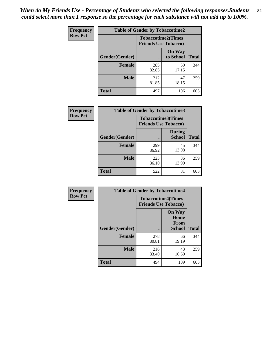*When do My Friends Use - Percentage of Students who selected the following responses.Students could select more than 1 response so the percentage for each substance will not add up to 100%.* **82**

| <b>Frequency</b> | <b>Table of Gender by Tobaccotime2</b> |                                                          |                            |              |
|------------------|----------------------------------------|----------------------------------------------------------|----------------------------|--------------|
| <b>Row Pct</b>   |                                        | <b>Tobaccotime2(Times</b><br><b>Friends Use Tobacco)</b> |                            |              |
|                  | Gender(Gender)                         | $\bullet$                                                | <b>On Way</b><br>to School | <b>Total</b> |
|                  | Female                                 | 285<br>82.85                                             | 59<br>17.15                | 344          |
|                  | <b>Male</b>                            | 212<br>81.85                                             | 47<br>18.15                | 259          |
|                  | <b>Total</b>                           | 497                                                      | 106                        | 603          |

| Frequency      | <b>Table of Gender by Tobaccotime3</b> |                                                          |                                |              |
|----------------|----------------------------------------|----------------------------------------------------------|--------------------------------|--------------|
| <b>Row Pct</b> |                                        | <b>Tobaccotime3(Times</b><br><b>Friends Use Tobacco)</b> |                                |              |
|                | Gender(Gender)                         |                                                          | <b>During</b><br><b>School</b> | <b>Total</b> |
|                | <b>Female</b>                          | 299<br>86.92                                             | 45<br>13.08                    | 344          |
|                | <b>Male</b>                            | 223<br>86.10                                             | 36<br>13.90                    | 259          |
|                | <b>Total</b>                           | 522                                                      | 81                             | 603          |

| <b>Frequency</b> | <b>Table of Gender by Tobaccotime4</b> |                                                          |                                                       |              |
|------------------|----------------------------------------|----------------------------------------------------------|-------------------------------------------------------|--------------|
| <b>Row Pct</b>   |                                        | <b>Tobaccotime4(Times</b><br><b>Friends Use Tobacco)</b> |                                                       |              |
|                  | Gender(Gender)                         |                                                          | <b>On Way</b><br>Home<br><b>From</b><br><b>School</b> | <b>Total</b> |
|                  | <b>Female</b>                          | 278<br>80.81                                             | 66<br>19.19                                           | 344          |
|                  | <b>Male</b>                            | 216<br>83.40                                             | 43<br>16.60                                           | 259          |
|                  | <b>Total</b>                           | 494                                                      | 109                                                   | 603          |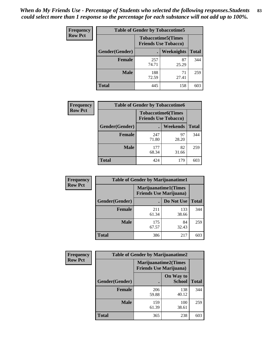| Frequency      | <b>Table of Gender by Tobaccotime5</b> |              |                                                          |              |  |
|----------------|----------------------------------------|--------------|----------------------------------------------------------|--------------|--|
| <b>Row Pct</b> |                                        |              | <b>Tobaccotime5(Times</b><br><b>Friends Use Tobacco)</b> |              |  |
|                | Gender(Gender)                         |              | Weeknights                                               | <b>Total</b> |  |
|                | <b>Female</b>                          | 257<br>74.71 | 87<br>25.29                                              | 344          |  |
|                | <b>Male</b>                            | 188<br>72.59 | 71<br>27.41                                              | 259          |  |
|                | <b>Total</b>                           | 445          | 158                                                      | 603          |  |

| Frequency      | <b>Table of Gender by Tobaccotime6</b> |                                                          |             |              |
|----------------|----------------------------------------|----------------------------------------------------------|-------------|--------------|
| <b>Row Pct</b> |                                        | <b>Tobaccotime6(Times</b><br><b>Friends Use Tobacco)</b> |             |              |
|                | Gender(Gender)                         |                                                          | Weekends    | <b>Total</b> |
|                | Female                                 | 247<br>71.80                                             | 97<br>28.20 | 344          |
|                | <b>Male</b>                            | 177<br>68.34                                             | 82<br>31.66 | 259          |
|                | <b>Total</b>                           | 424                                                      | 179         | 603          |

| Frequency      | <b>Table of Gender by Marijuanatime1</b> |                                                               |              |              |  |
|----------------|------------------------------------------|---------------------------------------------------------------|--------------|--------------|--|
| <b>Row Pct</b> |                                          | <b>Marijuanatime1(Times</b><br><b>Friends Use Marijuana</b> ) |              |              |  |
|                | Gender(Gender)                           |                                                               | Do Not Use   | <b>Total</b> |  |
|                | <b>Female</b>                            | 211<br>61.34                                                  | 133<br>38.66 | 344          |  |
|                | <b>Male</b>                              | 175<br>67.57                                                  | 84<br>32.43  | 259          |  |
|                | <b>Total</b>                             | 386                                                           | 217          | 603          |  |

| Frequency      | <b>Table of Gender by Marijuanatime2</b> |                                                               |                            |              |
|----------------|------------------------------------------|---------------------------------------------------------------|----------------------------|--------------|
| <b>Row Pct</b> |                                          | <b>Marijuanatime2(Times</b><br><b>Friends Use Marijuana</b> ) |                            |              |
|                | Gender(Gender)                           |                                                               | On Way to<br><b>School</b> | <b>Total</b> |
|                | <b>Female</b>                            | 206<br>59.88                                                  | 138<br>40.12               | 344          |
|                | <b>Male</b>                              | 159<br>61.39                                                  | 100<br>38.61               | 259          |
|                | <b>Total</b>                             | 365                                                           | 238                        | 603          |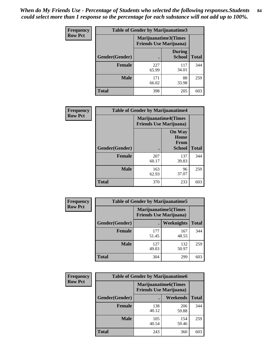| Frequency      | Table of Gender by Marijuanatime3 |                                                        |                                |              |
|----------------|-----------------------------------|--------------------------------------------------------|--------------------------------|--------------|
| <b>Row Pct</b> |                                   | Marijuanatime3(Times<br><b>Friends Use Marijuana</b> ) |                                |              |
|                | Gender(Gender)                    |                                                        | <b>During</b><br><b>School</b> | <b>Total</b> |
|                | <b>Female</b>                     | 227<br>65.99                                           | 117<br>34.01                   | 344          |
|                | <b>Male</b>                       | 171<br>66.02                                           | 88<br>33.98                    | 259          |
|                | <b>Total</b>                      | 398                                                    | 205                            | 603          |

| <b>Frequency</b> | <b>Table of Gender by Marijuanatime4</b> |              |                                                               |              |
|------------------|------------------------------------------|--------------|---------------------------------------------------------------|--------------|
| <b>Row Pct</b>   |                                          |              | <b>Marijuanatime4(Times</b><br><b>Friends Use Marijuana</b> ) |              |
|                  |                                          |              | <b>On Way</b><br>Home<br><b>From</b>                          |              |
|                  | Gender(Gender)                           |              | School                                                        | <b>Total</b> |
|                  | <b>Female</b>                            | 207<br>60.17 | 137<br>39.83                                                  | 344          |
|                  | <b>Male</b>                              | 163<br>62.93 | 96<br>37.07                                                   | 259          |
|                  | <b>Total</b>                             | 370          | 233                                                           | 603          |

| Frequency      | <b>Table of Gender by Marijuanatime5</b> |              |                                                                |              |  |
|----------------|------------------------------------------|--------------|----------------------------------------------------------------|--------------|--|
| <b>Row Pct</b> |                                          |              | <b>Marijuanatime5</b> (Times<br><b>Friends Use Marijuana</b> ) |              |  |
|                | Gender(Gender)                           |              | Weeknights                                                     | <b>Total</b> |  |
|                | <b>Female</b>                            | 177<br>51.45 | 167<br>48.55                                                   | 344          |  |
|                | <b>Male</b>                              | 127<br>49.03 | 132<br>50.97                                                   | 259          |  |
|                | <b>Total</b>                             | 304          | 299                                                            | 603          |  |

| Frequency      |                | <b>Table of Gender by Marijuanatime6</b>                      |                 |              |
|----------------|----------------|---------------------------------------------------------------|-----------------|--------------|
| <b>Row Pct</b> |                | <b>Marijuanatime6(Times</b><br><b>Friends Use Marijuana</b> ) |                 |              |
|                | Gender(Gender) |                                                               | <b>Weekends</b> | <b>Total</b> |
|                | <b>Female</b>  | 138<br>40.12                                                  | 206<br>59.88    | 344          |
|                | <b>Male</b>    | 105<br>40.54                                                  | 154<br>59.46    | 259          |
|                | <b>Total</b>   | 243                                                           | 360             | 603          |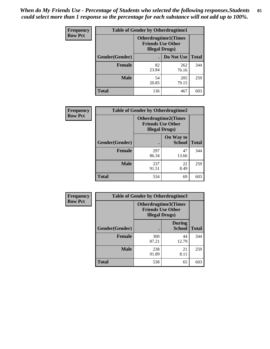*When do My Friends Use - Percentage of Students who selected the following responses.Students could select more than 1 response so the percentage for each substance will not add up to 100%.* **85**

| <b>Frequency</b> | <b>Table of Gender by Otherdrugtime1</b> |                                                    |                              |              |  |
|------------------|------------------------------------------|----------------------------------------------------|------------------------------|--------------|--|
| <b>Row Pct</b>   |                                          | <b>Friends Use Other</b><br><b>Illegal Drugs</b> ) | <b>Otherdrugtime1</b> (Times |              |  |
|                  | Gender(Gender)                           |                                                    | Do Not Use                   | <b>Total</b> |  |
|                  | <b>Female</b>                            | 82<br>23.84                                        | 262<br>76.16                 | 344          |  |
|                  | <b>Male</b>                              | 54<br>20.85                                        | 205<br>79.15                 | 259          |  |
|                  | <b>Total</b>                             | 136                                                | 467                          | 603          |  |

| <b>Frequency</b> | <b>Table of Gender by Otherdrugtime2</b> |                                                    |                             |              |  |
|------------------|------------------------------------------|----------------------------------------------------|-----------------------------|--------------|--|
| <b>Row Pct</b>   |                                          | <b>Friends Use Other</b><br><b>Illegal Drugs</b> ) | <b>Otherdrugtime2(Times</b> |              |  |
|                  | Gender(Gender)                           |                                                    | On Way to<br><b>School</b>  | <b>Total</b> |  |
|                  | <b>Female</b>                            | 297<br>86.34                                       | 47<br>13.66                 | 344          |  |
|                  | <b>Male</b>                              | 237<br>91.51                                       | 22<br>8.49                  | 259          |  |
|                  | <b>Total</b>                             | 534                                                | 69                          | 603          |  |

| Frequency      | <b>Table of Gender by Otherdrugtime3</b> |                        |                                                         |              |
|----------------|------------------------------------------|------------------------|---------------------------------------------------------|--------------|
| <b>Row Pct</b> |                                          | <b>Illegal Drugs</b> ) | <b>Otherdrugtime3(Times</b><br><b>Friends Use Other</b> |              |
|                | Gender(Gender)                           |                        | <b>During</b><br><b>School</b>                          | <b>Total</b> |
|                | <b>Female</b>                            | 300<br>87.21           | 44<br>12.79                                             | 344          |
|                | <b>Male</b>                              | 238<br>91.89           | 21<br>8.11                                              | 259          |
|                | <b>Total</b>                             | 538                    | 65                                                      | 603          |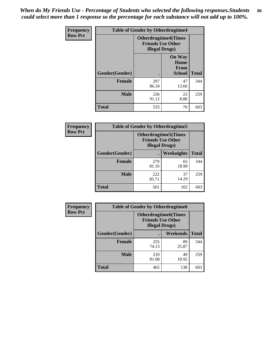*When do My Friends Use - Percentage of Students who selected the following responses.Students could select more than 1 response so the percentage for each substance will not add up to 100%.* **86**

| <b>Frequency</b> | <b>Table of Gender by Otherdrugtime4</b> |                        |                                                         |              |
|------------------|------------------------------------------|------------------------|---------------------------------------------------------|--------------|
| <b>Row Pct</b>   |                                          | <b>Illegal Drugs</b> ) | <b>Otherdrugtime4(Times</b><br><b>Friends Use Other</b> |              |
|                  | Gender(Gender)                           |                        | <b>On Way</b><br>Home<br><b>From</b><br><b>School</b>   | <b>Total</b> |
|                  | <b>Female</b>                            | 297<br>86.34           | 47<br>13.66                                             | 344          |
|                  | <b>Male</b>                              | 236<br>91.12           | 23<br>8.88                                              | 259          |
|                  | <b>Total</b>                             | 533                    | 70                                                      | 603          |

| <b>Frequency</b> | <b>Table of Gender by Otherdrugtime5</b> |              |                                                                                    |              |  |
|------------------|------------------------------------------|--------------|------------------------------------------------------------------------------------|--------------|--|
| <b>Row Pct</b>   |                                          |              | <b>Otherdrugtime5</b> (Times<br><b>Friends Use Other</b><br><b>Illegal Drugs</b> ) |              |  |
|                  | Gender(Gender)                           |              | Weeknights                                                                         | <b>Total</b> |  |
|                  | <b>Female</b>                            | 279<br>81.10 | 65<br>18.90                                                                        | 344          |  |
|                  | <b>Male</b>                              | 222<br>85.71 | 37<br>14.29                                                                        | 259          |  |
|                  | Total                                    | 501          | 102                                                                                | 603          |  |

| <b>Frequency</b> |                | <b>Table of Gender by Otherdrugtime6</b>                                          |             |              |  |
|------------------|----------------|-----------------------------------------------------------------------------------|-------------|--------------|--|
| <b>Row Pct</b>   |                | <b>Otherdrugtime6(Times</b><br><b>Friends Use Other</b><br><b>Illegal Drugs</b> ) |             |              |  |
|                  | Gender(Gender) |                                                                                   | Weekends    | <b>Total</b> |  |
|                  | Female         | 255<br>74.13                                                                      | 89<br>25.87 | 344          |  |
|                  | <b>Male</b>    | 210<br>81.08                                                                      | 49<br>18.92 | 259          |  |
|                  | <b>Total</b>   | 465                                                                               | 138         | 603          |  |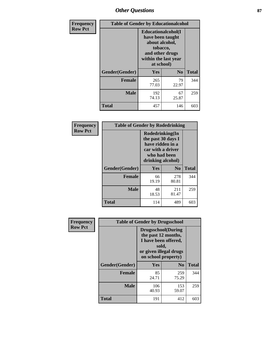# *Other Questions* **87**

| <b>Frequency</b> | <b>Table of Gender by Educationalcohol</b> |                                                                                                                                       |                |              |
|------------------|--------------------------------------------|---------------------------------------------------------------------------------------------------------------------------------------|----------------|--------------|
| <b>Row Pct</b>   |                                            | <b>Educationalcohol</b> (I<br>have been taught<br>about alcohol,<br>tobacco,<br>and other drugs<br>within the last year<br>at school) |                |              |
|                  | Gender(Gender)                             | <b>Yes</b>                                                                                                                            | N <sub>0</sub> | <b>Total</b> |
|                  | <b>Female</b>                              | 265<br>77.03                                                                                                                          | 79<br>22.97    | 344          |
|                  | <b>Male</b>                                | 192<br>74.13                                                                                                                          | 67<br>25.87    | 259          |
|                  | <b>Total</b>                               | 457                                                                                                                                   | 146            | 603          |

| Frequency      | <b>Table of Gender by Rodedrinking</b> |                                                                                                                     |              |              |  |
|----------------|----------------------------------------|---------------------------------------------------------------------------------------------------------------------|--------------|--------------|--|
| <b>Row Pct</b> |                                        | Rodedrinking(In<br>the past 30 days I<br>have ridden in a<br>car with a driver<br>who had been<br>drinking alcohol) |              |              |  |
|                | Gender(Gender)                         | Yes                                                                                                                 | $\bf N_0$    | <b>Total</b> |  |
|                | <b>Female</b>                          | 66<br>19.19                                                                                                         | 278<br>80.81 | 344          |  |
|                | <b>Male</b>                            | 48<br>18.53                                                                                                         | 211<br>81.47 | 259          |  |
|                | <b>Total</b>                           | 114                                                                                                                 | 489          | 603          |  |

| Frequency      | <b>Table of Gender by Drugsschool</b> |                                                                                                                                     |                |              |  |
|----------------|---------------------------------------|-------------------------------------------------------------------------------------------------------------------------------------|----------------|--------------|--|
| <b>Row Pct</b> |                                       | <b>Drugsschool</b> (During<br>the past 12 months,<br>I have been offered,<br>sold,<br>or given illegal drugs<br>on school property) |                |              |  |
|                | Gender(Gender)                        | Yes                                                                                                                                 | N <sub>0</sub> | <b>Total</b> |  |
|                | <b>Female</b>                         | 85<br>24.71                                                                                                                         | 259<br>75.29   | 344          |  |
|                | <b>Male</b>                           | 106<br>40.93                                                                                                                        | 153<br>59.07   | 259          |  |
|                | <b>Total</b>                          | 191                                                                                                                                 | 412            | 603          |  |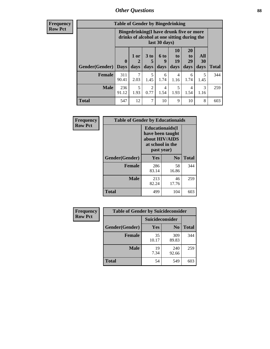# *Other Questions* **88**

**Frequency Row Pct**

| <b>Table of Gender by Bingedrinking</b> |                         |                                                                                                         |                        |                   |                        |                               |                   |              |
|-----------------------------------------|-------------------------|---------------------------------------------------------------------------------------------------------|------------------------|-------------------|------------------------|-------------------------------|-------------------|--------------|
|                                         |                         | Bingedrinking(I have drunk five or more<br>drinks of alcohol at one sitting during the<br>last 30 days) |                        |                   |                        |                               |                   |              |
| <b>Gender</b> (Gender)                  | $\bf{0}$<br><b>Days</b> | 1 or<br>days                                                                                            | 3 to<br>5<br>days      | 6 to<br>9<br>days | 10<br>to<br>19<br>days | <b>20</b><br>to<br>29<br>days | All<br>30<br>days | <b>Total</b> |
| <b>Female</b>                           | 311<br>90.41            | 2.03                                                                                                    | 5<br>1.45              | 6<br>1.74         | 4<br>1.16              | 6<br>1.74                     | 5<br>1.45         | 344          |
| <b>Male</b>                             | 236<br>91.12            | 5<br>1.93                                                                                               | $\overline{2}$<br>0.77 | 4<br>1.54         | 5<br>1.93              | 4<br>1.54                     | 3<br>1.16         | 259          |
| <b>Total</b>                            | 547                     | 12                                                                                                      | 7                      | 10                | 9                      | 10                            | 8                 | 603          |

| Frequency      | <b>Table of Gender by Educationaids</b> |                                                                                                 |                |              |
|----------------|-----------------------------------------|-------------------------------------------------------------------------------------------------|----------------|--------------|
| <b>Row Pct</b> |                                         | <b>Educationaids</b> (I<br>have been taught<br>about HIV/AIDS<br>at school in the<br>past year) |                |              |
|                | Gender(Gender)                          | Yes                                                                                             | N <sub>0</sub> | <b>Total</b> |
|                | <b>Female</b>                           | 286<br>83.14                                                                                    | 58<br>16.86    | 344          |
|                | <b>Male</b>                             | 213<br>82.24                                                                                    | 46<br>17.76    | 259          |
|                | <b>Total</b>                            | 499                                                                                             | 104            | 603          |

| <b>Frequency</b> | <b>Table of Gender by Suicideconsider</b> |                 |                |              |  |
|------------------|-------------------------------------------|-----------------|----------------|--------------|--|
| <b>Row Pct</b>   |                                           | Suicideconsider |                |              |  |
|                  | Gender(Gender)                            | Yes             | N <sub>0</sub> | <b>Total</b> |  |
|                  | <b>Female</b>                             | 35<br>10.17     | 309<br>89.83   | 344          |  |
|                  | <b>Male</b>                               | 19<br>7.34      | 240<br>92.66   | 259          |  |
|                  | <b>Total</b>                              | 54              | 549            | 603          |  |